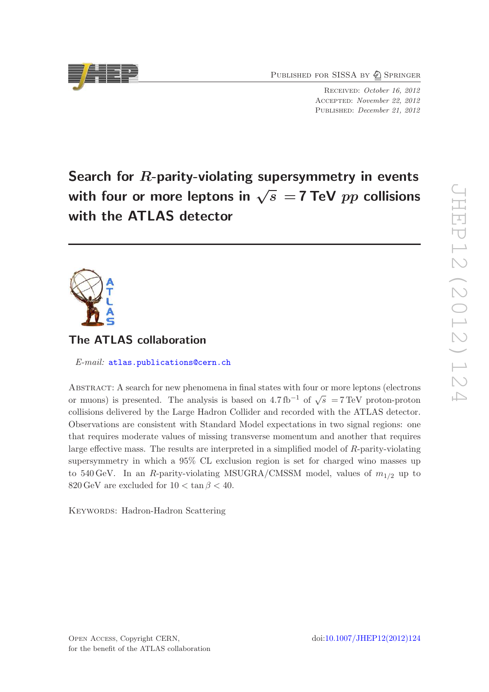PUBLISHED FOR SISSA BY 2 SPRINGER

Received: October 16, 2012 Accepted: November 22, 2012 PUBLISHED: December 21, 2012

Search for R-parity-violating supersymmetry in events with four or more leptons in  $\sqrt{s}$  = 7 TeV pp collisions with the ATLAS detector

# The ATLAS collaboration

E-mail: [atlas.publications@cern.ch](mailto:atlas.publications@cern.ch)

Abstract: A search for new phenomena in final states with four or more leptons (electrons or muons) is presented. The analysis is based on 4.7 fb<sup>-1</sup> of  $\sqrt{s}$  = 7 TeV proton-proton collisions delivered by the Large Hadron Collider and recorded with the ATLAS detector. Observations are consistent with Standard Model expectations in two signal regions: one that requires moderate values of missing transverse momentum and another that requires large effective mass. The results are interpreted in a simplified model of R-parity-violating supersymmetry in which a 95% CL exclusion region is set for charged wino masses up to 540 GeV. In an R-parity-violating MSUGRA/CMSSM model, values of  $m_{1/2}$  up to 820 GeV are excluded for  $10 < \tan \beta < 40$ .

KEYWORDS: Hadron-Hadron Scattering

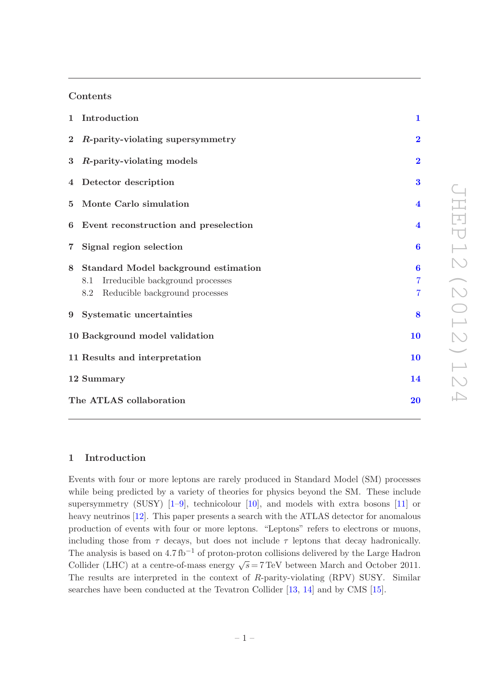# Contents

|                | 1 Introduction                                                                                                           | $\mathbf{1}$                                 |
|----------------|--------------------------------------------------------------------------------------------------------------------------|----------------------------------------------|
| $\bf{2}$       | R-parity-violating supersymmetry                                                                                         | $\overline{2}$                               |
| $\bf{3}$       | R-parity-violating models                                                                                                | $\overline{2}$                               |
|                | 4 Detector description                                                                                                   | 3                                            |
| 5 <sup>5</sup> | Monte Carlo simulation                                                                                                   | $\overline{\mathbf{4}}$                      |
| 6              | Event reconstruction and preselection                                                                                    | $\overline{\mathbf{4}}$                      |
|                | 7 Signal region selection                                                                                                | $\boldsymbol{6}$                             |
| 8              | Standard Model background estimation<br>Irreducible background processes<br>8.1<br>Reducible background processes<br>8.2 | $\bf{6}$<br>$\overline{7}$<br>$\overline{7}$ |
|                | 9 Systematic uncertainties                                                                                               | 8                                            |
|                | 10 Background model validation                                                                                           | 10                                           |
|                | 11 Results and interpretation                                                                                            | 10                                           |
|                | 12 Summary                                                                                                               | 14                                           |
|                | The ATLAS collaboration                                                                                                  | 20                                           |

# <span id="page-1-0"></span>1 Introduction

Events with four or more leptons are rarely produced in Standard Model (SM) processes while being predicted by a variety of theories for physics beyond the SM. These include supersymmetry (SUSY) [\[1](#page-15-0)[–9\]](#page-15-1), technicolour [\[10\]](#page-15-2), and models with extra bosons [\[11\]](#page-15-3) or heavy neutrinos [\[12](#page-15-4)]. This paper presents a search with the ATLAS detector for anomalous production of events with four or more leptons. "Leptons" refers to electrons or muons, including those from  $\tau$  decays, but does not include  $\tau$  leptons that decay hadronically. The analysis is based on  $4.7 \text{ fb}^{-1}$  of proton-proton collisions delivered by the Large Hadron Collider (LHC) at a centre-of-mass energy  $\sqrt{s} = 7 \,\text{TeV}$  between March and October 2011. The results are interpreted in the context of R-parity-violating (RPV) SUSY. Similar searches have been conducted at the Tevatron Collider [\[13](#page-15-5), [14\]](#page-15-6) and by CMS [\[15](#page-15-7)].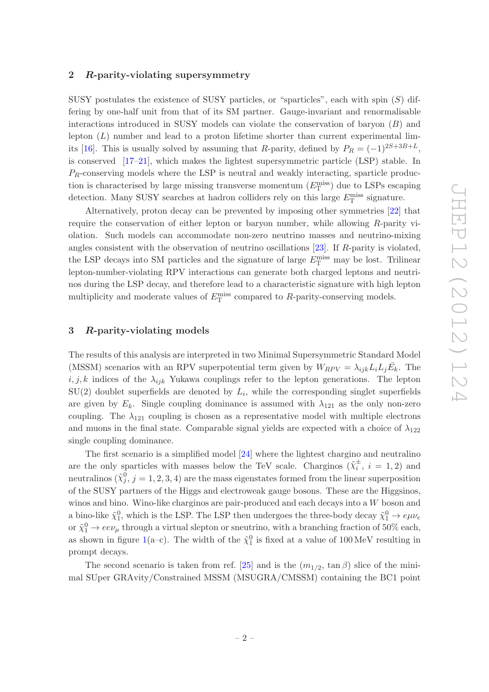## <span id="page-2-0"></span>2 R-parity-violating supersymmetry

SUSY postulates the existence of SUSY particles, or "sparticles", each with spin  $(S)$  differing by one-half unit from that of its SM partner. Gauge-invariant and renormalisable interactions introduced in SUSY models can violate the conservation of baryon  $(B)$  and lepton  $(L)$  number and lead to a proton lifetime shorter than current experimental lim-its [\[16\]](#page-15-8). This is usually solved by assuming that R-parity, defined by  $P_R = (-1)^{2S+3B+L}$ , is conserved [\[17](#page-16-0)[–21](#page-16-1)], which makes the lightest supersymmetric particle (LSP) stable. In  $P_R$ -conserving models where the LSP is neutral and weakly interacting, sparticle production is characterised by large missing transverse momentum  $(E_{\text{T}}^{\text{miss}})$  due to LSPs escaping detection. Many SUSY searches at hadron colliders rely on this large  $E_{\rm T}^{\rm miss}$  signature.

Alternatively, proton decay can be prevented by imposing other symmetries [\[22](#page-16-2)] that require the conservation of either lepton or baryon number, while allowing R-parity violation. Such models can accommodate non-zero neutrino masses and neutrino-mixing angles consistent with the observation of neutrino oscillations [\[23](#page-16-3)]. If R-parity is violated, the LSP decays into SM particles and the signature of large  $E_{\rm T}^{\rm miss}$  may be lost. Trilinear lepton-number-violating RPV interactions can generate both charged leptons and neutrinos during the LSP decay, and therefore lead to a characteristic signature with high lepton multiplicity and moderate values of  $E_{\rm T}^{\rm miss}$  compared to R-parity-conserving models.

# <span id="page-2-1"></span>3 R-parity-violating models

The results of this analysis are interpreted in two Minimal Supersymmetric Standard Model (MSSM) scenarios with an RPV superpotential term given by  $W_{RPV} = \lambda_{ijk} L_i L_j \overline{E}_k$ . The  $i, j, k$  indices of the  $\lambda_{ijk}$  Yukawa couplings refer to the lepton generations. The lepton  $SU(2)$  doublet superfields are denoted by  $L_i$ , while the corresponding singlet superfields are given by  $E_k$ . Single coupling dominance is assumed with  $\lambda_{121}$  as the only non-zero coupling. The  $\lambda_{121}$  coupling is chosen as a representative model with multiple electrons and muons in the final state. Comparable signal yields are expected with a choice of  $\lambda_{122}$ single coupling dominance.

The first scenario is a simplified model [\[24](#page-16-4)] where the lightest chargino and neutralino are the only sparticles with masses below the TeV scale. Charginos  $(\tilde{\chi}_i^{\pm}, i = 1, 2)$  and neutralinos  $(\tilde{\chi}_j^0, j = 1, 2, 3, 4)$  are the mass eigenstates formed from the linear superposition of the SUSY partners of the Higgs and electroweak gauge bosons. These are the Higgsinos, winos and bino. Wino-like charginos are pair-produced and each decays into a W boson and a bino-like  $\tilde{\chi}_1^0$ , which is the LSP. The LSP then undergoes the three-body decay  $\tilde{\chi}_1^0 \to e \mu \nu_e$ or  $\tilde{\chi}^0_1 \to ee\nu_\mu$  through a virtual slepton or sneutrino, with a branching fraction of 50% each, as shown in figure [1\(](#page-3-1)a-c). The width of the  $\tilde{\chi}_1^0$  is fixed at a value of 100 MeV resulting in prompt decays.

The second scenario is taken from ref. [\[25](#page-16-5)] and is the  $(m_{1/2}, \tan \beta)$  slice of the minimal SUper GRAvity/Constrained MSSM (MSUGRA/CMSSM) containing the BC1 point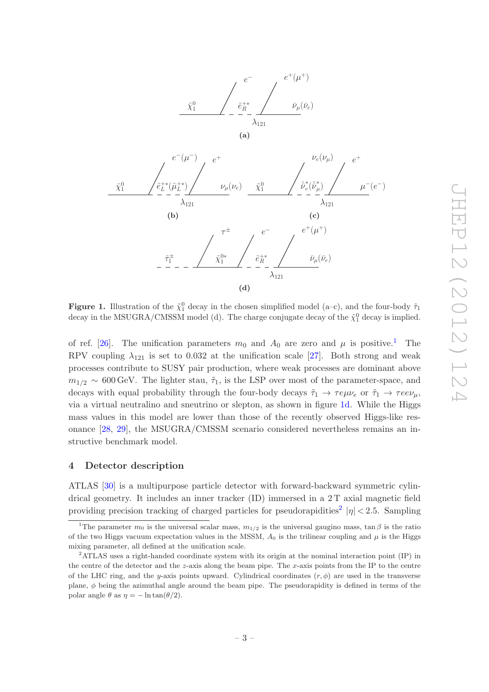<span id="page-3-1"></span>



<span id="page-3-3"></span>**Figure 1.** Illustration of the  $\tilde{\chi}_1^0$  decay in the chosen simplified model (a–c), and the four-body  $\tilde{\tau}_1$ decay in the MSUGRA/CMSSM model (d). The charge conjugate decay of the  $\tilde{\chi}_1^0$  decay is implied.

of ref. [\[26](#page-16-6)]. The unification parameters  $m_0$  and  $A_0$  are zero and  $\mu$  is positive.<sup>[1](#page-3-2)</sup> The RPV coupling  $\lambda_{121}$  is set to 0.032 at the unification scale [\[27\]](#page-16-7). Both strong and weak processes contribute to SUSY pair production, where weak processes are dominant above  $m_{1/2} \sim 600 \,\text{GeV}$ . The lighter stau,  $\tilde{\tau}_1$ , is the LSP over most of the parameter-space, and decays with equal probability through the four-body decays  $\tilde{\tau}_1 \to \tau e \mu \nu_e$  or  $\tilde{\tau}_1 \to \tau e \nu_\mu$ , via a virtual neutralino and sneutrino or slepton, as shown in figure [1d.](#page-3-3) While the Higgs mass values in this model are lower than those of the recently observed Higgs-like resonance [\[28,](#page-16-8) [29](#page-16-9)], the MSUGRA/CMSSM scenario considered nevertheless remains an instructive benchmark model.

#### <span id="page-3-0"></span>4 Detector description

ATLAS [\[30\]](#page-16-10) is a multipurpose particle detector with forward-backward symmetric cylindrical geometry. It includes an inner tracker (ID) immersed in a 2 T axial magnetic field providing precision tracking of charged particles for pseudorapidities<sup>[2](#page-3-4)</sup>  $|\eta|$  < 2.5. Sampling

<span id="page-3-2"></span><sup>&</sup>lt;sup>1</sup>The parameter  $m_0$  is the universal scalar mass,  $m_{1/2}$  is the universal gaugino mass, tan  $\beta$  is the ratio of the two Higgs vacuum expectation values in the MSSM,  $A_0$  is the trilinear coupling and  $\mu$  is the Higgs mixing parameter, all defined at the unification scale.

<span id="page-3-4"></span><sup>2</sup>ATLAS uses a right-handed coordinate system with its origin at the nominal interaction point (IP) in the centre of the detector and the  $z$ -axis along the beam pipe. The  $x$ -axis points from the IP to the centre of the LHC ring, and the y-axis points upward. Cylindrical coordinates  $(r, \phi)$  are used in the transverse plane,  $\phi$  being the azimuthal angle around the beam pipe. The pseudorapidity is defined in terms of the polar angle  $\theta$  as  $\eta = -\ln \tan(\theta/2)$ .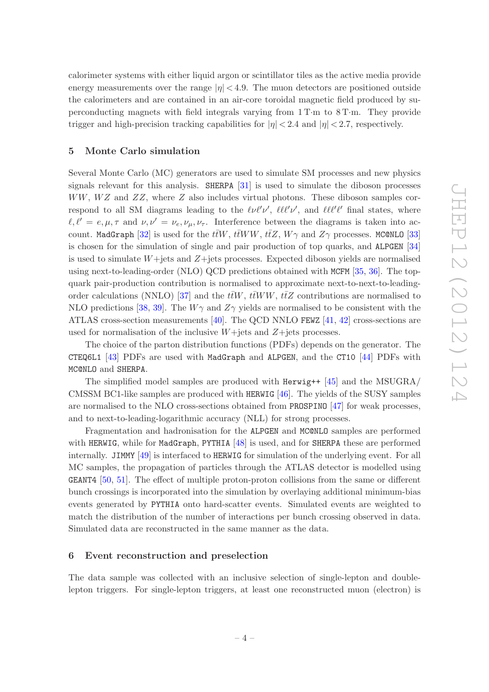calorimeter systems with either liquid argon or scintillator tiles as the active media provide energy measurements over the range  $|\eta| < 4.9$ . The muon detectors are positioned outside the calorimeters and are contained in an air-core toroidal magnetic field produced by superconducting magnets with field integrals varying from 1 T·m to 8 T·m. They provide trigger and high-precision tracking capabilities for  $|\eta| < 2.4$  and  $|\eta| < 2.7$ , respectively.

# <span id="page-4-0"></span>5 Monte Carlo simulation

Several Monte Carlo (MC) generators are used to simulate SM processes and new physics signals relevant for this analysis. SHERPA [\[31](#page-16-11)] is used to simulate the diboson processes  $WW, WZ$  and  $ZZ$ , where Z also includes virtual photons. These diboson samples correspond to all SM diagrams leading to the  $\ell\nu\ell'\nu'$ ,  $\ell\ell\ell'\nu'$ , and  $\ell\ell\ell'\ell'$  final states, where  $\ell, \ell' = e, \mu, \tau$  and  $\nu, \nu' = \nu_e, \nu_\mu, \nu_\tau$ . Interference between the diagrams is taken into ac-count. MadGraph [\[32\]](#page-16-12) is used for the  $t\bar{t}W$ ,  $t\bar{t}WW$ ,  $t\bar{t}Z$ ,  $W\gamma$  and  $Z\gamma$  processes. MC@NLO [\[33\]](#page-16-13) is chosen for the simulation of single and pair production of top quarks, and ALPGEN [\[34\]](#page-16-14) is used to simulate  $W +$ jets and  $Z +$ jets processes. Expected diboson yields are normalised using next-to-leading-order (NLO) QCD predictions obtained with MCFM [\[35,](#page-16-15) [36\]](#page-17-0). The topquark pair-production contribution is normalised to approximate next-to-next-to-leading-order calculations (NNLO) [\[37\]](#page-17-1) and the  $t\bar{t}W$ ,  $t\bar{t}WW$ ,  $t\bar{t}Z$  contributions are normalised to NLO predictions [\[38,](#page-17-2) [39](#page-17-3)]. The  $W\gamma$  and  $Z\gamma$  yields are normalised to be consistent with the ATLAS cross-section measurements  $[40]$ . The QCD NNLO FEWZ  $[41, 42]$  $[41, 42]$  $[41, 42]$  cross-sections are used for normalisation of the inclusive  $W+$ jets and  $Z+$ jets processes.

The choice of the parton distribution functions (PDFs) depends on the generator. The CTEQ6L1 [\[43](#page-17-7)] PDFs are used with MadGraph and ALPGEN, and the CT10 [\[44](#page-17-8)] PDFs with MC@NLO and SHERPA.

The simplified model samples are produced with Herwig++ [\[45\]](#page-17-9) and the MSUGRA/ CMSSM BC1-like samples are produced with HERWIG [\[46\]](#page-17-10). The yields of the SUSY samples are normalised to the NLO cross-sections obtained from PROSPINO [\[47](#page-17-11)] for weak processes, and to next-to-leading-logarithmic accuracy (NLL) for strong processes.

Fragmentation and hadronisation for the ALPGEN and MC@NLO samples are performed with HERWIG, while for MadGraph, PYTHIA  $[48]$  is used, and for SHERPA these are performed internally. JIMMY [\[49](#page-17-13)] is interfaced to HERWIG for simulation of the underlying event. For all MC samples, the propagation of particles through the ATLAS detector is modelled using GEANT4 [\[50](#page-17-14), [51\]](#page-17-15). The effect of multiple proton-proton collisions from the same or different bunch crossings is incorporated into the simulation by overlaying additional minimum-bias events generated by PYTHIA onto hard-scatter events. Simulated events are weighted to match the distribution of the number of interactions per bunch crossing observed in data. Simulated data are reconstructed in the same manner as the data.

#### <span id="page-4-1"></span>6 Event reconstruction and preselection

The data sample was collected with an inclusive selection of single-lepton and doublelepton triggers. For single-lepton triggers, at least one reconstructed muon (electron) is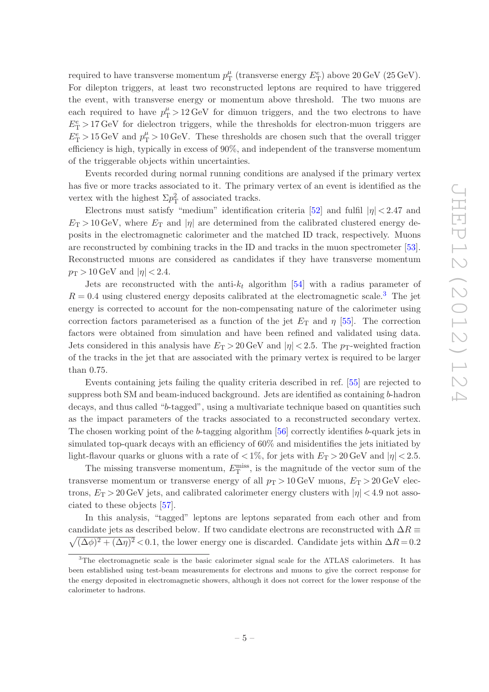required to have transverse momentum  $p_T^{\mu}$  (transverse energy  $E_T^e$ ) above 20 GeV (25 GeV). For dilepton triggers, at least two reconstructed leptons are required to have triggered the event, with transverse energy or momentum above threshold. The two muons are each required to have  $p_T^{\mu} > 12 \,\text{GeV}$  for dimuon triggers, and the two electrons to have  $E_T^e > 17 \,\text{GeV}$  for dielectron triggers, while the thresholds for electron-muon triggers are  $E_T^e > 15 \,\text{GeV}$  and  $p_T^{\mu} > 10 \,\text{GeV}$ . These thresholds are chosen such that the overall trigger efficiency is high, typically in excess of 90%, and independent of the transverse momentum of the triggerable objects within uncertainties.

Events recorded during normal running conditions are analysed if the primary vertex has five or more tracks associated to it. The primary vertex of an event is identified as the vertex with the highest  $\Sigma p_{\rm T}^2$  of associated tracks.

Electrons must satisfy "medium" identification criteria [\[52\]](#page-17-16) and fulfil  $|\eta| < 2.47$  and  $E_T > 10$  GeV, where  $E_T$  and  $|\eta|$  are determined from the calibrated clustered energy deposits in the electromagnetic calorimeter and the matched ID track, respectively. Muons are reconstructed by combining tracks in the ID and tracks in the muon spectrometer [\[53\]](#page-17-17). Reconstructed muons are considered as candidates if they have transverse momentum  $p_T > 10 \,\text{GeV}$  and  $|\eta| < 2.4$ .

Jets are reconstructed with the anti- $k_t$  algorithm [\[54](#page-18-0)] with a radius parameter of  $R = 0.4$  using clustered energy deposits calibrated at the electromagnetic scale.<sup>[3](#page-5-0)</sup> The jet energy is corrected to account for the non-compensating nature of the calorimeter using correction factors parameterised as a function of the jet  $E_T$  and  $\eta$  [\[55](#page-18-1)]. The correction factors were obtained from simulation and have been refined and validated using data. Jets considered in this analysis have  $E_T > 20 \,\text{GeV}$  and  $|\eta| < 2.5$ . The p<sub>T</sub>-weighted fraction of the tracks in the jet that are associated with the primary vertex is required to be larger than 0.75.

Events containing jets failing the quality criteria described in ref. [\[55\]](#page-18-1) are rejected to suppress both SM and beam-induced background. Jets are identified as containing b-hadron decays, and thus called "b-tagged", using a multivariate technique based on quantities such as the impact parameters of the tracks associated to a reconstructed secondary vertex. The chosen working point of the b-tagging algorithm [\[56](#page-18-2)] correctly identifies b-quark jets in simulated top-quark decays with an efficiency of 60% and misidentifies the jets initiated by light-flavour quarks or gluons with a rate of  $\langle 1\%,$  for jets with  $E_T > 20$  GeV and  $|\eta| < 2.5$ .

The missing transverse momentum,  $E_{\rm T}^{\rm miss}$ , is the magnitude of the vector sum of the transverse momentum or transverse energy of all  $p_T > 10 \text{ GeV}$  muons,  $E_T > 20 \text{ GeV}$  electrons,  $E_T > 20$  GeV jets, and calibrated calorimeter energy clusters with  $|\eta| < 4.9$  not associated to these objects [\[57](#page-18-3)].

In this analysis, "tagged" leptons are leptons separated from each other and from candidate jets as described below. If two candidate electrons are reconstructed with  $\Delta R \equiv$  $\sqrt{(\Delta\phi)^2 + (\Delta\eta)^2}$  < 0.1, the lower energy one is discarded. Candidate jets within  $\Delta R = 0.2$ 

<span id="page-5-0"></span><sup>&</sup>lt;sup>3</sup>The electromagnetic scale is the basic calorimeter signal scale for the ATLAS calorimeters. It has been established using test-beam measurements for electrons and muons to give the correct response for the energy deposited in electromagnetic showers, although it does not correct for the lower response of the calorimeter to hadrons.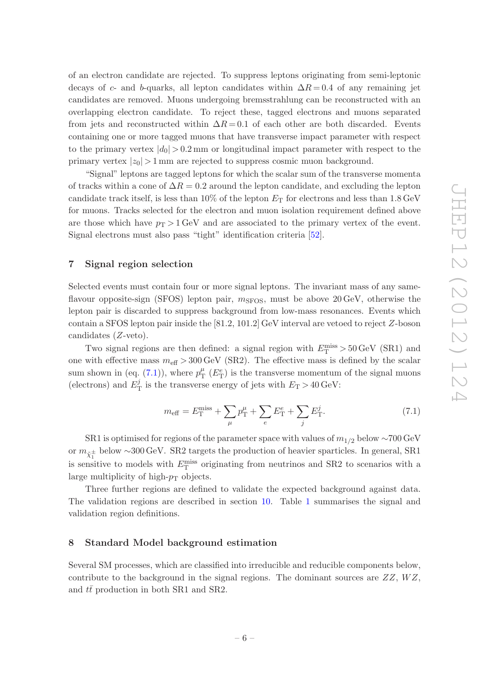of an electron candidate are rejected. To suppress leptons originating from semi-leptonic decays of c- and b-quarks, all lepton candidates within  $\Delta R = 0.4$  of any remaining jet candidates are removed. Muons undergoing bremsstrahlung can be reconstructed with an overlapping electron candidate. To reject these, tagged electrons and muons separated from jets and reconstructed within  $\Delta R = 0.1$  of each other are both discarded. Events containing one or more tagged muons that have transverse impact parameter with respect to the primary vertex  $|d_0| > 0.2$  mm or longitudinal impact parameter with respect to the primary vertex  $|z_0| > 1$  mm are rejected to suppress cosmic muon background.

"Signal" leptons are tagged leptons for which the scalar sum of the transverse momenta of tracks within a cone of  $\Delta R = 0.2$  around the lepton candidate, and excluding the lepton candidate track itself, is less than 10% of the lepton  $E<sub>T</sub>$  for electrons and less than 1.8 GeV for muons. Tracks selected for the electron and muon isolation requirement defined above are those which have  $p_T > 1$  GeV and are associated to the primary vertex of the event. Signal electrons must also pass "tight" identification criteria [\[52\]](#page-17-16).

## <span id="page-6-0"></span>7 Signal region selection

Selected events must contain four or more signal leptons. The invariant mass of any sameflavour opposite-sign (SFOS) lepton pair,  $m_{S\text{FOS}}$ , must be above 20 GeV, otherwise the lepton pair is discarded to suppress background from low-mass resonances. Events which contain a SFOS lepton pair inside the  $[81.2, 101.2]$  GeV interval are vetoed to reject Z-boson candidates (Z-veto).

Two signal regions are then defined: a signal region with  $E_{\rm T}^{\rm miss} > 50\,{\rm GeV}$  (SR1) and one with effective mass  $m_{\text{eff}} > 300 \,\text{GeV}$  (SR2). The effective mass is defined by the scalar sum shown in (eq. [\(7.1\)](#page-6-2)), where  $p_T^{\mu}$  ( $E_T^e$ ) is the transverse momentum of the signal muons (electrons) and  $E_{\rm T}^j$  is the transverse energy of jets with  $E_{\rm T} > 40\,{\rm GeV}$ :

<span id="page-6-2"></span>
$$
m_{\text{eff}} = E_{\text{T}}^{\text{miss}} + \sum_{\mu} p_{\text{T}}^{\mu} + \sum_{e} E_{\text{T}}^{e} + \sum_{j} E_{\text{T}}^{j}.
$$
 (7.1)

SR1 is optimised for regions of the parameter space with values of  $m_{1/2}$  below ~700 GeV or  $m_{\tilde{\chi}^\pm_1}$  below ~300 GeV. SR2 targets the production of heavier sparticles. In general, SR1 is sensitive to models with  $E_{\rm T}^{\rm miss}$  originating from neutrinos and SR2 to scenarios with a large multiplicity of high- $p<sub>T</sub>$  objects.

Three further regions are defined to validate the expected background against data. The validation regions are described in section [10.](#page-10-0) Table [1](#page-7-2) summarises the signal and validation region definitions.

## <span id="page-6-1"></span>8 Standard Model background estimation

Several SM processes, which are classified into irreducible and reducible components below, contribute to the background in the signal regions. The dominant sources are  $ZZ$ ,  $WZ$ , and  $t\bar{t}$  production in both SR1 and SR2.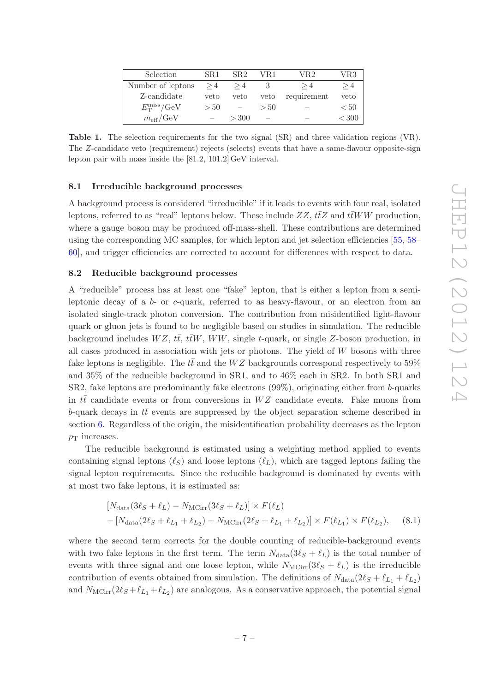<span id="page-7-2"></span>

| Selection                         | $\rm SR1$ | SR2                      | VR1    | VR2         | VR3   |
|-----------------------------------|-----------|--------------------------|--------|-------------|-------|
| Number of leptons                 | >4        | >4                       |        | >4          | >4    |
| Z-candidate                       | veto      | veto                     | veto   | requirement | veto  |
| $E_{\rm T}^{\rm miss}/\text{GeV}$ | >50       | $\overline{\phantom{a}}$ | > 50   |             | < 50  |
| $m_{\text{eff}}/\text{GeV}$       |           | > 300                    | $\sim$ |             | < 300 |

Table 1. The selection requirements for the two signal (SR) and three validation regions (VR). The Z-candidate veto (requirement) rejects (selects) events that have a same-flavour opposite-sign lepton pair with mass inside the [81.2, 101.2] GeV interval.

#### <span id="page-7-0"></span>8.1 Irreducible background processes

A background process is considered "irreducible" if it leads to events with four real, isolated leptons, referred to as "real" leptons below. These include  $ZZ$ ,  $t\bar{t}Z$  and  $t\bar{t}WW$  production, where a gauge boson may be produced off-mass-shell. These contributions are determined using the corresponding MC samples, for which lepton and jet selection efficiencies [\[55](#page-18-1), [58](#page-18-4)– [60](#page-18-5)], and trigger efficiencies are corrected to account for differences with respect to data.

## <span id="page-7-1"></span>8.2 Reducible background processes

A "reducible" process has at least one "fake" lepton, that is either a lepton from a semileptonic decay of a  $b$ - or c-quark, referred to as heavy-flavour, or an electron from an isolated single-track photon conversion. The contribution from misidentified light-flavour quark or gluon jets is found to be negligible based on studies in simulation. The reducible background includes  $WZ$ ,  $t\bar{t}$ ,  $t\bar{t}W$ ,  $WW$ , single t-quark, or single Z-boson production, in all cases produced in association with jets or photons. The yield of W bosons with three fake leptons is negligible. The  $t\bar{t}$  and the WZ backgrounds correspond respectively to 59% and 35% of the reducible background in SR1, and to 46% each in SR2. In both SR1 and SR2, fake leptons are predominantly fake electrons (99%), originating either from b-quarks in  $t\bar{t}$  candidate events or from conversions in WZ candidate events. Fake muons from b-quark decays in  $t\bar{t}$  events are suppressed by the object separation scheme described in section [6.](#page-4-1) Regardless of the origin, the misidentification probability decreases as the lepton  $p_T$  increases.

The reducible background is estimated using a weighting method applied to events containing signal leptons  $(\ell_S)$  and loose leptons  $(\ell_L)$ , which are tagged leptons failing the signal lepton requirements. Since the reducible background is dominated by events with at most two fake leptons, it is estimated as:

$$
[N_{\text{data}}(3\ell_S + \ell_L) - N_{\text{MCirr}}(3\ell_S + \ell_L)] \times F(\ell_L)
$$
  
- [N\_{\text{data}}(2\ell\_S + \ell\_{L\_1} + \ell\_{L\_2}) - N\_{\text{MCirr}}(2\ell\_S + \ell\_{L\_1} + \ell\_{L\_2})] \times F(\ell\_{L\_1}) \times F(\ell\_{L\_2}), (8.1)

where the second term corrects for the double counting of reducible-background events with two fake leptons in the first term. The term  $N_{data}(3\ell_S + \ell_L)$  is the total number of events with three signal and one loose lepton, while  $N_{\text{MCirr}}(3\ell_S + \ell_L)$  is the irreducible contribution of events obtained from simulation. The definitions of  $N_{data}(2\ell_S + \ell_{L_1} + \ell_{L_2})$ and  $N_{\text{MCirr}}(2\ell_S + \ell_{L_1} + \ell_{L_2})$  are analogous. As a conservative approach, the potential signal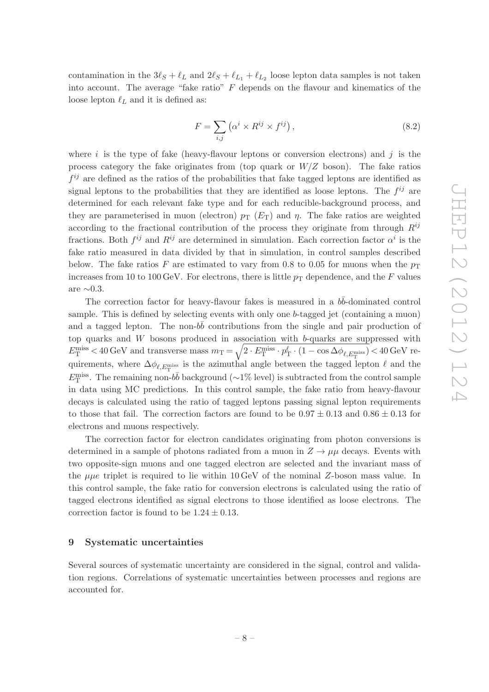contamination in the  $3\ell_s + \ell_L$  and  $2\ell_s + \ell_{L_1} + \ell_{L_2}$  loose lepton data samples is not taken into account. The average "fake ratio"  $F$  depends on the flavour and kinematics of the loose lepton  $\ell_L$  and it is defined as:

$$
F = \sum_{i,j} \left( \alpha^i \times R^{ij} \times f^{ij} \right),\tag{8.2}
$$

where i is the type of fake (heavy-flavour leptons or conversion electrons) and j is the process category the fake originates from (top quark or  $W/Z$  boson). The fake ratios  $f^{ij}$  are defined as the ratios of the probabilities that fake tagged leptons are identified as signal leptons to the probabilities that they are identified as loose leptons. The  $f^{ij}$  are determined for each relevant fake type and for each reducible-background process, and they are parameterised in muon (electron)  $p_T$  ( $E_T$ ) and  $\eta$ . The fake ratios are weighted according to the fractional contribution of the process they originate from through  $R^{ij}$ fractions. Both  $f^{ij}$  and  $R^{ij}$  are determined in simulation. Each correction factor  $\alpha^i$  is the fake ratio measured in data divided by that in simulation, in control samples described below. The fake ratios F are estimated to vary from 0.8 to 0.05 for muons when the  $p_T$ increases from 10 to 100 GeV. For electrons, there is little  $p_T$  dependence, and the F values are  $∼0.3$ .

The correction factor for heavy-flavour fakes is measured in a  $b\bar{b}$ -dominated control sample. This is defined by selecting events with only one b-tagged jet (containing a muon) and a tagged lepton. The non- $b\bar{b}$  contributions from the single and pair production of top quarks and  $W$  bosons produced in association with  $b$ -quarks are suppressed with  $E_{\rm T}^{\rm miss}$  < 40 GeV and transverse mass  $m_{\rm T} = \sqrt{2 \cdot E_{\rm T}^{\rm miss} \cdot p_{\rm T}^{\ell} \cdot (1-\cos\Delta\phi_{\ell,E_{\rm T}^{\rm miss}})}$  < 40 GeV requirements, where  $\Delta\phi_{\ell,E_{\rm T}^{\rm miss}}$  is the azimuthal angle between the tagged lepton  $\ell$  and the  $E_{\rm T}^{\rm miss}$ . The remaining non- $b\bar{b}$  background (∼1% level) is subtracted from the control sample in data using MC predictions. In this control sample, the fake ratio from heavy-flavour decays is calculated using the ratio of tagged leptons passing signal lepton requirements to those that fail. The correction factors are found to be  $0.97 \pm 0.13$  and  $0.86 \pm 0.13$  for electrons and muons respectively.

The correction factor for electron candidates originating from photon conversions is determined in a sample of photons radiated from a muon in  $Z \to \mu\mu$  decays. Events with two opposite-sign muons and one tagged electron are selected and the invariant mass of the  $\mu\mu e$  triplet is required to lie within 10 GeV of the nominal Z-boson mass value. In this control sample, the fake ratio for conversion electrons is calculated using the ratio of tagged electrons identified as signal electrons to those identified as loose electrons. The correction factor is found to be  $1.24 \pm 0.13$ .

#### <span id="page-8-0"></span>9 Systematic uncertainties

Several sources of systematic uncertainty are considered in the signal, control and validation regions. Correlations of systematic uncertainties between processes and regions are accounted for.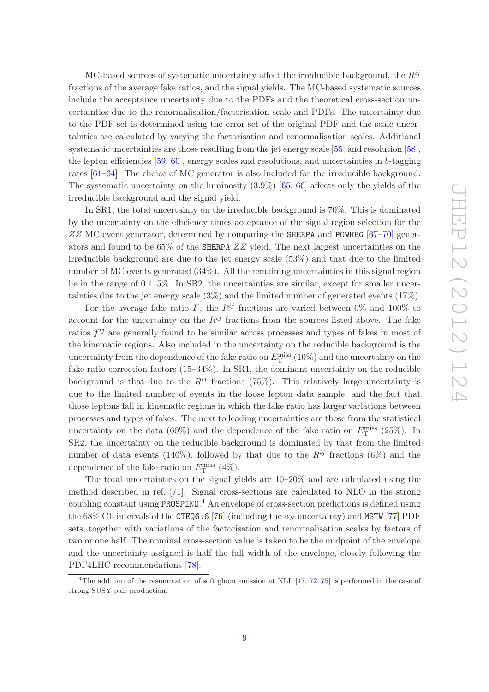MC-based sources of systematic uncertainty affect the irreducible background, the  $R^{ij}$ fractions of the average fake ratios, and the signal yields. The MC-based systematic sources include the acceptance uncertainty due to the PDFs and the theoretical cross-section uncertainties due to the renormalisation/factorisation scale and PDFs. The uncertainty due to the PDF set is determined using the error set of the original PDF and the scale uncertainties are calculated by varying the factorisation and renormalisation scales. Additional systematic uncertainties are those resulting from the jet energy scale [\[55](#page-18-1)] and resolution [\[58\]](#page-18-4), the lepton efficiencies  $[59, 60]$  $[59, 60]$ , energy scales and resolutions, and uncertainties in b-tagging rates [\[61](#page-18-7)[–64](#page-18-8)]. The choice of MC generator is also included for the irreducible background. The systematic uncertainty on the luminosity (3.9%) [\[65](#page-18-9), [66\]](#page-18-10) affects only the yields of the irreducible background and the signal yield.

In SR1, the total uncertainty on the irreducible background is 70%. This is dominated by the uncertainty on the efficiency times acceptance of the signal region selection for the ZZ MC event generator, determined by comparing the SHERPA and POWHEG [\[67](#page-18-11)[–70](#page-18-12)] generators and found to be 65% of the SHERPA ZZ yield. The next largest uncertainties on the irreducible background are due to the jet energy scale (53%) and that due to the limited number of MC events generated (34%). All the remaining uncertainties in this signal region lie in the range of 0.1–5%. In SR2, the uncertainties are similar, except for smaller uncertainties due to the jet energy scale (3%) and the limited number of generated events (17%).

For the average fake ratio F, the  $R^{ij}$  fractions are varied between 0% and 100% to account for the uncertainty on the  $R^{ij}$  fractions from the sources listed above. The fake ratios  $f^{ij}$  are generally found to be similar across processes and types of fakes in most of the kinematic regions. Also included in the uncertainty on the reducible background is the uncertainty from the dependence of the fake ratio on  $E_{\rm T}^{\rm miss}\ (10\%)$  and the uncertainty on the fake-ratio correction factors (15–34%). In SR1, the dominant uncertainty on the reducible background is that due to the  $R^{ij}$  fractions (75%). This relatively large uncertainty is due to the limited number of events in the loose lepton data sample, and the fact that those leptons fall in kinematic regions in which the fake ratio has larger variations between processes and types of fakes. The next to leading uncertainties are those from the statistical uncertainty on the data (60%) and the dependence of the fake ratio on  $E_{\rm T}^{\rm miss}$  (25%). In SR2, the uncertainty on the reducible background is dominated by that from the limited number of data events (140%), followed by that due to the  $R^{ij}$  fractions (6%) and the dependence of the fake ratio on  $E_{\rm T}^{\rm miss}$  (4%).

The total uncertainties on the signal yields are 10–20% and are calculated using the method described in ref. [\[71](#page-18-13)]. Signal cross-sections are calculated to NLO in the strong coupling constant using PROSPINO.<sup>[4](#page-9-0)</sup> An envelope of cross-section predictions is defined using the 68% CL intervals of the CTEQ6.6 [\[76](#page-19-0)] (including the  $\alpha_s$  uncertainty) and MSTW [\[77](#page-19-1)] PDF sets, together with variations of the factorisation and renormalisation scales by factors of two or one half. The nominal cross-section value is taken to be the midpoint of the envelope and the uncertainty assigned is half the full width of the envelope, closely following the PDF4LHC recommendations [\[78\]](#page-19-2).

<span id="page-9-0"></span><sup>&</sup>lt;sup>4</sup>The addition of the resummation of soft gluon emission at NLL  $[47, 72-75]$  $[47, 72-75]$  $[47, 72-75]$  $[47, 72-75]$  is performed in the case of strong SUSY pair-production.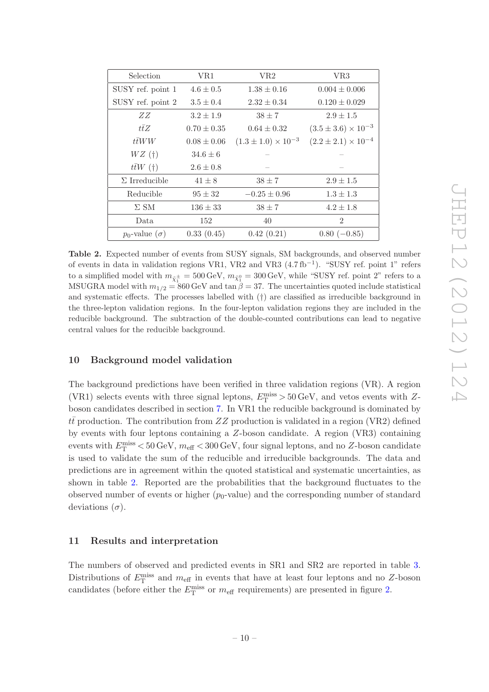<span id="page-10-2"></span>

| Selection               | VR1             | VR2                            | VR <sub>3</sub>                |
|-------------------------|-----------------|--------------------------------|--------------------------------|
| SUSY ref. point 1       | $4.6 \pm 0.5$   | $1.38 \pm 0.16$                | $0.004 \pm 0.006$              |
| SUSY ref. point 2       | $3.5 \pm 0.4$   | $2.32 \pm 0.34$                | $0.120 \pm 0.029$              |
| ZΖ                      | $3.2 \pm 1.9$   | $38 \pm 7$                     | $2.9 \pm 1.5$                  |
| $t\bar{t}Z$             | $0.70 \pm 0.35$ | $0.64 \pm 0.32$                | $(3.5 \pm 3.6) \times 10^{-3}$ |
| $t\bar{t}WW$            | $0.08 \pm 0.06$ | $(1.3 \pm 1.0) \times 10^{-3}$ | $(2.2 \pm 2.1) \times 10^{-4}$ |
| $WZ(\dagger)$           | $34.6 \pm 6$    |                                |                                |
| $t\bar{t}W(\dagger)$    | $2.6 \pm 0.8$   |                                |                                |
| $\Sigma$ Irreducible    | $41 \pm 8$      | $38 \pm 7$                     | $2.9 \pm 1.5$                  |
| Reducible               | $95 \pm 32$     | $-0.25 \pm 0.96$               | $1.3 \pm 1.3$                  |
| $\Sigma$ SM             | $136\pm33$      | $38 \pm 7$                     | $4.2 \pm 1.8$                  |
| Data.                   | 152             | 40                             | $\overline{2}$                 |
| $p_0$ -value $(\sigma)$ | 0.33(0.45)      | 0.42(0.21)                     | $0.80$ (-0.85)                 |

Table 2. Expected number of events from SUSY signals, SM backgrounds, and observed number of events in data in validation regions VR1, VR2 and VR3  $(4.7\,\text{fb}^{-1})$ . "SUSY ref. point 1" refers to a simplified model with  $m_{\tilde{\chi}^\pm_1} = 500\,\text{GeV}, m_{\tilde{\chi}^0_1} = 300\,\text{GeV},$  while "SUSY ref. point 2" refers to a MSUGRA model with  $m_{1/2} = 860$  GeV and tan  $\hat{\beta} = 37$ . The uncertainties quoted include statistical and systematic effects. The processes labelled with (†) are classified as irreducible background in the three-lepton validation regions. In the four-lepton validation regions they are included in the reducible background. The subtraction of the double-counted contributions can lead to negative central values for the reducible background.

# <span id="page-10-0"></span>10 Background model validation

The background predictions have been verified in three validation regions (VR). A region (VR1) selects events with three signal leptons,  $E_{\rm T}^{\rm miss} > 50\,{\rm GeV},$  and vetos events with Zboson candidates described in section [7.](#page-6-0) In VR1 the reducible background is dominated by  $t\bar{t}$  production. The contribution from ZZ production is validated in a region (VR2) defined by events with four leptons containing a Z-boson candidate. A region (VR3) containing events with  $E_{\rm T}^{\rm miss} < 50\,{\rm GeV},\,m_{\rm eff} < 300\,{\rm GeV},$  four signal leptons, and no Z-boson candidate is used to validate the sum of the reducible and irreducible backgrounds. The data and predictions are in agreement within the quoted statistical and systematic uncertainties, as shown in table [2.](#page-10-2) Reported are the probabilities that the background fluctuates to the observed number of events or higher  $(p_0$ -value) and the corresponding number of standard deviations  $(\sigma)$ .

## <span id="page-10-1"></span>11 Results and interpretation

The numbers of observed and predicted events in SR1 and SR2 are reported in table [3.](#page-12-0) Distributions of  $E_{\rm T}^{\rm miss}$  and  $m_{\rm eff}$  in events that have at least four leptons and no Z-boson candidates (before either the  $E_{\rm T}^{\rm miss}$  or  $m_{\rm eff}$  requirements) are presented in figure [2.](#page-11-0)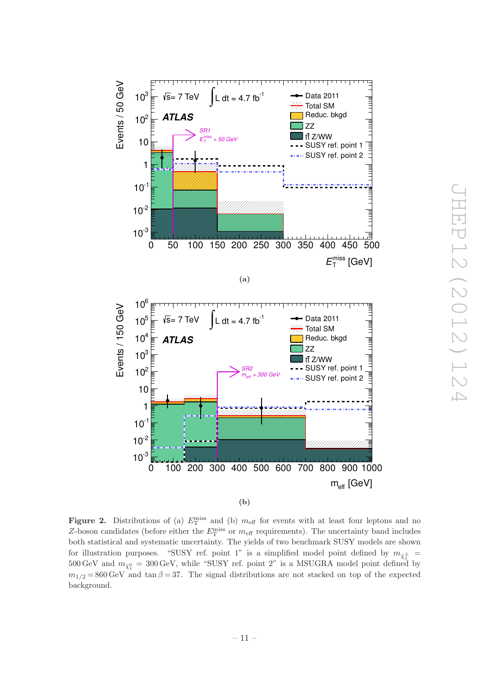<span id="page-11-0"></span>

JHEP12 (2012) 12 JHEP12(2012)124  $\overline{\phantom{a}}$ 

Figure 2. Distributions of (a)  $E_{\rm T}^{\rm miss}$  and (b)  $m_{\rm eff}$  for events with at least four leptons and no Z-boson candidates (before either the  $E_{\rm T}^{\rm miss}$  or  $m_{\rm eff}$  requirements). The uncertainty band includes both statistical and systematic uncertainty. The yields of two benchmark SUSY models are shown for illustration purposes. "SUSY ref. point 1" is a simplified model point defined by  $m_{\tilde{\chi}^\pm_1} =$ 500 GeV and  $m_{\tilde{\chi}_1^0} = 300 \,\text{GeV}$ , while "SUSY ref. point 2" is a MSUGRA model point defined by  $m_{1/2} = 860 \,\text{GeV}$  and tan  $\beta = 37$ . The signal distributions are not stacked on top of the expected background.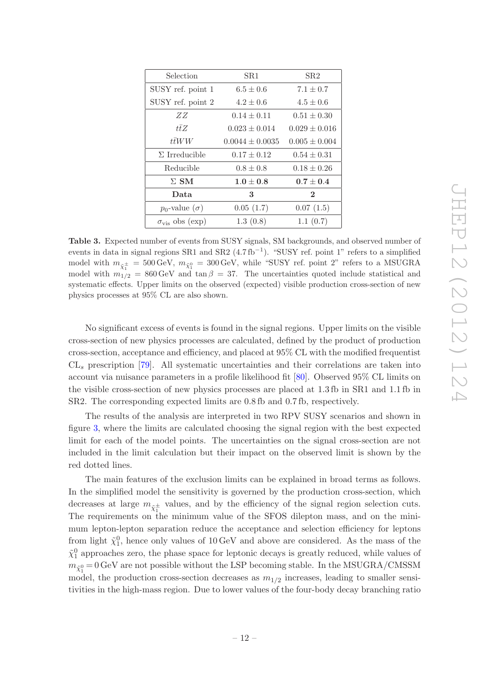<span id="page-12-0"></span>

| Selection                    | SR1                 | SR2               |
|------------------------------|---------------------|-------------------|
| SUSY ref. point 1            | $6.5 \pm 0.6$       | $7.1 \pm 0.7$     |
| SUSY ref. point 2            | $4.2 \pm 0.6$       | $4.5 \pm 0.6$     |
| ZZ                           | $0.14 \pm 0.11$     | $0.51 \pm 0.30$   |
| tŦZ                          | $0.023 \pm 0.014$   | $0.029 \pm 0.016$ |
| ttWW                         | $0.0044 \pm 0.0035$ | $0.005 \pm 0.004$ |
| $\Sigma$ Irreducible         | $0.17 \pm 0.12$     | $0.54 \pm 0.31$   |
| Reducible                    | $0.8 \pm 0.8$       | $0.18 \pm 0.26$   |
| $\Sigma$ SM                  | $1.0\pm0.8$         | $0.7 \pm 0.4$     |
| Data                         | 3                   | $\mathbf{2}$      |
| $p_0$ -value $(\sigma)$      | 0.05(1.7)           | 0.07(1.5)         |
| $\sigma_{\rm vis}$ obs (exp) | 1.3(0.8)            | 1.1(0.7)          |

Table 3. Expected number of events from SUSY signals, SM backgrounds, and observed number of events in data in signal regions SR1 and SR2 (4.7 fb<sup>-1</sup>). "SUSY ref. point 1" refers to a simplified model with  $m_{\tilde{\chi}^\pm_1} = 500\,\text{GeV}, m_{\tilde{\chi}^0_1} = 300\,\text{GeV},$  while "SUSY ref. point 2" refers to a MSUGRA model with  $m_{1/2} = 860 \,\text{GeV}$  and  $\tan \beta = 37$ . The uncertainties quoted include statistical and systematic effects. Upper limits on the observed (expected) visible production cross-section of new physics processes at 95% CL are also shown.

No significant excess of events is found in the signal regions. Upper limits on the visible cross-section of new physics processes are calculated, defined by the product of production cross-section, acceptance and efficiency, and placed at 95% CL with the modified frequentist  $CL<sub>s</sub>$  prescription [\[79\]](#page-19-4). All systematic uncertainties and their correlations are taken into account via nuisance parameters in a profile likelihood fit [\[80](#page-19-5)]. Observed 95% CL limits on the visible cross-section of new physics processes are placed at 1.3 fb in SR1 and 1.1 fb in SR2. The corresponding expected limits are 0.8 fb and 0.7 fb, respectively.

The results of the analysis are interpreted in two RPV SUSY scenarios and shown in figure [3,](#page-13-0) where the limits are calculated choosing the signal region with the best expected limit for each of the model points. The uncertainties on the signal cross-section are not included in the limit calculation but their impact on the observed limit is shown by the red dotted lines.

The main features of the exclusion limits can be explained in broad terms as follows. In the simplified model the sensitivity is governed by the production cross-section, which decreases at large  $m_{\tilde{\chi}^{\pm}_1}$  values, and by the efficiency of the signal region selection cuts. The requirements on the minimum value of the SFOS dilepton mass, and on the minimum lepton-lepton separation reduce the acceptance and selection efficiency for leptons from light  $\tilde{\chi}_1^0$ , hence only values of 10 GeV and above are considered. As the mass of the  $\tilde{\chi}_1^0$  approaches zero, the phase space for leptonic decays is greatly reduced, while values of  $m_{\tilde{\chi}^0_1}\!=\!0\,{\rm GeV}$  are not possible without the LSP becoming stable. In the MSUGRA/CMSSM model, the production cross-section decreases as  $m_{1/2}$  increases, leading to smaller sensitivities in the high-mass region. Due to lower values of the four-body decay branching ratio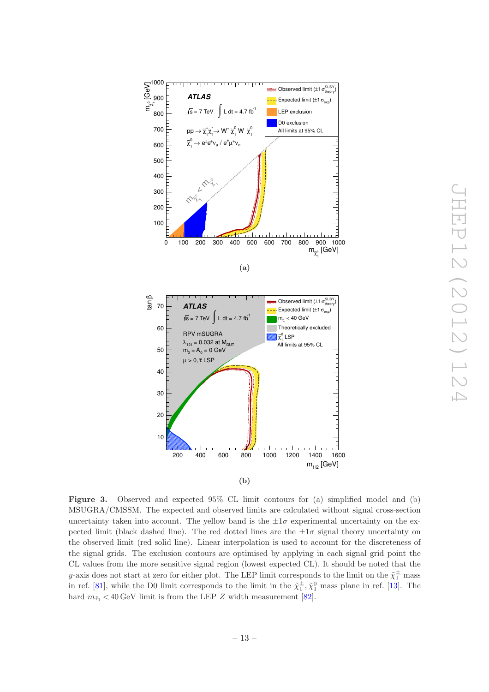<span id="page-13-0"></span>

Figure 3. Observed and expected 95% CL limit contours for (a) simplified model and (b) MSUGRA/CMSSM. The expected and observed limits are calculated without signal cross-section uncertainty taken into account. The yellow band is the  $\pm 1\sigma$  experimental uncertainty on the expected limit (black dashed line). The red dotted lines are the  $\pm 1\sigma$  signal theory uncertainty on the observed limit (red solid line). Linear interpolation is used to account for the discreteness of the signal grids. The exclusion contours are optimised by applying in each signal grid point the CL values from the more sensitive signal region (lowest expected CL). It should be noted that the y-axis does not start at zero for either plot. The LEP limit corresponds to the limit on the  $\tilde{\chi}^{\pm}_1$  mass in ref. [\[81\]](#page-19-6), while the D0 limit corresponds to the limit in the  $\tilde{\chi}_1^{\pm}, \tilde{\chi}_1^0$  mass plane in ref. [\[13\]](#page-15-5). The hard  $m_{\tilde{\tau}_1} < 40 \,\text{GeV}$  limit is from the LEP Z width measurement [\[82](#page-19-7)].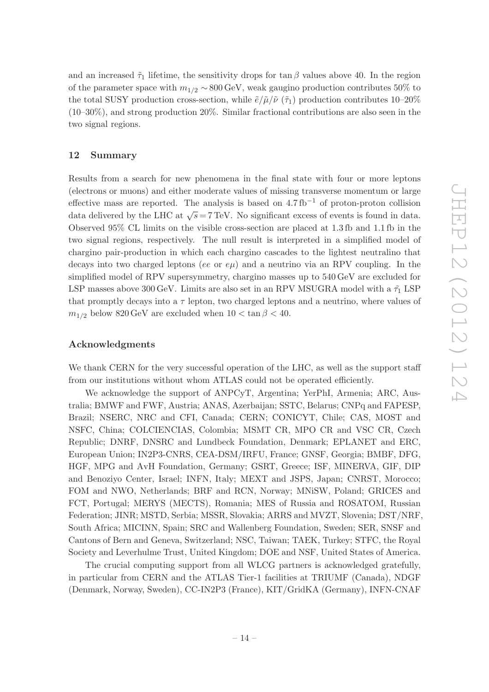and an increased  $\tilde{\tau}_1$  lifetime, the sensitivity drops for tan  $\beta$  values above 40. In the region of the parameter space with  $m_{1/2} \sim 800 \,\text{GeV}$ , weak gaugino production contributes 50% to the total SUSY production cross-section, while  $\tilde{e}/\tilde{\mu}/\tilde{\nu}(\tilde{\tau}_1)$  production contributes 10–20% (10–30%), and strong production 20%. Similar fractional contributions are also seen in the two signal regions.

# <span id="page-14-0"></span>12 Summary

Results from a search for new phenomena in the final state with four or more leptons (electrons or muons) and either moderate values of missing transverse momentum or large effective mass are reported. The analysis is based on  $4.7 \text{ fb}^{-1}$  of proton-proton collision data delivered by the LHC at  $\sqrt{s}$  = 7 TeV. No significant excess of events is found in data. Observed 95% CL limits on the visible cross-section are placed at 1.3 fb and 1.1 fb in the two signal regions, respectively. The null result is interpreted in a simplified model of chargino pair-production in which each chargino cascades to the lightest neutralino that decays into two charged leptons (ee or  $e\mu$ ) and a neutrino via an RPV coupling. In the simplified model of RPV supersymmetry, chargino masses up to 540 GeV are excluded for LSP masses above 300 GeV. Limits are also set in an RPV MSUGRA model with a  $\tilde{\tau}_1$  LSP that promptly decays into a  $\tau$  lepton, two charged leptons and a neutrino, where values of  $m_{1/2}$  below 820 GeV are excluded when  $10 < \tan \beta < 40$ .

#### Acknowledgments

We thank CERN for the very successful operation of the LHC, as well as the support staff from our institutions without whom ATLAS could not be operated efficiently.

We acknowledge the support of ANPCyT, Argentina; YerPhI, Armenia; ARC, Australia; BMWF and FWF, Austria; ANAS, Azerbaijan; SSTC, Belarus; CNPq and FAPESP, Brazil; NSERC, NRC and CFI, Canada; CERN; CONICYT, Chile; CAS, MOST and NSFC, China; COLCIENCIAS, Colombia; MSMT CR, MPO CR and VSC CR, Czech Republic; DNRF, DNSRC and Lundbeck Foundation, Denmark; EPLANET and ERC, European Union; IN2P3-CNRS, CEA-DSM/IRFU, France; GNSF, Georgia; BMBF, DFG, HGF, MPG and AvH Foundation, Germany; GSRT, Greece; ISF, MINERVA, GIF, DIP and Benoziyo Center, Israel; INFN, Italy; MEXT and JSPS, Japan; CNRST, Morocco; FOM and NWO, Netherlands; BRF and RCN, Norway; MNiSW, Poland; GRICES and FCT, Portugal; MERYS (MECTS), Romania; MES of Russia and ROSATOM, Russian Federation; JINR; MSTD, Serbia; MSSR, Slovakia; ARRS and MVZT, Slovenia; DST/NRF, South Africa; MICINN, Spain; SRC and Wallenberg Foundation, Sweden; SER, SNSF and Cantons of Bern and Geneva, Switzerland; NSC, Taiwan; TAEK, Turkey; STFC, the Royal Society and Leverhulme Trust, United Kingdom; DOE and NSF, United States of America.

The crucial computing support from all WLCG partners is acknowledged gratefully, in particular from CERN and the ATLAS Tier-1 facilities at TRIUMF (Canada), NDGF (Denmark, Norway, Sweden), CC-IN2P3 (France), KIT/GridKA (Germany), INFN-CNAF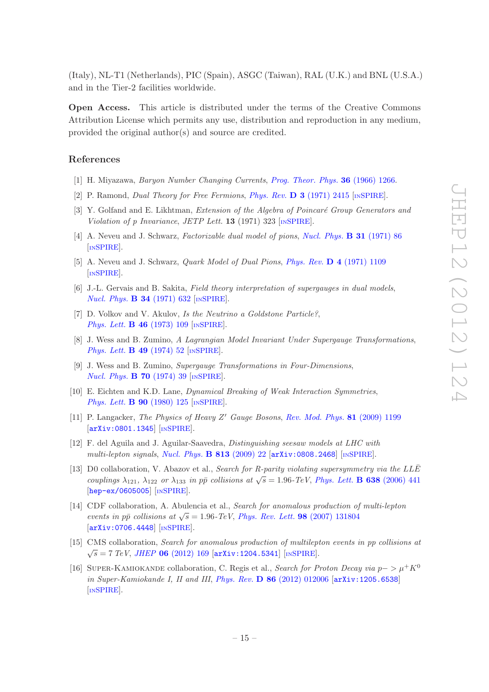(Italy), NL-T1 (Netherlands), PIC (Spain), ASGC (Taiwan), RAL (U.K.) and BNL (U.S.A.) and in the Tier-2 facilities worldwide.

Open Access. This article is distributed under the terms of the Creative Commons Attribution License which permits any use, distribution and reproduction in any medium, provided the original author(s) and source are credited.

# References

- <span id="page-15-0"></span>[1] H. Miyazawa, Baryon Number Changing Currents, [Prog. Theor. Phys.](http://dx.doi.org/10.1143/PTP.36.1266) 36 (1966) 1266.
- [2] P. Ramond, Dual Theory for Free Fermions, Phys. Rev. D 3 [\(1971\) 2415](http://dx.doi.org/10.1103/PhysRevD.3.2415) [IN[SPIRE](http://inspirehep.net/search?p=find+J+Phys.Rev.,D3,2415)].
- [3] Y. Golfand and E. Likhtman, Extension of the Algebra of Poincaré Group Generators and Violation of p Invariance, JETP Lett. **13** (1971) 323 [IN[SPIRE](http://inspirehep.net/search?p=find+J+JETPLett.,13,323)].
- [4] A. Neveu and J. Schwarz, Factorizable dual model of pions, [Nucl. Phys.](http://dx.doi.org/10.1016/0550-3213(71)90448-2) B 31 (1971) 86 [IN[SPIRE](http://inspirehep.net/search?p=find+J+Nucl.Phys.,B31,86)].
- [5] A. Neveu and J. Schwarz, Quark Model of Dual Pions, Phys. Rev. D 4 [\(1971\) 1109](http://dx.doi.org/10.1103/PhysRevD.4.1109) [IN[SPIRE](http://inspirehep.net/search?p=find+J+Phys.Rev.,D4,1109)].
- [6] J.-L. Gervais and B. Sakita, Field theory interpretation of supergauges in dual models, [Nucl. Phys.](http://dx.doi.org/10.1016/0550-3213(71)90351-8) **B 34** (1971) 632 [IN[SPIRE](http://inspirehep.net/search?p=find+J+Nucl.Phys.,B34,632)].
- [7] D. Volkov and V. Akulov, Is the Neutrino a Goldstone Particle?, [Phys. Lett.](http://dx.doi.org/10.1016/0370-2693(73)90490-5) **B 46** (1973) 109 [IN[SPIRE](http://inspirehep.net/search?p=find+J+Phys.Lett.,B46,109)].
- [8] J. Wess and B. Zumino, A Lagrangian Model Invariant Under Supergauge Transformations, [Phys. Lett.](http://dx.doi.org/10.1016/0370-2693(74)90578-4) **B 49** (1974) 52 [IN[SPIRE](http://inspirehep.net/search?p=find+J+Phys.Lett.,B49,52)].
- <span id="page-15-1"></span>[9] J. Wess and B. Zumino, Supergauge Transformations in Four-Dimensions, [Nucl. Phys.](http://dx.doi.org/10.1016/0550-3213(74)90355-1) **B 70** (1974) 39 [IN[SPIRE](http://inspirehep.net/search?p=find+J+Nucl.Phys.,B70,39)].
- <span id="page-15-2"></span>[10] E. Eichten and K.D. Lane, Dynamical Breaking of Weak Interaction Symmetries, [Phys. Lett.](http://dx.doi.org/10.1016/0370-2693(80)90065-9) **B 90** (1980) 125 [IN[SPIRE](http://inspirehep.net/search?p=find+J+Phys.Lett.,B90,125)].
- <span id="page-15-3"></span>[11] P. Langacker, The Physics of Heavy Z' Gauge Bosons, [Rev. Mod. Phys.](http://dx.doi.org/10.1103/RevModPhys.81.1199) 81 (2009) 1199 [[arXiv:0801.1345](http://arxiv.org/abs/0801.1345)] [IN[SPIRE](http://inspirehep.net/search?p=find+EPRINT+arXiv:0801.1345)].
- <span id="page-15-4"></span>[12] F. del Aguila and J. Aguilar-Saavedra, Distinguishing seesaw models at LHC with multi-lepton signals, [Nucl. Phys.](http://dx.doi.org/10.1016/j.nuclphysb.2008.12.029) **B 813** (2009) 22  $[\text{arXiv:0808.2468}]$  $[\text{arXiv:0808.2468}]$  $[\text{arXiv:0808.2468}]$   $[\text{nsPIRE}]$ .
- <span id="page-15-5"></span>[13] D0 collaboration, V. Abazov et al., Search for R-parity violating supersymmetry via the LLE couplings  $\lambda_{121}$ ,  $\lambda_{122}$  or  $\lambda_{133}$  in pp collisions at  $\sqrt{s} = 1.96$ -TeV, [Phys. Lett.](http://dx.doi.org/10.1016/j.physletb.2006.05.077) **B** 638 (2006) 441 [[hep-ex/0605005](http://arxiv.org/abs/hep-ex/0605005)] [IN[SPIRE](http://inspirehep.net/search?p=find+J+Phys.Lett.,B638,441)].
- <span id="page-15-6"></span>[14] CDF collaboration, A. Abulencia et al., Search for anomalous production of multi-lepton events in pp̄ collisions at  $\sqrt{s} = 1.96$ -TeV, [Phys. Rev. Lett.](http://dx.doi.org/10.1103/PhysRevLett.98.131804) **98** (2007) 131804 [[arXiv:0706.4448](http://arxiv.org/abs/0706.4448)] [IN[SPIRE](http://inspirehep.net/search?p=find+EPRINT+arXiv:0706.4448)].
- <span id="page-15-7"></span>[15] CMS collaboration, Search for anomalous production of multilepton events in pp collisions at  $\sqrt{s} = 7 \; TeV$ , JHEP 06 [\(2012\) 169](http://dx.doi.org/10.1007/JHEP06(2012)169) [[arXiv:1204.5341](http://arxiv.org/abs/1204.5341)] [IN[SPIRE](http://inspirehep.net/search?p=find+EPRINT+arXiv:1204.5341)].
- <span id="page-15-8"></span>[16] SUPER-KAMIOKANDE collaboration, C. Regis et al., Search for Proton Decay via  $p \to \mu^+ K^0$ in Super-Kamiokande I, II and III, Phys. Rev. D 86 [\(2012\) 012006](http://dx.doi.org/10.1103/PhysRevD.86.012006) [[arXiv:1205.6538](http://arxiv.org/abs/1205.6538)] [IN[SPIRE](http://inspirehep.net/search?p=find+J+Phys.Rev.,D86,012006)].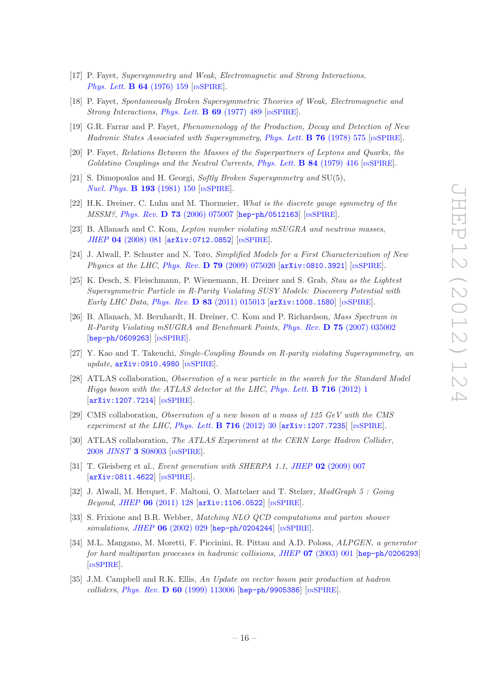- <span id="page-16-0"></span>[17] P. Fayet, Supersymmetry and Weak, Electromagnetic and Strong Interactions, [Phys. Lett.](http://dx.doi.org/10.1016/0370-2693(76)90319-1) **B 64** (1976) 159 [IN[SPIRE](http://inspirehep.net/search?p=find+J+Phys.Lett.,B64,159)].
- [18] P. Fayet, Spontaneously Broken Supersymmetric Theories of Weak, Electromagnetic and Strong Interactions, [Phys. Lett.](http://dx.doi.org/10.1016/0370-2693(77)90852-8) **B 69** (1977) 489 [IN[SPIRE](http://inspirehep.net/search?p=find+J+Phys.Lett.,B69,489)].
- [19] G.R. Farrar and P. Fayet, Phenomenology of the Production, Decay and Detection of New Hadronic States Associated with Supersymmetry, [Phys. Lett.](http://dx.doi.org/10.1016/0370-2693(78)90858-4) **B 76** (1978) 575 [IN[SPIRE](http://inspirehep.net/search?p=find+J+Phys.Lett.,B76,575)].
- [20] P. Fayet, Relations Between the Masses of the Superpartners of Leptons and Quarks, the Goldstino Couplings and the Neutral Currents, [Phys. Lett.](http://dx.doi.org/10.1016/0370-2693(79)91229-2) **B** 84 (1979) 416 [In [SPIRE](http://inspirehep.net/search?p=find+J+Phys.Lett.,B84,416)].
- <span id="page-16-1"></span>[21] S. Dimopoulos and H. Georgi, Softly Broken Supersymmetry and SU(5), [Nucl. Phys.](http://dx.doi.org/10.1016/0550-3213(81)90522-8) **B 193** (1981) 150 [IN[SPIRE](http://inspirehep.net/search?p=find+J+Nucl.Phys.,B193,150)].
- <span id="page-16-2"></span>[22] H.K. Dreiner, C. Luhn and M. Thormeier, What is the discrete gauge symmetry of the MSSM?, Phys. Rev. D 73 [\(2006\) 075007](http://dx.doi.org/10.1103/PhysRevD.73.075007) [[hep-ph/0512163](http://arxiv.org/abs/hep-ph/0512163)] [IN[SPIRE](http://inspirehep.net/search?p=find+J+Phys.Rev.,D73,075007)].
- <span id="page-16-3"></span>[23] B. Allanach and C. Kom, Lepton number violating mSUGRA and neutrino masses, JHEP 04 [\(2008\) 081](http://dx.doi.org/10.1088/1126-6708/2008/04/081) [[arXiv:0712.0852](http://arxiv.org/abs/0712.0852)] [IN[SPIRE](http://inspirehep.net/search?p=find+EPRINT+arXiv:0712.0852)].
- <span id="page-16-4"></span>[24] J. Alwall, P. Schuster and N. Toro, Simplified Models for a First Characterization of New *Physics at the LHC, Phys. Rev.* **D 79** [\(2009\) 075020](http://dx.doi.org/10.1103/PhysRevD.79.075020)  $\left[$ [arXiv:0810.3921](http://arxiv.org/abs/0810.3921) $\right]$   $\left[$ In[SPIRE](http://inspirehep.net/search?p=find+EPRINT+arXiv:0810.3921) $\right]$ .
- <span id="page-16-5"></span>[25] K. Desch, S. Fleischmann, P. Wienemann, H. Dreiner and S. Grab, Stau as the Lightest Supersymmetric Particle in R-Parity Violating SUSY Models: Discovery Potential with Early LHC Data, Phys. Rev. D 83 [\(2011\) 015013](http://dx.doi.org/10.1103/PhysRevD.83.015013)  $arXiv:1008.1580$  [IN[SPIRE](http://inspirehep.net/search?p=find+Phys.Rev,D83,015013)].
- <span id="page-16-6"></span>[26] B. Allanach, M. Bernhardt, H. Dreiner, C. Kom and P. Richardson, Mass Spectrum in R-Parity Violating mSUGRA and Benchmark Points, Phys. Rev. D 75 [\(2007\) 035002](http://dx.doi.org/10.1103/PhysRevD.75.035002) [[hep-ph/0609263](http://arxiv.org/abs/hep-ph/0609263)] [IN[SPIRE](http://inspirehep.net/search?p=find+J+Phys.Rev.,D75,035002)].
- <span id="page-16-7"></span>[27] Y. Kao and T. Takeuchi, Single-Coupling Bounds on R-parity violating Supersymmetry, an update, [arXiv:0910.4980](http://arxiv.org/abs/0910.4980) [IN[SPIRE](http://inspirehep.net/search?p=find+EPRINT+arXiv:0910.4980)].
- <span id="page-16-8"></span>[28] ATLAS collaboration, Observation of a new particle in the search for the Standard Model Higgs boson with the ATLAS detector at the LHC, [Phys. Lett.](http://dx.doi.org/10.1016/j.physletb.2012.08.020) **B** 716 (2012) 1 [[arXiv:1207.7214](http://arxiv.org/abs/1207.7214)] [IN[SPIRE](http://inspirehep.net/search?p=find+EPRINT+arXiv:1207.7214)].
- <span id="page-16-9"></span>[29] CMS collaboration, Observation of a new boson at a mass of 125 GeV with the CMS experiment at the LHC, [Phys. Lett.](http://dx.doi.org/10.1016/j.physletb.2012.08.021) **B** 716 (2012) 30  $\left[$ [arXiv:1207.7235](http://arxiv.org/abs/1207.7235) $\right]$   $\left[$ IN[SPIRE](http://inspirehep.net/search?p=find+EPRINT+arXiv:1207.7235) $\right]$ .
- <span id="page-16-10"></span>[30] ATLAS collaboration, The ATLAS Experiment at the CERN Large Hadron Collider, 2008 JINST 3 [S08003](http://dx.doi.org/10.1088/1748-0221/3/08/S08003) [IN[SPIRE](http://inspirehep.net/search?p=find+J+JINST,3,S08003)].
- <span id="page-16-11"></span>[31] T. Gleisberg et al., *Event generation with SHERPA 1.1*, *JHEP* 02 [\(2009\) 007](http://dx.doi.org/10.1088/1126-6708/2009/02/007) [[arXiv:0811.4622](http://arxiv.org/abs/0811.4622)] [IN[SPIRE](http://inspirehep.net/search?p=find+EPRINT+arXiv:0811.4622)].
- <span id="page-16-12"></span>[32] J. Alwall, M. Herquet, F. Maltoni, O. Mattelaer and T. Stelzer, MadGraph 5 : Going Beyond, JHEP 06 [\(2011\) 128](http://dx.doi.org/10.1007/JHEP06(2011)128) [[arXiv:1106.0522](http://arxiv.org/abs/1106.0522)] [IN[SPIRE](http://inspirehep.net/search?p=find+EPRINT+arXiv:1106.0522)].
- <span id="page-16-13"></span>[33] S. Frixione and B.R. Webber, *Matching NLO QCD computations and parton shower* simulations, JHEP 06 [\(2002\) 029](http://dx.doi.org/10.1088/1126-6708/2002/06/029) [[hep-ph/0204244](http://arxiv.org/abs/hep-ph/0204244)] [IN[SPIRE](http://inspirehep.net/search?p=find+J+JHEP,0206,029)].
- <span id="page-16-14"></span>[34] M.L. Mangano, M. Moretti, F. Piccinini, R. Pittau and A.D. Polosa, ALPGEN, a generator for hard multiparton processes in hadronic collisions, JHEP 07 [\(2003\) 001](http://dx.doi.org/10.1088/1126-6708/2003/07/001) [[hep-ph/0206293](http://arxiv.org/abs/hep-ph/0206293)] [IN[SPIRE](http://inspirehep.net/search?p=find+J+JHEP,0307,001)].
- <span id="page-16-15"></span>[35] J.M. Campbell and R.K. Ellis, An Update on vector boson pair production at hadron colliders, Phys. Rev.  $\bf{D}$  60 [\(1999\) 113006](http://dx.doi.org/10.1103/PhysRevD.60.113006) [[hep-ph/9905386](http://arxiv.org/abs/hep-ph/9905386)] [IN[SPIRE](http://inspirehep.net/search?p=find+J+Phys.Rev.,D60,113006)].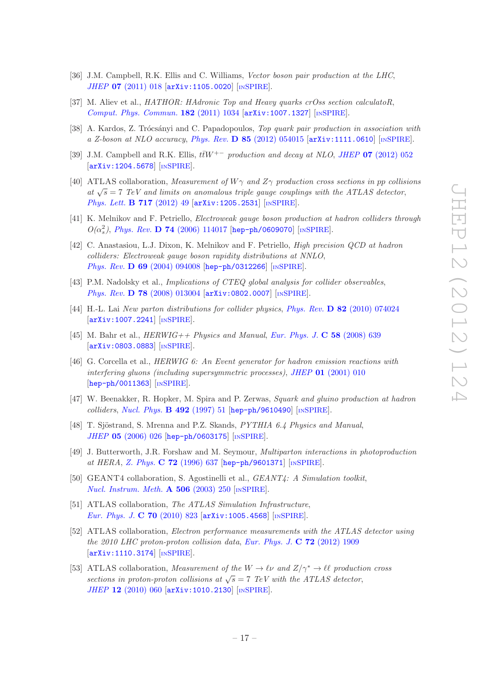- <span id="page-17-0"></span>[36] J.M. Campbell, R.K. Ellis and C. Williams, Vector boson pair production at the LHC, JHEP 07 [\(2011\) 018](http://dx.doi.org/10.1007/JHEP07(2011)018) [[arXiv:1105.0020](http://arxiv.org/abs/1105.0020)] [IN[SPIRE](http://inspirehep.net/search?p=find+EPRINT+arXiv:1105.0020)].
- <span id="page-17-1"></span>[37] M. Aliev et al., HATHOR: HAdronic Top and Heavy quarks crOss section calculatoR, [Comput. Phys. Commun.](http://dx.doi.org/10.1016/j.cpc.2010.12.040) 182 (2011) 1034 [[arXiv:1007.1327](http://arxiv.org/abs/1007.1327)] [IN[SPIRE](http://inspirehep.net/search?p=find+EPRINT+arXiv:1007.1327)].
- <span id="page-17-2"></span>[38] A. Kardos, Z. Trócsányi and C. Papadopoulos, Top quark pair production in association with a Z-boson at NLO accuracy, Phys. Rev. D 85 [\(2012\) 054015](http://dx.doi.org/10.1103/PhysRevD.85.054015) [[arXiv:1111.0610](http://arxiv.org/abs/1111.0610)] [IN[SPIRE](http://inspirehep.net/search?p=find+EPRINT+arXiv:1111.0610)].
- <span id="page-17-3"></span>[39] J.M. Campbell and R.K. Ellis,  $t\bar{t}W^{+-}$  production and decay at NLO, JHEP 07 [\(2012\) 052](http://dx.doi.org/10.1007/JHEP07(2012)052) [[arXiv:1204.5678](http://arxiv.org/abs/1204.5678)] [IN[SPIRE](http://inspirehep.net/search?p=find+EPRINT+arXiv:1204.5678)].
- <span id="page-17-4"></span>[40] ATLAS collaboration, Measurement of  $W\gamma$  and  $Z\gamma$  production cross sections in pp collisions at  $\sqrt{s}$  = 7 TeV and limits on anomalous triple gauge couplings with the ATLAS detector, [Phys. Lett.](http://dx.doi.org/10.1016/j.physletb.2012.09.017) **B 717** (2012) 49 [[arXiv:1205.2531](http://arxiv.org/abs/1205.2531)] [IN[SPIRE](http://inspirehep.net/search?p=find+EPRINT+arXiv:1205.2531)].
- <span id="page-17-5"></span>[41] K. Melnikov and F. Petriello, Electroweak gauge boson production at hadron colliders through  $O(α<sub>s</sub><sup>2</sup>)$ , Phys. Rev. **D 74** [\(2006\) 114017](http://dx.doi.org/10.1103/PhysRevD.74.114017) [[hep-ph/0609070](http://arxiv.org/abs/hep-ph/0609070)] [IN[SPIRE](http://inspirehep.net/search?p=find+J+Phys.Rev.,D74,114017)].
- <span id="page-17-6"></span>[42] C. Anastasiou, L.J. Dixon, K. Melnikov and F. Petriello, High precision QCD at hadron colliders: Electroweak gauge boson rapidity distributions at NNLO, Phys. Rev. **D 69** [\(2004\) 094008](http://dx.doi.org/10.1103/PhysRevD.69.094008) [[hep-ph/0312266](http://arxiv.org/abs/hep-ph/0312266)] [IN[SPIRE](http://inspirehep.net/search?p=find+J+Phys.Rev.,D69,094008)].
- <span id="page-17-7"></span>[43] P.M. Nadolsky et al., *Implications of CTEQ global analysis for collider observables*, Phys. Rev. D 78 [\(2008\) 013004](http://dx.doi.org/10.1103/PhysRevD.78.013004) [[arXiv:0802.0007](http://arxiv.org/abs/0802.0007)] [IN[SPIRE](http://inspirehep.net/search?p=find+EPRINT+arXiv:0802.0007)].
- <span id="page-17-8"></span>[44] H.-L. Lai New parton distributions for collider physics, Phys. Rev. D 82 [\(2010\) 074024](http://dx.doi.org/10.1103/PhysRevD.82.074024) [[arXiv:1007.2241](http://arxiv.org/abs/1007.2241)] [IN[SPIRE](http://inspirehep.net/search?p=find+EPRINT+arXiv:1007.2241)].
- <span id="page-17-9"></span>[45] M. Bahr et al.,  $HERWIG + \textit{Physics and Manual}, Eur. Phys. J. C 58 (2008) 639$  $HERWIG + \textit{Physics and Manual}, Eur. Phys. J. C 58 (2008) 639$  $HERWIG + \textit{Physics and Manual}, Eur. Phys. J. C 58 (2008) 639$ [[arXiv:0803.0883](http://arxiv.org/abs/0803.0883)] [IN[SPIRE](http://inspirehep.net/search?p=find+EPRINT+arXiv:0803.0883)].
- <span id="page-17-10"></span>[46] G. Corcella et al., HERWIG 6: An Event generator for hadron emission reactions with interfering gluons (including supersymmetric processes), JHEP 01 [\(2001\) 010](http://dx.doi.org/10.1088/1126-6708/2001/01/010) [[hep-ph/0011363](http://arxiv.org/abs/hep-ph/0011363)] [IN[SPIRE](http://inspirehep.net/search?p=find+J+JHEP,0101,010)].
- <span id="page-17-11"></span>[47] W. Beenakker, R. Hopker, M. Spira and P. Zerwas, Squark and gluino production at hadron  $colliders, Nucl. Phys.$  $colliders, Nucl. Phys.$  **B** 492 (1997) 51  $[hep-ph/9610490]$  $[hep-ph/9610490]$  $[hep-ph/9610490]$   $[NSPIRE]$  $[NSPIRE]$  $[NSPIRE]$ .
- <span id="page-17-12"></span>[48] T. Sjöstrand, S. Mrenna and P.Z. Skands, PYTHIA 6.4 Physics and Manual, JHEP 05 [\(2006\) 026](http://dx.doi.org/10.1088/1126-6708/2006/05/026) [[hep-ph/0603175](http://arxiv.org/abs/hep-ph/0603175)] [IN[SPIRE](http://inspirehep.net/search?p=find+J+JHEP,0605,026)].
- <span id="page-17-13"></span>[49] J. Butterworth, J.R. Forshaw and M. Seymour, Multiparton interactions in photoproduction at HERA, Z. Phys. C 72 [\(1996\) 637](http://dx.doi.org/10.1007/s002880050286) [[hep-ph/9601371](http://arxiv.org/abs/hep-ph/9601371)] [IN[SPIRE](http://inspirehep.net/search?p=find+J+Z.Physik,C72,637)].
- <span id="page-17-14"></span>[50] GEANT4 collaboration, S. Agostinelli et al., GEANT4: A Simulation toolkit, [Nucl. Instrum. Meth.](http://dx.doi.org/10.1016/S0168-9002(03)01368-8) **A 506** (2003) 250 [IN[SPIRE](http://inspirehep.net/search?p=find+J+Nucl.Instrum.Meth.,A506,250)].
- <span id="page-17-15"></span>[51] ATLAS collaboration, The ATLAS Simulation Infrastructure, [Eur. Phys. J.](http://dx.doi.org/10.1140/epjc/s10052-010-1429-9) C 70 (2010) 823 [[arXiv:1005.4568](http://arxiv.org/abs/1005.4568)] [IN[SPIRE](http://inspirehep.net/search?p=find+EPRINT+arXiv:1005.4568)].
- <span id="page-17-16"></span>[52] ATLAS collaboration, *Electron performance measurements with the ATLAS detector using* the 2010 LHC proton-proton collision data, [Eur. Phys. J.](http://dx.doi.org/10.1140/epjc/s10052-012-1909-1)  $C$  72 (2012) 1909 [[arXiv:1110.3174](http://arxiv.org/abs/1110.3174)] [IN[SPIRE](http://inspirehep.net/search?p=find+EPRINT+arXiv:1110.3174)].
- <span id="page-17-17"></span>[53] ATLAS collaboration, Measurement of the  $W \to \ell \nu$  and  $Z/\gamma^* \to \ell \ell$  production cross sections in proton-proton collisions at  $\sqrt{s} = 7$  TeV with the ATLAS detector, JHEP 12 [\(2010\) 060](http://dx.doi.org/10.1007/JHEP12(2010)060) [[arXiv:1010.2130](http://arxiv.org/abs/1010.2130)] [IN[SPIRE](http://inspirehep.net/search?p=find+J+JHEP,1012,060)].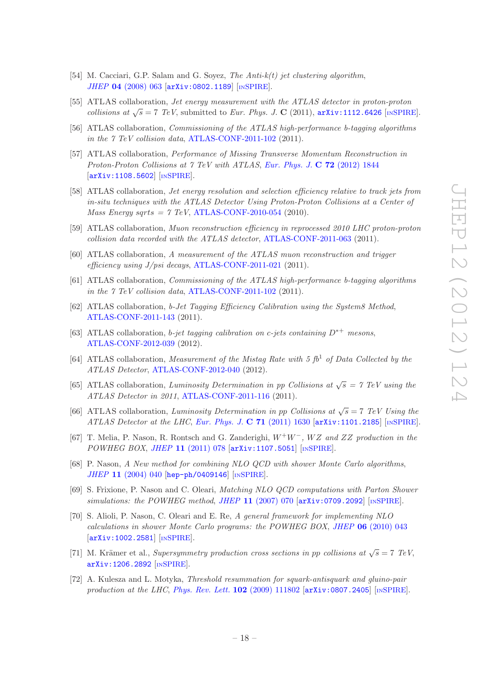- <span id="page-18-0"></span>[54] M. Cacciari, G.P. Salam and G. Soyez, The Anti-k(t) jet clustering algorithm, JHEP 04 [\(2008\) 063](http://dx.doi.org/10.1088/1126-6708/2008/04/063) [[arXiv:0802.1189](http://arxiv.org/abs/0802.1189)] [IN[SPIRE](http://inspirehep.net/search?p=find+EPRINT+arXiv:0802.1189)].
- <span id="page-18-1"></span>[55] ATLAS collaboration, Jet energy measurement with the ATLAS detector in proton-proton collisions at  $\sqrt{s} = 7$  TeV, submitted to Eur. Phys. J. C (2011), [arXiv:1112.6426](http://arxiv.org/abs/1112.6426) [IN[SPIRE](http://inspirehep.net/search?p=find+EPRINT+arXiv:1112.6426)].
- <span id="page-18-2"></span>[56] ATLAS collaboration, Commissioning of the ATLAS high-performance b-tagging algorithms in the 7 TeV collision data, [ATLAS-CONF-2011-102](http://cdsweb.cern.ch/record/1369219) (2011).
- <span id="page-18-3"></span>[57] ATLAS collaboration, Performance of Missing Transverse Momentum Reconstruction in Proton-Proton Collisions at 7 TeV with ATLAS, [Eur. Phys. J.](http://dx.doi.org/10.1140/epjc/s10052-011-1844-6) C 72 (2012) 1844 [[arXiv:1108.5602](http://arxiv.org/abs/1108.5602)] [IN[SPIRE](http://inspirehep.net/search?p=find+EPRINT+arXiv:1108.5602)].
- <span id="page-18-4"></span>[58] ATLAS collaboration, Jet energy resolution and selection efficiency relative to track jets from in-situ techniques with the ATLAS Detector Using Proton-Proton Collisions at a Center of *Mass Energy sqrts = 7 TeV, [ATLAS-CONF-2010-054](http://cdsweb.cern.ch/record/1281311) (2010).*
- <span id="page-18-6"></span>[59] ATLAS collaboration, Muon reconstruction efficiency in reprocessed 2010 LHC proton-proton collision data recorded with the ATLAS detector, [ATLAS-CONF-2011-063](http://cdsweb.cern.ch/record/1345743) (2011).
- <span id="page-18-5"></span>[60] ATLAS collaboration, A measurement of the ATLAS muon reconstruction and trigger efficiency using J/psi decays, [ATLAS-CONF-2011-021](http://cdsweb.cern.ch/record/1336750) (2011).
- <span id="page-18-7"></span>[61] ATLAS collaboration, Commissioning of the ATLAS high-performance b-tagging algorithms in the 7 TeV collision data, [ATLAS-CONF-2011-102](http://cdsweb.cern.ch/record/1369219) (2011).
- [62] ATLAS collaboration, b-Jet Tagging Efficiency Calibration using the System8 Method, [ATLAS-CONF-2011-143](http://cdsweb.cern.ch/record/1386703) (2011).
- [63] ATLAS collaboration, b-jet tagging calibration on c-jets containing  $D^{*+}$  mesons, [ATLAS-CONF-2012-039](http://cdsweb.cern.ch/record/1435193) (2012).
- <span id="page-18-8"></span>[64] ATLAS collaboration, Measurement of the Mistag Rate with 5  $fb<sup>1</sup>$  of Data Collected by the ATLAS Detector, [ATLAS-CONF-2012-040](http://cdsweb.cern.ch/record/1435194) (2012).
- <span id="page-18-9"></span>[65] ATLAS collaboration, Luminosity Determination in pp Collisions at  $\sqrt{s} = 7$  TeV using the ATLAS Detector in 2011, [ATLAS-CONF-2011-116](http://cdsweb.cern.ch/record/1376384) (2011).
- <span id="page-18-10"></span>[66] ATLAS collaboration, Luminosity Determination in pp Collisions at  $\sqrt{s} = 7$  TeV Using the ATLAS Detector at the LHC, [Eur. Phys. J.](http://dx.doi.org/10.1140/epjc/s10052-011-1630-5) C  $71$  (2011) 1630 [[arXiv:1101.2185](http://arxiv.org/abs/1101.2185)] [IN[SPIRE](http://inspirehep.net/search?p=find+EPRINT+arXiv:1101.2185)].
- <span id="page-18-11"></span>[67] T. Melia, P. Nason, R. Rontsch and G. Zanderighi,  $W^+W^-$ ,  $WZ$  and ZZ production in the POWHEG BOX, JHEP 11 [\(2011\) 078](http://dx.doi.org/10.1007/JHEP11(2011)078) [[arXiv:1107.5051](http://arxiv.org/abs/1107.5051)] [IN[SPIRE](http://inspirehep.net/search?p=find+EPRINT+arXiv:1107.5051)].
- [68] P. Nason, A New method for combining NLO QCD with shower Monte Carlo algorithms, JHEP 11 [\(2004\) 040](http://dx.doi.org/10.1088/1126-6708/2004/11/040) [[hep-ph/0409146](http://arxiv.org/abs/hep-ph/0409146)] [IN[SPIRE](http://inspirehep.net/search?p=find+J+JHEP,0411,040)].
- [69] S. Frixione, P. Nason and C. Oleari, Matching NLO QCD computations with Parton Shower simulations: the POWHEG method, JHEP 11 [\(2007\) 070](http://dx.doi.org/10.1088/1126-6708/2007/11/070) [[arXiv:0709.2092](http://arxiv.org/abs/0709.2092)] [IN[SPIRE](http://inspirehep.net/search?p=find+EPRINT+arXiv:0709.2092)].
- <span id="page-18-12"></span>[70] S. Alioli, P. Nason, C. Oleari and E. Re, A general framework for implementing NLO calculations in shower Monte Carlo programs: the POWHEG BOX, JHEP 06 [\(2010\) 043](http://dx.doi.org/10.1007/JHEP06(2010)043) [[arXiv:1002.2581](http://arxiv.org/abs/1002.2581)] [IN[SPIRE](http://inspirehep.net/search?p=find+EPRINT+arXiv:1002.2581)].
- <span id="page-18-13"></span>[71] M. Krämer et al., Supersymmetry production cross sections in pp collisions at  $\sqrt{s} = 7$  TeV, [arXiv:1206.2892](http://arxiv.org/abs/1206.2892) [IN[SPIRE](http://inspirehep.net/search?p=find+EPRINT+arXiv:1206.2892)].
- <span id="page-18-14"></span>[72] A. Kulesza and L. Motyka, Threshold resummation for squark-antisquark and gluino-pair production at the LHC, [Phys. Rev. Lett.](http://dx.doi.org/10.1103/PhysRevLett.102.111802)  $102$  (2009) 111802 [[arXiv:0807.2405](http://arxiv.org/abs/0807.2405)] [IN[SPIRE](http://inspirehep.net/search?p=find+EPRINT+arXiv:0807.2405)].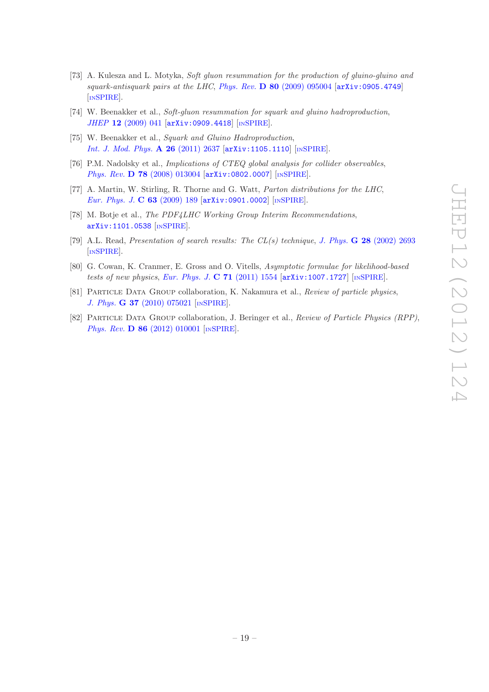- [73] A. Kulesza and L. Motyka, Soft gluon resummation for the production of gluino-gluino and  $squark-antisquark pairs at the LHC, Phys. Rev. **D** 80 (2009) 095004 [arXiv:0905.4749]$  $squark-antisquark pairs at the LHC, Phys. Rev. **D** 80 (2009) 095004 [arXiv:0905.4749]$  $squark-antisquark pairs at the LHC, Phys. Rev. **D** 80 (2009) 095004 [arXiv:0905.4749]$  $squark-antisquark pairs at the LHC, Phys. Rev. **D** 80 (2009) 095004 [arXiv:0905.4749]$  $squark-antisquark pairs at the LHC, Phys. Rev. **D** 80 (2009) 095004 [arXiv:0905.4749]$ [IN[SPIRE](http://inspirehep.net/search?p=find+EPRINT+arXiv:0905.4749)].
- [74] W. Beenakker et al., Soft-gluon resummation for squark and gluino hadroproduction, JHEP 12 [\(2009\) 041](http://dx.doi.org/10.1088/1126-6708/2009/12/041) [[arXiv:0909.4418](http://arxiv.org/abs/0909.4418)] [IN[SPIRE](http://inspirehep.net/search?p=find+EPRINT+arXiv:0909.4418)].
- <span id="page-19-3"></span>[75] W. Beenakker et al., Squark and Gluino Hadroproduction, [Int. J. Mod. Phys.](http://dx.doi.org/10.1142/S0217751X11053560) A 26 (2011) 2637 [[arXiv:1105.1110](http://arxiv.org/abs/1105.1110)] [IN[SPIRE](http://inspirehep.net/search?p=find+EPRINT+arXiv:1105.1110)].
- <span id="page-19-0"></span>[76] P.M. Nadolsky et al., Implications of CTEQ global analysis for collider observables, Phys. Rev. D 78 [\(2008\) 013004](http://dx.doi.org/10.1103/PhysRevD.78.013004) [[arXiv:0802.0007](http://arxiv.org/abs/0802.0007)] [IN[SPIRE](http://inspirehep.net/search?p=find+J+Phys.Rev.,D78,013004)].
- <span id="page-19-1"></span>[77] A. Martin, W. Stirling, R. Thorne and G. Watt, Parton distributions for the LHC, [Eur. Phys. J.](http://dx.doi.org/10.1140/epjc/s10052-009-1072-5) C 63 (2009) 189  $\left[$ [arXiv:0901.0002](http://arxiv.org/abs/0901.0002) $\right]$   $\left[$ IN[SPIRE](http://inspirehep.net/search?p=find+J+Eur.Phys.J.,C63,189) $\right]$ .
- <span id="page-19-2"></span>[78] M. Botje et al., The PDF4LHC Working Group Interim Recommendations, [arXiv:1101.0538](http://arxiv.org/abs/1101.0538) [IN[SPIRE](http://inspirehep.net/search?p=find+EPRINT+arXiv:1101.0538)].
- <span id="page-19-4"></span>[79] A.L. Read, Presentation of search results: The  $CL(s)$  technique, J. Phys. **G 28** [\(2002\) 2693](http://dx.doi.org/10.1088/0954-3899/28/10/313) [IN[SPIRE](http://inspirehep.net/search?p=find+J+J.Phys.,G28,2693)].
- <span id="page-19-5"></span>[80] G. Cowan, K. Cranmer, E. Gross and O. Vitells, Asymptotic formulae for likelihood-based tests of new physics, [Eur. Phys. J.](http://dx.doi.org/10.1140/epjc/s10052-011-1554-0) C  $71$  (2011) 1554  $\left[$ [arXiv:1007.1727](http://arxiv.org/abs/1007.1727) $\right]$   $\left[$ IN[SPIRE](http://inspirehep.net/search?p=find+EPRINT+arXiv:1007.1727) $\right]$ .
- <span id="page-19-6"></span>[81] PARTICLE DATA GROUP collaboration, K. Nakamura et al., Review of particle physics, J. Phys. G 37 [\(2010\) 075021](http://dx.doi.org/10.1088/0954-3899/37/7A/075021) [IN[SPIRE](http://inspirehep.net/search?p=find+J+J.Phys.,G37,075021)].
- <span id="page-19-7"></span>[82] Particle Data Group collaboration, J. Beringer et al., Review of Particle Physics (RPP), Phys. Rev. **D 86** [\(2012\) 010001](http://dx.doi.org/10.1103/PhysRevD.86.010001) [IN[SPIRE](http://inspirehep.net/search?p=find+J+Phys.Rev.,D86,010001)].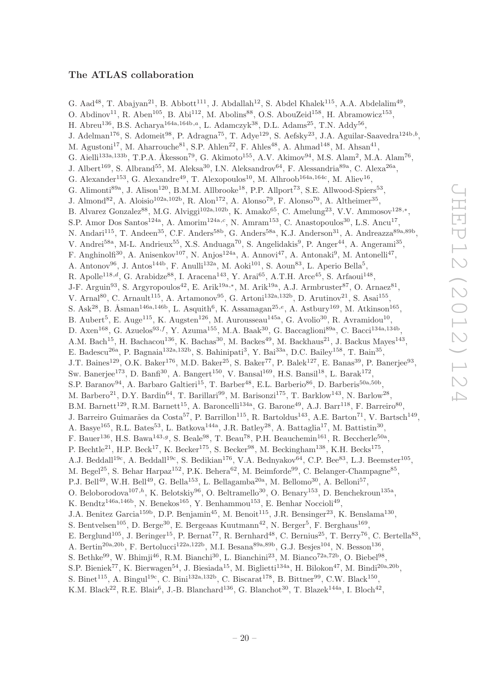# <span id="page-20-0"></span>The ATLAS collaboration

G. Aad<sup>48</sup>, T. Abajyan<sup>21</sup>, B. Abbott<sup>111</sup>, J. Abdallah<sup>12</sup>, S. Abdel Khalek<sup>115</sup>, A.A. Abdelalim<sup>49</sup>, O. Abdinov<sup>11</sup>, R. Aben<sup>105</sup>, B. Abi<sup>112</sup>, M. Abolins<sup>88</sup>, O.S. AbouZeid<sup>158</sup>, H. Abramowicz<sup>153</sup>, H. Abreu<sup>136</sup>, B.S. Acharya<sup>164a,164b,a</sup>, L. Adamczyk<sup>38</sup>, D.L. Adams<sup>25</sup>, T.N. Addy<sup>56</sup>, J. Adelman<sup>176</sup>, S. Adomeit<sup>98</sup>, P. Adragna<sup>75</sup>, T. Adye<sup>129</sup>, S. Aefsky<sup>23</sup>, J.A. Aguilar-Saavedra<sup>124b,b</sup>, M. Agustoni<sup>17</sup>, M. Aharrouche<sup>81</sup>, S.P. Ahlen<sup>22</sup>, F. Ahles<sup>48</sup>, A. Ahmad<sup>148</sup>, M. Ahsan<sup>41</sup>, G. Aielli<sup>133a,133b</sup>, T.P.A. Åkesson<sup>79</sup>, G. Akimoto<sup>155</sup>, A.V. Akimov<sup>94</sup>, M.S. Alam<sup>2</sup>, M.A. Alam<sup>76</sup>, J. Albert<sup>169</sup>, S. Albrand<sup>55</sup>, M. Aleksa<sup>30</sup>, I.N. Aleksandrov<sup>64</sup>, F. Alessandria<sup>89a</sup>, C. Alexa<sup>26a</sup>, G. Alexander<sup>153</sup>, G. Alexandre<sup>49</sup>, T. Alexopoulos<sup>10</sup>, M. Alhroob<sup>164a,164c</sup>, M. Aliev<sup>16</sup>, G. Alimonti<sup>89a</sup>, J. Alison<sup>120</sup>, B.M.M. Allbrooke<sup>18</sup>, P.P. Allport<sup>73</sup>, S.E. Allwood-Spiers<sup>53</sup>, J. Almond<sup>82</sup>, A. Aloisio<sup>102a,102b</sup>, R. Alon<sup>172</sup>, A. Alonso<sup>79</sup>, F. Alonso<sup>70</sup>, A. Altheimer<sup>35</sup>, B. Alvarez Gonzalez<sup>88</sup>, M.G. Alviggi<sup>102a,102b</sup>, K. Amako<sup>65</sup>, C. Amelung<sup>23</sup>, V.V. Ammosov<sup>128,\*</sup>, S.P. Amor Dos Santos<sup>124a</sup>, A. Amorim<sup>124a,c</sup>, N. Amram<sup>153</sup>, C. Anastopoulos<sup>30</sup>, L.S. Ancu<sup>17</sup>, N. Andari<sup>115</sup>, T. Andeen<sup>35</sup>, C.F. Anders<sup>58b</sup>, G. Anders<sup>58a</sup>, K.J. Anderson<sup>31</sup>, A. Andreazza<sup>89a,89b</sup>, V. Andrei<sup>58a</sup>, M-L. Andrieux<sup>55</sup>, X.S. Anduaga<sup>70</sup>, S. Angelidakis<sup>9</sup>, P. Anger<sup>44</sup>, A. Angerami<sup>35</sup>, F. Anghinolfi<sup>30</sup>, A. Anisenkov<sup>107</sup>, N. Anjos<sup>124a</sup>, A. Annovi<sup>47</sup>, A. Antonaki<sup>9</sup>, M. Antonelli<sup>47</sup>, A. Antonov $96$ , J. Antos<sup>144b</sup>, F. Anulli<sup>132a</sup>, M. Aoki<sup>101</sup>, S. Aoun<sup>83</sup>, L. Aperio Bella<sup>5</sup>, R. Apolle<sup>118,d</sup>, G. Arabidze<sup>88</sup>, I. Aracena<sup>143</sup>, Y. Arai<sup>65</sup>, A.T.H. Arce<sup>45</sup>, S. Arfaoui<sup>148</sup>, J-F. Arguin<sup>93</sup>, S. Argyropoulos<sup>42</sup>, E. Arik<sup>19a,\*</sup>, M. Arik<sup>19a</sup>, A.J. Armbruster<sup>87</sup>, O. Arnaez<sup>81</sup>, V. Arnal<sup>80</sup>, C. Arnault<sup>115</sup>, A. Artamonov<sup>95</sup>, G. Artoni<sup>132a,132b</sup>, D. Arutinov<sup>21</sup>, S. Asai<sup>155</sup>, S. Ask<sup>28</sup>, B. Åsman<sup>146a,146b</sup>, L. Asquith<sup>6</sup>, K. Assamagan<sup>25,e</sup>, A. Astbury<sup>169</sup>, M. Atkinson<sup>165</sup>, B. Aubert<sup>5</sup>, E. Auge<sup>115</sup>, K. Augsten<sup>126</sup>, M. Aurousseau<sup>145a</sup>, G. Avolio<sup>30</sup>, R. Avramidou<sup>10</sup>, D. Axen<sup>168</sup>, G. Azuelos<sup>93,f</sup>, Y. Azuma<sup>155</sup>, M.A. Baak<sup>30</sup>, G. Baccaglioni<sup>89a</sup>, C. Bacci<sup>134a,134b</sup>, A.M. Bach<sup>15</sup>, H. Bachacou<sup>136</sup>, K. Bachas<sup>30</sup>, M. Backes<sup>49</sup>, M. Backhaus<sup>21</sup>, J. Backus Mayes<sup>143</sup>, E. Badescu<sup>26a</sup>, P. Bagnaia<sup>132a,132b</sup>, S. Bahinipati<sup>3</sup>, Y. Bai<sup>33a</sup>, D.C. Bailey<sup>158</sup>, T. Bain<sup>35</sup>, J.T. Baines<sup>129</sup>, O.K. Baker<sup>176</sup>, M.D. Baker<sup>25</sup>, S. Baker<sup>77</sup>, P. Balek<sup>127</sup>, E. Banas<sup>39</sup>, P. Banerjee<sup>93</sup>, Sw. Banerjee<sup>173</sup>, D. Banfi<sup>30</sup>, A. Bangert<sup>150</sup>, V. Bansal<sup>169</sup>, H.S. Bansil<sup>18</sup>, L. Barak<sup>172</sup>, S.P. Baranov<sup>94</sup>, A. Barbaro Galtieri<sup>15</sup>, T. Barber<sup>48</sup>, E.L. Barberio<sup>86</sup>, D. Barberis<sup>50a,50b</sup>, M. Barbero<sup>21</sup>, D.Y. Bardin<sup>64</sup>, T. Barillari<sup>99</sup>, M. Barisonzi<sup>175</sup>, T. Barklow<sup>143</sup>, N. Barlow<sup>28</sup>, B.M. Barnett<sup>129</sup>, R.M. Barnett<sup>15</sup>, A. Baroncelli<sup>134a</sup>, G. Barone<sup>49</sup>, A.J. Barr<sup>118</sup>, F. Barreiro<sup>80</sup>, J. Barreiro Guimarães da Costa<sup>57</sup>, P. Barrillon<sup>115</sup>, R. Bartoldus<sup>143</sup>, A.E. Barton<sup>71</sup>, V. Bartsch<sup>149</sup>, A. Basye<sup>165</sup>, R.L. Bates<sup>53</sup>, L. Batkova<sup>144a</sup>, J.R. Batley<sup>28</sup>, A. Battaglia<sup>17</sup>, M. Battistin<sup>30</sup>, F. Bauer<sup>136</sup>, H.S. Bawa<sup>143,g</sup>, S. Beale<sup>98</sup>, T. Beau<sup>78</sup>, P.H. Beauchemin<sup>161</sup>, R. Beccherle<sup>50a</sup>, P. Bechtle<sup>21</sup>, H.P. Beck<sup>17</sup>, K. Becker<sup>175</sup>, S. Becker<sup>98</sup>, M. Beckingham<sup>138</sup>, K.H. Becks<sup>175</sup>, A.J. Beddall<sup>19c</sup>, A. Beddall<sup>19c</sup>, S. Bedikian<sup>176</sup>, V.A. Bednyakov<sup>64</sup>, C.P. Bee<sup>83</sup>, L.J. Beemster<sup>105</sup>, M. Begel<sup>25</sup>, S. Behar Harpaz<sup>152</sup>, P.K. Behera<sup>62</sup>, M. Beimforde<sup>99</sup>, C. Belanger-Champagne<sup>85</sup>, P.J. Bell<sup>49</sup>, W.H. Bell<sup>49</sup>, G. Bella<sup>153</sup>, L. Bellagamba<sup>20a</sup>, M. Bellomo<sup>30</sup>, A. Belloni<sup>57</sup>, O. Beloborodova<sup>107,h</sup>, K. Belotskiy<sup>96</sup>, O. Beltramello<sup>30</sup>, O. Benary<sup>153</sup>, D. Benchekroun<sup>135a</sup>, K. Bendtz<sup>146a,146b</sup>, N. Benekos<sup>165</sup>, Y. Benhammou<sup>153</sup>, E. Benhar Noccioli<sup>49</sup>, J.A. Benitez Garcia<sup>159b</sup>, D.P. Benjamin<sup>45</sup>, M. Benoit<sup>115</sup>, J.R. Bensinger<sup>23</sup>, K. Benslama<sup>130</sup>, S. Bentvelsen<sup>105</sup>, D. Berge<sup>30</sup>, E. Bergeaas Kuutmann<sup>42</sup>, N. Berger<sup>5</sup>, F. Berghaus<sup>169</sup>, E. Berglund<sup>105</sup>, J. Beringer<sup>15</sup>, P. Bernat<sup>77</sup>, R. Bernhard<sup>48</sup>, C. Bernius<sup>25</sup>, T. Berry<sup>76</sup>, C. Bertella<sup>83</sup>, A. Bertin<sup>20a, 20b</sup>, F. Bertolucci<sup>122a, 122b</sup>, M.I. Besana<sup>89a, 89b</sup>, G.J. Besjes<sup>104</sup>, N. Besson<sup>136</sup>, S. Bethke<sup>99</sup>, W. Bhimji<sup>46</sup>, R.M. Bianchi<sup>30</sup>, L. Bianchini<sup>23</sup>, M. Bianco<sup>72a,72b</sup>, O. Biebel<sup>98</sup>, S.P. Bieniek<sup>77</sup>, K. Bierwagen<sup>54</sup>, J. Biesiada<sup>15</sup>, M. Biglietti<sup>134a</sup>, H. Bilokon<sup>47</sup>, M. Bindi<sup>20a,20b</sup>, S. Binet<sup>115</sup>, A. Bingul<sup>19c</sup>, C. Bini<sup>132a,132b</sup>, C. Biscarat<sup>178</sup>, B. Bittner<sup>99</sup>, C.W. Black<sup>150</sup>,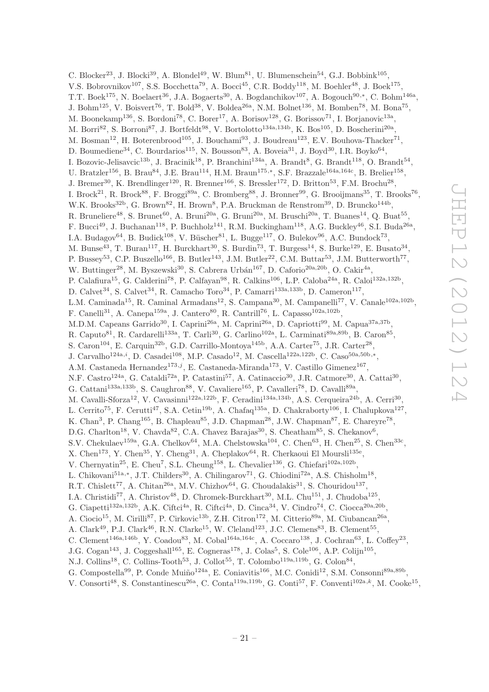C. Blocker<sup>23</sup>, J. Blocki<sup>39</sup>, A. Blondel<sup>49</sup>, W. Blum<sup>81</sup>, U. Blumenschein<sup>54</sup>, G.J. Bobbink<sup>105</sup>, V.S. Bobrovnikov<sup>107</sup>, S.S. Bocchetta<sup>79</sup>, A. Bocci<sup>45</sup>, C.R. Boddy<sup>118</sup>, M. Boehler<sup>48</sup>, J. Boek<sup>175</sup>, T.T. Boek<sup>175</sup>, N. Boelaert<sup>36</sup>, J.A. Bogaerts<sup>30</sup>, A. Bogdanchikov<sup>107</sup>, A. Bogouch<sup>90,\*</sup>, C. Bohm<sup>146a</sup>, J. Bohm<sup>125</sup>, V. Boisvert<sup>76</sup>, T. Bold<sup>38</sup>, V. Boldea<sup>26a</sup>, N.M. Bolnet<sup>136</sup>, M. Bomben<sup>78</sup>, M. Bona<sup>75</sup>, M. Boonekamp<sup>136</sup>, S. Bordoni<sup>78</sup>, C. Borer<sup>17</sup>, A. Borisov<sup>128</sup>, G. Borissov<sup>71</sup>, I. Borjanovic<sup>13a</sup>, M. Borri<sup>82</sup>, S. Borroni<sup>87</sup>, J. Bortfeldt<sup>98</sup>, V. Bortolotto<sup>134a,134b</sup>, K. Bos<sup>105</sup>, D. Boscherini<sup>20a</sup>, M. Bosman<sup>12</sup>, H. Boterenbrood<sup>105</sup>, J. Bouchami<sup>93</sup>, J. Boudreau<sup>123</sup>, E.V. Bouhova-Thacker<sup>71</sup>, D. Boumediene<sup>34</sup>, C. Bourdarios<sup>115</sup>, N. Bousson<sup>83</sup>, A. Boveia<sup>31</sup>, J. Boyd<sup>30</sup>, I.R. Boyko<sup>64</sup>, I. Bozovic-Jelisavcic<sup>13b</sup>, J. Bracinik<sup>18</sup>, P. Branchini<sup>134a</sup>, A. Brandt<sup>8</sup>, G. Brandt<sup>118</sup>, O. Brandt<sup>54</sup>, U. Bratzler<sup>156</sup>, B. Brau<sup>84</sup>, J.E. Brau<sup>114</sup>, H.M. Braun<sup>175,\*</sup>, S.F. Brazzale<sup>164a,164c</sup>, B. Brelier<sup>158</sup>, J. Bremer<sup>30</sup>, K. Brendlinger<sup>120</sup>, R. Brenner<sup>166</sup>, S. Bressler<sup>172</sup>, D. Britton<sup>53</sup>, F.M. Brochu<sup>28</sup>, I. Brock<sup>21</sup>, R. Brock<sup>88</sup>, F. Broggi<sup>89a</sup>, C. Bromberg<sup>88</sup>, J. Bronner<sup>99</sup>, G. Brooijmans<sup>35</sup>, T. Brooks<sup>76</sup>, W.K. Brooks<sup>32b</sup>, G. Brown<sup>82</sup>, H. Brown<sup>8</sup>, P.A. Bruckman de Renstrom<sup>39</sup>, D. Bruncko<sup>144b</sup>, R. Bruneliere<sup>48</sup>, S. Brunet<sup>60</sup>, A. Bruni<sup>20a</sup>, G. Bruni<sup>20a</sup>, M. Bruschi<sup>20a</sup>, T. Buanes<sup>14</sup>, Q. Buat<sup>55</sup>, F. Bucci<sup>49</sup>, J. Buchanan<sup>118</sup>, P. Buchholz<sup>141</sup>, R.M. Buckingham<sup>118</sup>, A.G. Buckley<sup>46</sup>, S.I. Buda<sup>26a</sup>, I.A. Budagov<sup>64</sup>, B. Budick<sup>108</sup>, V. Büscher<sup>81</sup>, L. Bugge<sup>117</sup>, O. Bulekov<sup>96</sup>, A.C. Bundock<sup>73</sup>, M. Bunse<sup>43</sup>, T. Buran<sup>117</sup>, H. Burckhart<sup>30</sup>, S. Burdin<sup>73</sup>, T. Burgess<sup>14</sup>, S. Burke<sup>129</sup>, E. Busato<sup>34</sup>, P. Bussey<sup>53</sup>, C.P. Buszello<sup>166</sup>, B. Butler<sup>143</sup>, J.M. Butler<sup>22</sup>, C.M. Buttar<sup>53</sup>, J.M. Butterworth<sup>77</sup>, W. Buttinger<sup>28</sup>, M. Byszewski<sup>30</sup>, S. Cabrera Urbán<sup>167</sup>, D. Caforio<sup>20a, 20b</sup>, O. Cakir<sup>4a</sup>, P. Calafiura<sup>15</sup>, G. Calderini<sup>78</sup>, P. Calfayan<sup>98</sup>, R. Calkins<sup>106</sup>, L.P. Caloba<sup>24a</sup>, R. Caloi<sup>132a,132b</sup>, D. Calvet<sup>34</sup>, S. Calvet<sup>34</sup>, R. Camacho Toro<sup>34</sup>, P. Camarri<sup>133a,133b</sup>, D. Cameron<sup>117</sup>, L.M. Caminada<sup>15</sup>, R. Caminal Armadans<sup>12</sup>, S. Campana<sup>30</sup>, M. Campanelli<sup>77</sup>, V. Canale<sup>102a,102b</sup>, F. Canelli<sup>31</sup>, A. Canepa<sup>159a</sup>, J. Cantero<sup>80</sup>, R. Cantrill<sup>76</sup>, L. Capasso<sup>102a,102b</sup>, M.D.M. Capeans Garrido<sup>30</sup>, I. Caprini<sup>26a</sup>, M. Caprini<sup>26a</sup>, D. Capriotti<sup>99</sup>, M. Capua<sup>37a,37b</sup>, R. Caputo<sup>81</sup>, R. Cardarelli<sup>133a</sup>, T. Carli<sup>30</sup>, G. Carlino<sup>102a</sup>, L. Carminati<sup>89a,89b</sup>, B. Caron<sup>85</sup>, S. Caron<sup>104</sup>, E. Carquin<sup>32b</sup>, G.D. Carrillo-Montoya<sup>145b</sup>, A.A. Carter<sup>75</sup>, J.R. Carter<sup>28</sup>, J. Carvalho<sup>124a,*i*</sup>, D. Casadei<sup>108</sup>, M.P. Casado<sup>12</sup>, M. Cascella<sup>122a,122b</sup>, C. Caso<sup>50a,50b,\*</sup>, A.M. Castaneda Hernandez<sup>173,j</sup>, E. Castaneda-Miranda<sup>173</sup>, V. Castillo Gimenez<sup>167</sup>, N.F. Castro<sup>124a</sup>, G. Cataldi<sup>72a</sup>, P. Catastini<sup>57</sup>, A. Catinaccio<sup>30</sup>, J.R. Catmore<sup>30</sup>, A. Cattai<sup>30</sup>, G. Cattani<sup>133a,133b</sup>, S. Caughron<sup>88</sup>, V. Cavaliere<sup>165</sup>, P. Cavalleri<sup>78</sup>, D. Cavalli<sup>89a</sup>, M. Cavalli-Sforza<sup>12</sup>, V. Cavasinni<sup>122a,122b</sup>, F. Ceradini<sup>134a,134b</sup>, A.S. Cerqueira<sup>24b</sup>, A. Cerri<sup>30</sup>, L. Cerrito<sup>75</sup>, F. Cerutti<sup>47</sup>, S.A. Cetin<sup>19b</sup>, A. Chafaq<sup>135a</sup>, D. Chakraborty<sup>106</sup>, I. Chalupkova<sup>127</sup>, K. Chan<sup>3</sup>, P. Chang<sup>165</sup>, B. Chapleau<sup>85</sup>, J.D. Chapman<sup>28</sup>, J.W. Chapman<sup>87</sup>, E. Chareyre<sup>78</sup>, D.G. Charlton<sup>18</sup>, V. Chavda<sup>82</sup>, C.A. Chavez Barajas<sup>30</sup>, S. Cheatham<sup>85</sup>, S. Chekanov<sup>6</sup>, S.V. Chekulaev<sup>159a</sup>, G.A. Chelkov<sup>64</sup>, M.A. Chelstowska<sup>104</sup>, C. Chen<sup>63</sup>, H. Chen<sup>25</sup>, S. Chen<sup>33c</sup>, X. Chen<sup>173</sup>, Y. Chen<sup>35</sup>, Y. Cheng<sup>31</sup>, A. Cheplakov<sup>64</sup>, R. Cherkaoui El Moursli<sup>135e</sup>, V. Chernyatin<sup>25</sup>, E. Cheu<sup>7</sup>, S.L. Cheung<sup>158</sup>, L. Chevalier<sup>136</sup>, G. Chiefari<sup>102a,102b</sup>, L. Chikovani<sup>51a,\*</sup>, J.T. Childers<sup>30</sup>, A. Chilingarov<sup>71</sup>, G. Chiodini<sup>72a</sup>, A.S. Chisholm<sup>18</sup>, R.T. Chislett<sup>77</sup>, A. Chitan<sup>26a</sup>, M.V. Chizhov<sup>64</sup>, G. Choudalakis<sup>31</sup>, S. Chouridou<sup>137</sup>, I.A. Christidi<sup>77</sup>, A. Christov<sup>48</sup>, D. Chromek-Burckhart<sup>30</sup>, M.L. Chu<sup>151</sup>, J. Chudoba<sup>125</sup>, G. Ciapetti<sup>132a,132b</sup>, A.K. Ciftci<sup>4a</sup>, R. Ciftci<sup>4a</sup>, D. Cinca<sup>34</sup>, V. Cindro<sup>74</sup>, C. Ciocca<sup>20a,20b</sup>, A. Ciocio<sup>15</sup>, M. Cirilli<sup>87</sup>, P. Cirkovic<sup>13b</sup>, Z.H. Citron<sup>172</sup>, M. Citterio<sup>89a</sup>, M. Ciubancan<sup>26a</sup>, A. Clark<sup>49</sup>, P.J. Clark<sup>46</sup>, R.N. Clarke<sup>15</sup>, W. Cleland<sup>123</sup>, J.C. Clemens<sup>83</sup>, B. Clement<sup>55</sup>, C. Clement<sup>146a,146b</sup>, Y. Coadou<sup>83</sup>, M. Cobal<sup>164a,164c</sup>, A. Coccaro<sup>138</sup>, J. Cochran<sup>63</sup>, L. Coffey<sup>23</sup>, J.G. Cogan<sup>143</sup>, J. Coggeshall<sup>165</sup>, E. Cogneras<sup>178</sup>, J. Colas<sup>5</sup>, S. Cole<sup>106</sup>, A.P. Colijn<sup>105</sup>, N.J. Collins<sup>18</sup>, C. Collins-Tooth<sup>53</sup>, J. Collot<sup>55</sup>, T. Colombo<sup>119a,119b</sup>, G. Colon<sup>84</sup>,

G. Compostella<sup>99</sup>, P. Conde Muiño<sup>124a</sup>, E. Coniavitis<sup>166</sup>, M.C. Conidi<sup>12</sup>, S.M. Consonni<sup>89a,89b</sup>,

V. Consorti<sup>48</sup>, S. Constantinescu<sup>26a</sup>, C. Conta<sup>119a,119b</sup>, G. Conti<sup>57</sup>, F. Conventi<sup>102a,k</sup>, M. Cooke<sup>15</sup>,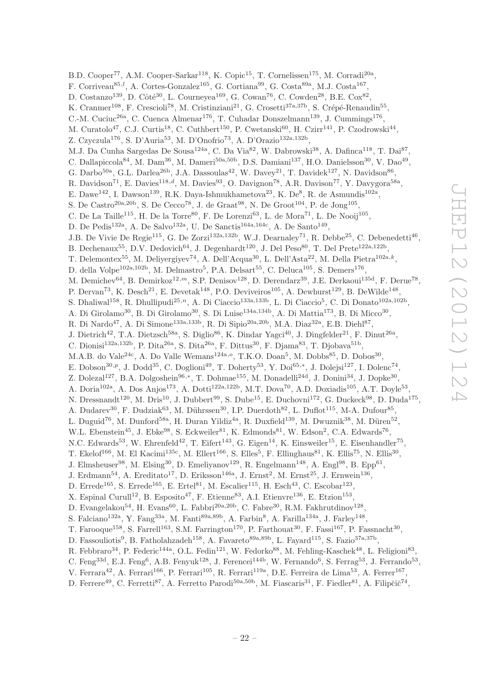B.D. Cooper<sup>77</sup>, A.M. Cooper-Sarkar<sup>118</sup>, K. Copic<sup>15</sup>, T. Cornelissen<sup>175</sup>, M. Corradi<sup>20a</sup>, F. Corriveau<sup>85,*l*</sup>, A. Cortes-Gonzalez<sup>165</sup>, G. Cortiana<sup>99</sup>, G. Costa<sup>89a</sup>, M.J. Costa<sup>167</sup>, D. Costanzo<sup>139</sup>, D. Côté<sup>30</sup>, L. Courneyea<sup>169</sup>, G. Cowan<sup>76</sup>, C. Cowden<sup>28</sup>, B.E. Cox<sup>82</sup>, K. Cranmer<sup>108</sup>, F. Crescioli<sup>78</sup>, M. Cristinziani<sup>21</sup>, G. Crosetti<sup>37a,37b</sup>, S. Crépé-Renaudin<sup>55</sup>, C.-M. Cuciuc<sup>26a</sup>, C. Cuenca Almenar<sup>176</sup>, T. Cuhadar Donszelmann<sup>139</sup>, J. Cummings<sup>176</sup>, M. Curatolo<sup>47</sup>, C.J. Curtis<sup>18</sup>, C. Cuthbert<sup>150</sup>, P. Cwetanski<sup>60</sup>, H. Czirr<sup>141</sup>, P. Czodrowski<sup>44</sup>, Z. Czyczula<sup>176</sup>, S. D'Auria<sup>53</sup>, M. D'Onofrio<sup>73</sup>, A. D'Orazio<sup>132a,132b</sup>, M.J. Da Cunha Sargedas De Sousa<sup>124a</sup>, C. Da Via<sup>82</sup>, W. Dabrowski<sup>38</sup>, A. Dafinca<sup>118</sup>, T. Dai<sup>87</sup>, C. Dallapiccola<sup>84</sup>, M. Dam<sup>36</sup>, M. Dameri<sup>50a,50b</sup>, D.S. Damiani<sup>137</sup>, H.O. Danielsson<sup>30</sup>, V. Dao<sup>49</sup>, G. Darbo<sup>50a</sup>, G.L. Darlea<sup>26b</sup>, J.A. Dassoulas<sup>42</sup>, W. Davey<sup>21</sup>, T. Davidek<sup>127</sup>, N. Davidson<sup>86</sup>, R. Davidson<sup>71</sup>, E. Davies<sup>118,d</sup>, M. Davies<sup>93</sup>, O. Davignon<sup>78</sup>, A.R. Davison<sup>77</sup>, Y. Davygora<sup>58a</sup>, E. Dawe<sup>142</sup>, I. Dawson<sup>139</sup>, R.K. Daya-Ishmukhametova<sup>23</sup>, K. De<sup>8</sup>, R. de Asmundis<sup>102a</sup>, S. De Castro<sup>20a, 20b</sup>, S. De Cecco<sup>78</sup>, J. de Graat<sup>98</sup>, N. De Groot<sup>104</sup>, P. de Jong<sup>105</sup>, C. De La Taille<sup>115</sup>, H. De la Torre<sup>80</sup>, F. De Lorenzi<sup>63</sup>, L. de Mora<sup>71</sup>, L. De Nooij<sup>105</sup>, D. De Pedis<sup>132a</sup>, A. De Salvo<sup>132a</sup>, U. De Sanctis<sup>164a,164c</sup>, A. De Santo<sup>149</sup>, J.B. De Vivie De Regie<sup>115</sup>, G. De Zorzi<sup>132a,132b</sup>, W.J. Dearnaley<sup>71</sup>, R. Debbe<sup>25</sup>, C. Debenedetti<sup>46</sup>, B. Dechenaux<sup>55</sup>, D.V. Dedovich<sup>64</sup>, J. Degenhardt<sup>120</sup>, J. Del Peso<sup>80</sup>, T. Del Prete<sup>122a,122b</sup>, T. Delemontex<sup>55</sup>, M. Deliyergiyev<sup>74</sup>, A. Dell'Acqua<sup>30</sup>, L. Dell'Asta<sup>22</sup>, M. Della Pietra<sup>102a,k</sup>, D. della Volpe<sup>102a,102b</sup>, M. Delmastro<sup>5</sup>, P.A. Delsart<sup>55</sup>, C. Deluca<sup>105</sup>, S. Demers<sup>176</sup>, M. Demichev<sup>64</sup>, B. Demirkoz<sup>12,*m*</sup>, S.P. Denisov<sup>128</sup>, D. Derendarz<sup>39</sup>, J.E. Derkaoui<sup>135d</sup>, F. Derue<sup>78</sup>, P. Dervan<sup>73</sup>, K. Desch<sup>21</sup>, E. Devetak<sup>148</sup>, P.O. Deviveiros<sup>105</sup>, A. Dewhurst<sup>129</sup>, B. DeWilde<sup>148</sup>, S. Dhaliwal<sup>158</sup>, R. Dhullipudi<sup>25,n</sup>, A. Di Ciaccio<sup>133a,133b</sup>, L. Di Ciaccio<sup>5</sup>, C. Di Donato<sup>102a,102b</sup>, A. Di Girolamo<sup>30</sup>, B. Di Girolamo<sup>30</sup>, S. Di Luise<sup>134a,134b</sup>, A. Di Mattia<sup>173</sup>, B. Di Micco<sup>30</sup>, R. Di Nardo<sup>47</sup>, A. Di Simone<sup>133a,133b</sup>, R. Di Sipio<sup>20a,20b</sup>, M.A. Diaz<sup>32a</sup>, E.B. Diehl<sup>87</sup>, J. Dietrich<sup>42</sup>, T.A. Dietzsch<sup>58a</sup>, S. Diglio<sup>86</sup>, K. Dindar Yagci<sup>40</sup>, J. Dingfelder<sup>21</sup>, F. Dinut<sup>26a</sup>, C. Dionisi<sup>132a,132b</sup>, P. Dita<sup>26a</sup>, S. Dita<sup>26a</sup>, F. Dittus<sup>30</sup>, F. Djama<sup>83</sup>, T. Djobava<sup>51b</sup>, M.A.B. do Vale<sup>24c</sup>, A. Do Valle Wemans<sup>124a,o</sup>, T.K.O. Doan<sup>5</sup>, M. Dobbs<sup>85</sup>, D. Dobos<sup>30</sup>, E. Dobson<sup>30,p</sup>, J. Dodd<sup>35</sup>, C. Doglioni<sup>49</sup>, T. Doherty<sup>53</sup>, Y. Doi<sup>65,\*</sup>, J. Dolejsi<sup>127</sup>, I. Dolenc<sup>74</sup>, Z. Dolezal<sup>127</sup>, B.A. Dolgoshein<sup>96,\*</sup>, T. Dohmae<sup>155</sup>, M. Donadelli<sup>24d</sup>, J. Donini<sup>34</sup>, J. Dopke<sup>30</sup>, A. Doria<sup>102a</sup>, A. Dos Anjos<sup>173</sup>, A. Dotti<sup>122a,122b</sup>, M.T. Dova<sup>70</sup>, A.D. Doxiadis<sup>105</sup>, A.T. Doyle<sup>53</sup>, N. Dressnandt<sup>120</sup>, M. Dris<sup>10</sup>, J. Dubbert<sup>99</sup>, S. Dube<sup>15</sup>, E. Duchovni<sup>172</sup>, G. Duckeck<sup>98</sup>, D. Duda<sup>175</sup>, A. Dudarev<sup>30</sup>, F. Dudziak<sup>63</sup>, M. Dührssen<sup>30</sup>, I.P. Duerdoth<sup>82</sup>, L. Duflot<sup>115</sup>, M-A. Dufour<sup>85</sup>, L. Duguid<sup>76</sup>, M. Dunford<sup>58a</sup>, H. Duran Yildiz<sup>4a</sup>, R. Duxfield<sup>139</sup>, M. Dwuznik<sup>38</sup>, M. Düren<sup>52</sup>, W.L. Ebenstein<sup>45</sup>, J. Ebke<sup>98</sup>, S. Eckweiler<sup>81</sup>, K. Edmonds<sup>81</sup>, W. Edson<sup>2</sup>, C.A. Edwards<sup>76</sup>, N.C. Edwards<sup>53</sup>, W. Ehrenfeld<sup>42</sup>, T. Eifert<sup>143</sup>, G. Eigen<sup>14</sup>, K. Einsweiler<sup>15</sup>, E. Eisenhandler<sup>75</sup>, T. Ekelof<sup>166</sup>, M. El Kacimi<sup>135c</sup>, M. Ellert<sup>166</sup>, S. Elles<sup>5</sup>, F. Ellinghaus<sup>81</sup>, K. Ellis<sup>75</sup>, N. Ellis<sup>30</sup>, J. Elmsheuser<sup>98</sup>, M. Elsing<sup>30</sup>, D. Emeliyanov<sup>129</sup>, R. Engelmann<sup>148</sup>, A. Engl<sup>98</sup>, B. Epp<sup>61</sup>, J. Erdmann<sup>54</sup>, A. Ereditato<sup>17</sup>, D. Eriksson<sup>146a</sup>, J. Ernst<sup>2</sup>, M. Ernst<sup>25</sup>, J. Ernwein<sup>136</sup>, D. Errede<sup>165</sup>, S. Errede<sup>165</sup>, E. Ertel<sup>81</sup>, M. Escalier<sup>115</sup>, H. Esch<sup>43</sup>, C. Escobar<sup>123</sup>, X. Espinal Curull<sup>12</sup>, B. Esposito<sup>47</sup>, F. Etienne<sup>83</sup>, A.I. Etienvre<sup>136</sup>, E. Etzion<sup>153</sup>, D. Evangelakou<sup>54</sup>, H. Evans<sup>60</sup>, L. Fabbri<sup>20a, 20b</sup>, C. Fabre<sup>30</sup>, R.M. Fakhrutdinov<sup>128</sup>, S. Falciano<sup>132a</sup>, Y. Fang<sup>33a</sup>, M. Fanti<sup>89a,89b</sup>, A. Farbin<sup>8</sup>, A. Farilla<sup>134a</sup>, J. Farley<sup>148</sup>, T. Farooque<sup>158</sup>, S. Farrell<sup>163</sup>, S.M. Farrington<sup>170</sup>, P. Farthouat<sup>30</sup>, F. Fassi<sup>167</sup>, P. Fassnacht<sup>30</sup>, D. Fassouliotis<sup>9</sup>, B. Fatholahzadeh<sup>158</sup>, A. Favareto<sup>89a,89b</sup>, L. Fayard<sup>115</sup>, S. Fazio<sup>37a,37b</sup>, R. Febbraro<sup>34</sup>, P. Federic<sup>144a</sup>, O.L. Fedin<sup>121</sup>, W. Fedorko<sup>88</sup>, M. Fehling-Kaschek<sup>48</sup>, L. Feligioni<sup>83</sup>, C. Feng<sup>33d</sup>, E.J. Feng<sup>6</sup>, A.B. Fenyuk<sup>128</sup>, J. Ferencei<sup>144b</sup>, W. Fernando<sup>6</sup>, S. Ferrag<sup>53</sup>, J. Ferrando<sup>53</sup>, V. Ferrara<sup>42</sup>, A. Ferrari<sup>166</sup>, P. Ferrari<sup>105</sup>, R. Ferrari<sup>119a</sup>, D.E. Ferreira de Lima<sup>53</sup>, A. Ferrer<sup>167</sup>, D. Ferrere<sup>49</sup>, C. Ferretti<sup>87</sup>, A. Ferretto Parodi<sup>50a,50b</sup>, M. Fiascaris<sup>31</sup>, F. Fiedler<sup>81</sup>, A. Filipčič<sup>74</sup>,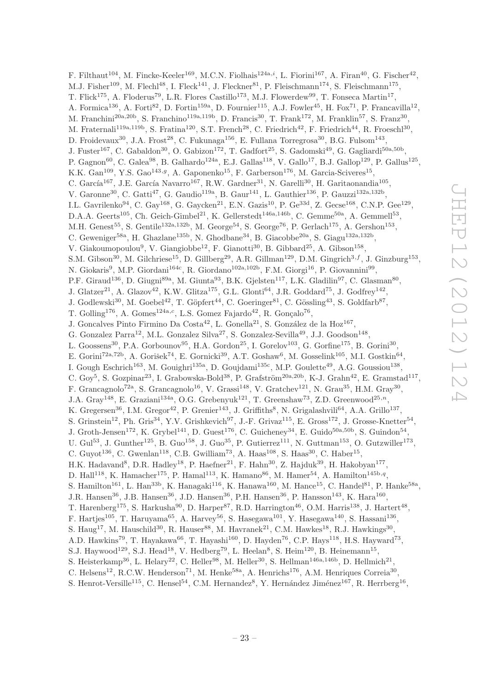F. Filthaut<sup>104</sup>, M. Fincke-Keeler<sup>169</sup>, M.C.N. Fiolhais<sup>124a,*i*</sup>, L. Fiorini<sup>167</sup>, A. Firan<sup>40</sup>, G. Fischer<sup>42</sup>, M.J. Fisher<sup>109</sup>, M. Flechl<sup>48</sup>, I. Fleck<sup>141</sup>, J. Fleckner<sup>81</sup>, P. Fleischmann<sup>174</sup>, S. Fleischmann<sup>175</sup>, T. Flick<sup>175</sup>, A. Floderus<sup>79</sup>, L.R. Flores Castillo<sup>173</sup>, M.J. Flowerdew<sup>99</sup>, T. Fonseca Martin<sup>17</sup>, A. Formica<sup>136</sup>, A. Forti<sup>82</sup>, D. Fortin<sup>159a</sup>, D. Fournier<sup>115</sup>, A.J. Fowler<sup>45</sup>, H. Fox<sup>71</sup>, P. Francavilla<sup>12</sup>, M. Franchini<sup>20a,20b</sup>, S. Franchino<sup>119a,119b</sup>, D. Francis<sup>30</sup>, T. Frank<sup>172</sup>, M. Franklin<sup>57</sup>, S. Franz<sup>30</sup>, M. Fraternali<sup>119a,119b</sup>, S. Fratina<sup>120</sup>, S.T. French<sup>28</sup>, C. Friedrich<sup>42</sup>, F. Friedrich<sup>44</sup>, R. Froeschl<sup>30</sup>, D. Froidevaux<sup>30</sup>, J.A. Frost<sup>28</sup>, C. Fukunaga<sup>156</sup>, E. Fullana Torregrosa<sup>30</sup>, B.G. Fulsom<sup>143</sup>, J. Fuster<sup>167</sup>, C. Gabaldon<sup>30</sup>, O. Gabizon<sup>172</sup>, T. Gadfort<sup>25</sup>, S. Gadomski<sup>49</sup>, G. Gagliardi<sup>50a,50b</sup>, P. Gagnon<sup>60</sup>, C. Galea<sup>98</sup>, B. Galhardo<sup>124a</sup>, E.J. Gallas<sup>118</sup>, V. Gallo<sup>17</sup>, B.J. Gallop<sup>129</sup>, P. Gallus<sup>125</sup>, K.K. Gan<sup>109</sup>, Y.S. Gao<sup>143,g</sup>, A. Gaponenko<sup>15</sup>, F. Garberson<sup>176</sup>, M. Garcia-Sciveres<sup>15</sup>, C. García<sup>167</sup>, J.E. García Navarro<sup>167</sup>, R.W. Gardner<sup>31</sup>, N. Garelli<sup>30</sup>, H. Garitaonandia<sup>105</sup>, V. Garonne<sup>30</sup>, C. Gatti<sup>47</sup>, G. Gaudio<sup>119a</sup>, B. Gaur<sup>141</sup>, L. Gauthier<sup>136</sup>, P. Gauzzi<sup>132a,132b</sup>, I.L. Gavrilenko<sup>94</sup>, C. Gay<sup>168</sup>, G. Gaycken<sup>21</sup>, E.N. Gazis<sup>10</sup>, P. Ge<sup>33d</sup>, Z. Gecse<sup>168</sup>, C.N.P. Gee<sup>129</sup>, D.A.A. Geerts<sup>105</sup>, Ch. Geich-Gimbel<sup>21</sup>, K. Gellerstedt<sup>146a,146b</sup>, C. Gemme<sup>50a</sup>, A. Gemmell<sup>53</sup>, M.H. Genest<sup>55</sup>, S. Gentile<sup>132a,132b</sup>, M. George<sup>54</sup>, S. George<sup>76</sup>, P. Gerlach<sup>175</sup>, A. Gershon<sup>153</sup>, C. Geweniger<sup>58a</sup>, H. Ghazlane<sup>135b</sup>, N. Ghodbane<sup>34</sup>, B. Giacobbe<sup>20a</sup>, S. Giagu<sup>132a,132b</sup>, V. Giakoumopoulou<sup>9</sup>, V. Giangiobbe<sup>12</sup>, F. Gianotti<sup>30</sup>, B. Gibbard<sup>25</sup>, A. Gibson<sup>158</sup>, S.M. Gibson<sup>30</sup>, M. Gilchriese<sup>15</sup>, D. Gillberg<sup>29</sup>, A.R. Gillman<sup>129</sup>, D.M. Gingrich<sup>3,f</sup>, J. Ginzburg<sup>153</sup>, N. Giokaris<sup>9</sup>, M.P. Giordani<sup>164c</sup>, R. Giordano<sup>102a,102b</sup>, F.M. Giorgi<sup>16</sup>, P. Giovannini<sup>99</sup>, P.F. Giraud<sup>136</sup>, D. Giugni<sup>89a</sup>, M. Giunta<sup>93</sup>, B.K. Gjelsten<sup>117</sup>, L.K. Gladilin<sup>97</sup>, C. Glasman<sup>80</sup>, J. Glatzer<sup>21</sup>, A. Glazov<sup>42</sup>, K.W. Glitza<sup>175</sup>, G.L. Glonti<sup>64</sup>, J.R. Goddard<sup>75</sup>, J. Godfrey<sup>142</sup>, J. Godlewski<sup>30</sup>, M. Goebel<sup>42</sup>, T. Göpfert<sup>44</sup>, C. Goeringer<sup>81</sup>, C. Gössling<sup>43</sup>, S. Goldfarb<sup>87</sup>, T. Golling<sup>176</sup>, A. Gomes<sup>124a,c</sup>, L.S. Gomez Fajardo<sup>42</sup>, R. Gonçalo<sup>76</sup>, J. Goncalves Pinto Firmino Da Costa<sup>42</sup>, L. Gonella<sup>21</sup>, S. González de la Hoz<sup>167</sup>, G. Gonzalez Parra<sup>12</sup>, M.L. Gonzalez Silva<sup>27</sup>, S. Gonzalez-Sevilla<sup>49</sup>, J.J. Goodson<sup>148</sup>, L. Goossens<sup>30</sup>, P.A. Gorbounov<sup>95</sup>, H.A. Gordon<sup>25</sup>, I. Gorelov<sup>103</sup>, G. Gorfine<sup>175</sup>, B. Gorini<sup>30</sup>, E. Gorini<sup>72a,72b</sup>, A. Gorišek<sup>74</sup>, E. Gornicki<sup>39</sup>, A.T. Goshaw<sup>6</sup>, M. Gosselink<sup>105</sup>, M.I. Gostkin<sup>64</sup>, I. Gough Eschrich<sup>163</sup>, M. Gouighri<sup>135a</sup>, D. Goujdami<sup>135c</sup>, M.P. Goulette<sup>49</sup>, A.G. Goussiou<sup>138</sup>, C. Goy<sup>5</sup>, S. Gozpinar<sup>23</sup>, I. Grabowska-Bold<sup>38</sup>, P. Grafström<sup>20a,20b</sup>, K-J. Grahn<sup>42</sup>, E. Gramstad<sup>117</sup>, F. Grancagnolo<sup>72a</sup>, S. Grancagnolo<sup>16</sup>, V. Grassi<sup>148</sup>, V. Gratchev<sup>121</sup>, N. Grau<sup>35</sup>, H.M. Gray<sup>30</sup>, J.A. Gray<sup>148</sup>, E. Graziani<sup>134a</sup>, O.G. Grebenyuk<sup>121</sup>, T. Greenshaw<sup>73</sup>, Z.D. Greenwood<sup>25,n</sup>, K. Gregersen<sup>36</sup>, I.M. Gregor<sup>42</sup>, P. Grenier<sup>143</sup>, J. Griffiths<sup>8</sup>, N. Grigalashvili<sup>64</sup>, A.A. Grillo<sup>137</sup>, S. Grinstein<sup>12</sup>, Ph. Gris<sup>34</sup>, Y.V. Grishkevich<sup>97</sup>, J.-F. Grivaz<sup>115</sup>, E. Gross<sup>172</sup>, J. Grosse-Knetter<sup>54</sup>, J. Groth-Jensen<sup>172</sup>, K. Grybel<sup>141</sup>, D. Guest<sup>176</sup>, C. Guicheney<sup>34</sup>, E. Guido<sup>50a,50b</sup>, S. Guindon<sup>54</sup>, U. Gul<sup>53</sup>, J. Gunther<sup>125</sup>, B. Guo<sup>158</sup>, J. Guo<sup>35</sup>, P. Gutierrez<sup>111</sup>, N. Guttman<sup>153</sup>, O. Gutzwiller<sup>173</sup>, C. Guyot<sup>136</sup>, C. Gwenlan<sup>118</sup>, C.B. Gwilliam<sup>73</sup>, A. Haas<sup>108</sup>, S. Haas<sup>30</sup>, C. Haber<sup>15</sup>, H.K. Hadavand<sup>8</sup>, D.R. Hadley<sup>18</sup>, P. Haefner<sup>21</sup>, F. Hahn<sup>30</sup>, Z. Hajduk<sup>39</sup>, H. Hakobyan<sup>177</sup>, D. Hall<sup>118</sup>, K. Hamacher<sup>175</sup>, P. Hamal<sup>113</sup>, K. Hamano<sup>86</sup>, M. Hamer<sup>54</sup>, A. Hamilton<sup>145b,q</sup>, S. Hamilton<sup>161</sup>, L. Han<sup>33b</sup>, K. Hanagaki<sup>116</sup>, K. Hanawa<sup>160</sup>, M. Hance<sup>15</sup>, C. Handel<sup>81</sup>, P. Hanke<sup>58a</sup>, J.R. Hansen<sup>36</sup>, J.B. Hansen<sup>36</sup>, J.D. Hansen<sup>36</sup>, P.H. Hansen<sup>36</sup>, P. Hansson<sup>143</sup>, K. Hara<sup>160</sup>, T. Harenberg<sup>175</sup>, S. Harkusha<sup>90</sup>, D. Harper<sup>87</sup>, R.D. Harrington<sup>46</sup>, O.M. Harris<sup>138</sup>, J. Hartert<sup>48</sup>, F. Hartjes<sup>105</sup>, T. Haruyama<sup>65</sup>, A. Harvey<sup>56</sup>, S. Hasegawa<sup>101</sup>, Y. Hasegawa<sup>140</sup>, S. Hassani<sup>136</sup>, S. Haug<sup>17</sup>, M. Hauschild<sup>30</sup>, R. Hauser<sup>88</sup>, M. Havranek<sup>21</sup>, C.M. Hawkes<sup>18</sup>, R.J. Hawkings<sup>30</sup>, A.D. Hawkins<sup>79</sup>, T. Hayakawa<sup>66</sup>, T. Hayashi<sup>160</sup>, D. Hayden<sup>76</sup>, C.P. Hays<sup>118</sup>, H.S. Hayward<sup>73</sup>, S.J. Haywood<sup>129</sup>, S.J. Head<sup>18</sup>, V. Hedberg<sup>79</sup>, L. Heelan<sup>8</sup>, S. Heim<sup>120</sup>, B. Heinemann<sup>15</sup>, S. Heisterkamp<sup>36</sup>, L. Helary<sup>22</sup>, C. Heller<sup>98</sup>, M. Heller<sup>30</sup>, S. Hellman<sup>146a,146b</sup>, D. Hellmich<sup>21</sup>, C. Helsens<sup>12</sup>, R.C.W. Henderson<sup>71</sup>, M. Henke<sup>58a</sup>, A. Henrichs<sup>176</sup>, A.M. Henriques Correia<sup>30</sup>,

S. Henrot-Versille<sup>115</sup>, C. Hensel<sup>54</sup>, C.M. Hernandez<sup>8</sup>, Y. Hernández Jiménez<sup>167</sup>, R. Herrberg<sup>16</sup>,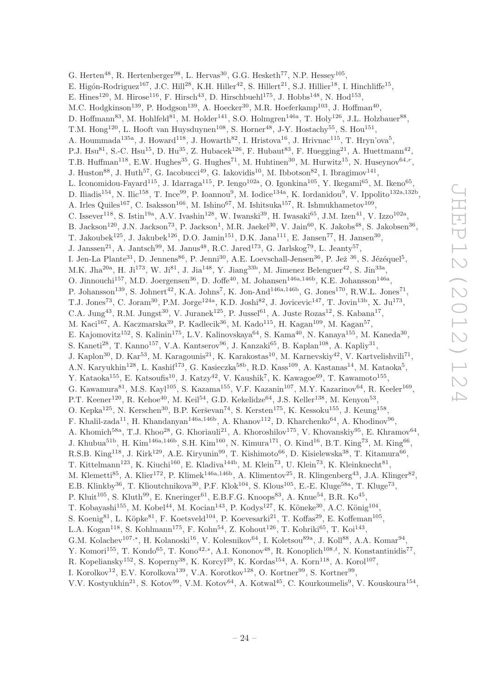G. Herten<sup>48</sup>, R. Hertenberger<sup>98</sup>, L. Hervas<sup>30</sup>, G.G. Hesketh<sup>77</sup>, N.P. Hessey<sup>105</sup>, E. Higón-Rodriguez<sup>167</sup>, J.C. Hill<sup>28</sup>, K.H. Hiller<sup>42</sup>, S. Hillert<sup>21</sup>, S.J. Hillier<sup>18</sup>, I. Hinchliffe<sup>15</sup>, E. Hines<sup>120</sup>, M. Hirose<sup>116</sup>, F. Hirsch<sup>43</sup>, D. Hirschbuehl<sup>175</sup>, J. Hobbs<sup>148</sup>, N. Hod<sup>153</sup>, M.C. Hodgkinson<sup>139</sup>, P. Hodgson<sup>139</sup>, A. Hoecker<sup>30</sup>, M.R. Hoeferkamp<sup>103</sup>, J. Hoffman<sup>40</sup>, D. Hoffmann<sup>83</sup>, M. Hohlfeld<sup>81</sup>, M. Holder<sup>141</sup>, S.O. Holmgren<sup>146a</sup>, T. Holy<sup>126</sup>, J.L. Holzbauer<sup>88</sup>, T.M. Hong<sup>120</sup>, L. Hooft van Huysduynen<sup>108</sup>, S. Horner<sup>48</sup>, J-Y. Hostachy<sup>55</sup>, S. Hou<sup>151</sup>, A. Hoummada<sup>135a</sup>, J. Howard<sup>118</sup>, J. Howarth<sup>82</sup>, I. Hristova<sup>16</sup>, J. Hrivnac<sup>115</sup>, T. Hryn'ova<sup>5</sup>, P.J. Hsu<sup>81</sup>, S.-C. Hsu<sup>15</sup>, D. Hu<sup>35</sup>, Z. Hubacek<sup>126</sup>, F. Hubaut<sup>83</sup>, F. Huegging<sup>21</sup>, A. Huettmann<sup>42</sup>, T.B. Huffman<sup>118</sup>, E.W. Hughes<sup>35</sup>, G. Hughes<sup>71</sup>, M. Huhtinen<sup>30</sup>, M. Hurwitz<sup>15</sup>, N. Huseynov<sup>64,r</sup>, J. Huston<sup>88</sup>, J. Huth<sup>57</sup>, G. Iacobucci<sup>49</sup>, G. Iakovidis<sup>10</sup>, M. Ibbotson<sup>82</sup>, I. Ibragimov<sup>141</sup>, L. Iconomidou-Fayard<sup>115</sup>, J. Idarraga<sup>115</sup>, P. Iengo<sup>102a</sup>, O. Igonkina<sup>105</sup>, Y. Ikegami<sup>65</sup>, M. Ikeno<sup>65</sup>, D. Iliadis<sup>154</sup>, N. Ilic<sup>158</sup>, T. Ince<sup>99</sup>, P. Ioannou<sup>9</sup>, M. Iodice<sup>134a</sup>, K. Iordanidou<sup>9</sup>, V. Ippolito<sup>132a,132b</sup>, A. Irles Quiles<sup>167</sup>, C. Isaksson<sup>166</sup>, M. Ishino<sup>67</sup>, M. Ishitsuka<sup>157</sup>, R. Ishmukhametov<sup>109</sup>, C. Issever<sup>118</sup>, S. Istin<sup>19a</sup>, A.V. Ivashin<sup>128</sup>, W. Iwanski<sup>39</sup>, H. Iwasaki<sup>65</sup>, J.M. Izen<sup>41</sup>, V. Izzo<sup>102a</sup>, B. Jackson<sup>120</sup>, J.N. Jackson<sup>73</sup>, P. Jackson<sup>1</sup>, M.R. Jaekel<sup>30</sup>, V. Jain<sup>60</sup>, K. Jakobs<sup>48</sup>, S. Jakobsen<sup>36</sup>, T. Jakoubek<sup>125</sup>, J. Jakubek<sup>126</sup>, D.O. Jamin<sup>151</sup>, D.K. Jana<sup>111</sup>, E. Jansen<sup>77</sup>, H. Jansen<sup>30</sup>, J. Janssen<sup>21</sup>, A. Jantsch<sup>99</sup>, M. Janus<sup>48</sup>, R.C. Jared<sup>173</sup>, G. Jarlskog<sup>79</sup>, L. Jeanty<sup>57</sup>, I. Jen-La Plante<sup>31</sup>, D. Jennens<sup>86</sup>, P. Jenni<sup>30</sup>, A.E. Loevschall-Jensen<sup>36</sup>, P. Jež <sup>36</sup>, S. Jézéquel<sup>5</sup>, M.K. Jha<sup>20a</sup>, H. Ji<sup>173</sup>, W. Ji<sup>81</sup>, J. Jia<sup>148</sup>, Y. Jiang<sup>33b</sup>, M. Jimenez Belenguer<sup>42</sup>, S. Jin<sup>33a</sup>, O. Jinnouchi<sup>157</sup>, M.D. Joergensen<sup>36</sup>, D. Joffe<sup>40</sup>, M. Johansen<sup>146a,146b</sup>, K.E. Johansson<sup>146a</sup>, P. Johansson<sup>139</sup>, S. Johnert<sup>42</sup>, K.A. Johns<sup>7</sup>, K. Jon-And<sup>146a,146b</sup>, G. Jones<sup>170</sup>, R.W.L. Jones<sup>71</sup>, T.J. Jones<sup>73</sup>, C. Joram<sup>30</sup>, P.M. Jorge<sup>124a</sup>, K.D. Joshi<sup>82</sup>, J. Jovicevic<sup>147</sup>, T. Jovin<sup>13b</sup>, X. Ju<sup>173</sup>, C.A. Jung<sup>43</sup>, R.M. Jungst<sup>30</sup>, V. Juranek<sup>125</sup>, P. Jussel<sup>61</sup>, A. Juste Rozas<sup>12</sup>, S. Kabana<sup>17</sup>, M. Kaci $^{167}$ , A. Kaczmarska $^{39}$ , P. Kadlecik $^{36}$ , M. Kado $^{115}$ , H. Kagan $^{109}$ , M. Kagan $^{57}$ , E. Kajomovitz<sup>152</sup>, S. Kalinin<sup>175</sup>, L.V. Kalinovskaya<sup>64</sup>, S. Kama<sup>40</sup>, N. Kanaya<sup>155</sup>, M. Kaneda<sup>30</sup>, S. Kaneti<sup>28</sup>, T. Kanno<sup>157</sup>, V.A. Kantserov<sup>96</sup>, J. Kanzaki<sup>65</sup>, B. Kaplan<sup>108</sup>, A. Kapliy<sup>31</sup>, J. Kaplon<sup>30</sup>, D. Kar<sup>53</sup>, M. Karagounis<sup>21</sup>, K. Karakostas<sup>10</sup>, M. Karnevskiy<sup>42</sup>, V. Kartvelishvili<sup>71</sup>, A.N. Karyukhin<sup>128</sup>, L. Kashif<sup>173</sup>, G. Kasieczka<sup>58b</sup>, R.D. Kass<sup>109</sup>, A. Kastanas<sup>14</sup>, M. Kataoka<sup>5</sup>, Y. Kataoka<sup>155</sup>, E. Katsoufis<sup>10</sup>, J. Katzy<sup>42</sup>, V. Kaushik<sup>7</sup>, K. Kawagoe<sup>69</sup>, T. Kawamoto<sup>155</sup>, G. Kawamura<sup>81</sup>, M.S. Kayl<sup>105</sup>, S. Kazama<sup>155</sup>, V.F. Kazanin<sup>107</sup>, M.Y. Kazarinov<sup>64</sup>, R. Keeler<sup>169</sup>, P.T. Keener<sup>120</sup>, R. Kehoe<sup>40</sup>, M. Keil<sup>54</sup>, G.D. Kekelidze<sup>64</sup>, J.S. Keller<sup>138</sup>, M. Kenyon<sup>53</sup>, O. Kepka<sup>125</sup>, N. Kerschen<sup>30</sup>, B.P. Kerševan<sup>74</sup>, S. Kersten<sup>175</sup>, K. Kessoku<sup>155</sup>, J. Keung<sup>158</sup>, F. Khalil-zada<sup>11</sup>, H. Khandanyan<sup>146a,146b</sup>, A. Khanov<sup>112</sup>, D. Kharchenko<sup>64</sup>, A. Khodinov<sup>96</sup>, A. Khomich<sup>58a</sup>, T.J. Khoo<sup>28</sup>, G. Khoriauli<sup>21</sup>, A. Khoroshilov<sup>175</sup>, V. Khovanskiy<sup>95</sup>, E. Khramov<sup>64</sup>, J. Khubua<sup>51b</sup>, H. Kim<sup>146a,146b</sup>, S.H. Kim<sup>160</sup>, N. Kimura<sup>171</sup>, O. Kind<sup>16</sup>, B.T. King<sup>73</sup>, M. King<sup>66</sup>, R.S.B. King<sup>118</sup>, J. Kirk<sup>129</sup>, A.E. Kiryunin<sup>99</sup>, T. Kishimoto<sup>66</sup>, D. Kisielewska<sup>38</sup>, T. Kitamura<sup>66</sup>, T. Kittelmann<sup>123</sup>, K. Kiuchi<sup>160</sup>, E. Kladiva<sup>144b</sup>, M. Klein<sup>73</sup>, U. Klein<sup>73</sup>, K. Kleinknecht<sup>81</sup>, M. Klemetti<sup>85</sup>, A. Klier<sup>172</sup>, P. Klimek<sup>146a,146b</sup>, A. Klimentov<sup>25</sup>, R. Klingenberg<sup>43</sup>, J.A. Klinger<sup>82</sup>, E.B. Klinkby<sup>36</sup>, T. Klioutchnikova<sup>30</sup>, P.F. Klok<sup>104</sup>, S. Klous<sup>105</sup>, E.-E. Kluge<sup>58a</sup>, T. Kluge<sup>73</sup>, P. Kluit<sup>105</sup>, S. Kluth<sup>99</sup>, E. Kneringer<sup>61</sup>, E.B.F.G. Knoops<sup>83</sup>, A. Knue<sup>54</sup>, B.R. Ko<sup>45</sup>, T. Kobayashi<sup>155</sup>, M. Kobel<sup>44</sup>, M. Kocian<sup>143</sup>, P. Kodys<sup>127</sup>, K. Köneke<sup>30</sup>, A.C. König<sup>104</sup>, S. Koenig<sup>81</sup>, L. Köpke<sup>81</sup>, F. Koetsveld<sup>104</sup>, P. Koevesarki<sup>21</sup>, T. Koffas<sup>29</sup>, E. Koffeman<sup>105</sup>, L.A. Kogan<sup>118</sup>, S. Kohlmann<sup>175</sup>, F. Kohn<sup>54</sup>, Z. Kohout<sup>126</sup>, T. Kohriki<sup>65</sup>, T. Koi<sup>143</sup>, G.M. Kolachev<sup>107,\*</sup>, H. Kolanoski<sup>16</sup>, V. Kolesnikov<sup>64</sup>, I. Koletsou<sup>89a</sup>, J. Koll<sup>88</sup>, A.A. Komar<sup>94</sup>, Y. Komori<sup>155</sup>, T. Kondo<sup>65</sup>, T. Kono<sup>42,s</sup>, A.I. Kononov<sup>48</sup>, R. Konoplich<sup>108,t</sup>, N. Konstantinidis<sup>77</sup>, R. Kopeliansky<sup>152</sup>, S. Koperny<sup>38</sup>, K. Korcyl<sup>39</sup>, K. Kordas<sup>154</sup>, A. Korn<sup>118</sup>, A. Korol<sup>107</sup>, I. Korolkov<sup>12</sup>, E.V. Korolkova<sup>139</sup>, V.A. Korotkov<sup>128</sup>, O. Kortner<sup>99</sup>, S. Kortner<sup>99</sup>,

V.V. Kostyukhin<sup>21</sup>, S. Kotov<sup>99</sup>, V.M. Kotov<sup>64</sup>, A. Kotwal<sup>45</sup>, C. Kourkoumelis<sup>9</sup>, V. Kouskoura<sup>154</sup>,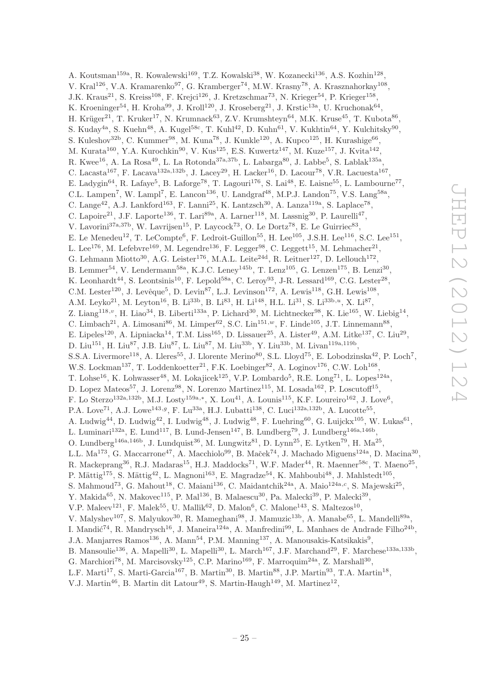A. Koutsman<sup>159a</sup>, R. Kowalewski<sup>169</sup>, T.Z. Kowalski<sup>38</sup>, W. Kozanecki<sup>136</sup>, A.S. Kozhin<sup>128</sup>, V. Kral<sup>126</sup>, V.A. Kramarenko<sup>97</sup>, G. Kramberger<sup>74</sup>, M.W. Krasny<sup>78</sup>, A. Krasznahorkay<sup>108</sup>, J.K. Kraus<sup>21</sup>, S. Kreiss<sup>108</sup>, F. Krejci<sup>126</sup>, J. Kretzschmar<sup>73</sup>, N. Krieger<sup>54</sup>, P. Krieger<sup>158</sup>, K. Kroeninger<sup>54</sup>, H. Kroha<sup>99</sup>, J. Kroll<sup>120</sup>, J. Kroseberg<sup>21</sup>, J. Krstic<sup>13a</sup>, U. Kruchonak<sup>64</sup>, H. Krüger<sup>21</sup>, T. Kruker<sup>17</sup>, N. Krumnack<sup>63</sup>, Z.V. Krumshteyn<sup>64</sup>, M.K. Kruse<sup>45</sup>, T. Kubota<sup>86</sup>, S. Kuday<sup>4a</sup>, S. Kuehn<sup>48</sup>, A. Kugel<sup>58c</sup>, T. Kuhl<sup>42</sup>, D. Kuhn<sup>61</sup>, V. Kukhtin<sup>64</sup>, Y. Kulchitsky<sup>90</sup>, S. Kuleshov<sup>32b</sup>, C. Kummer<sup>98</sup>, M. Kuna<sup>78</sup>, J. Kunkle<sup>120</sup>, A. Kupco<sup>125</sup>, H. Kurashige<sup>66</sup>, M. Kurata<sup>160</sup>, Y.A. Kurochkin<sup>90</sup>, V. Kus<sup>125</sup>, E.S. Kuwertz<sup>147</sup>, M. Kuze<sup>157</sup>, J. Kvita<sup>142</sup>, R. Kwee<sup>16</sup>, A. La Rosa<sup>49</sup>, L. La Rotonda<sup>37a,37b</sup>, L. Labarga<sup>80</sup>, J. Labbe<sup>5</sup>, S. Lablak<sup>135a</sup>, C. Lacasta<sup>167</sup>, F. Lacava<sup>132a,132b</sup>, J. Lacey<sup>29</sup>, H. Lacker<sup>16</sup>, D. Lacour<sup>78</sup>, V.R. Lacuesta<sup>167</sup>, E. Ladygin<sup>64</sup>, R. Lafaye<sup>5</sup>, B. Laforge<sup>78</sup>, T. Lagouri<sup>176</sup>, S. Lai<sup>48</sup>, E. Laisne<sup>55</sup>, L. Lambourne<sup>77</sup>, C.L. Lampen<sup>7</sup>, W. Lampl<sup>7</sup>, E. Lancon<sup>136</sup>, U. Landgraf<sup>48</sup>, M.P.J. Landon<sup>75</sup>, V.S. Lang<sup>58a</sup>, C. Lange<sup>42</sup>, A.J. Lankford<sup>163</sup>, F. Lanni<sup>25</sup>, K. Lantzsch<sup>30</sup>, A. Lanza<sup>119a</sup>, S. Laplace<sup>78</sup>, C. Lapoire<sup>21</sup>, J.F. Laporte<sup>136</sup>, T. Lari<sup>89a</sup>, A. Larner<sup>118</sup>, M. Lassnig<sup>30</sup>, P. Laurelli<sup>47</sup>, V. Lavorini<sup>37a, 37b</sup>, W. Lavrijsen<sup>15</sup>, P. Laycock<sup>73</sup>, O. Le Dortz<sup>78</sup>, E. Le Guirriec<sup>83</sup>, E. Le Menedeu<sup>12</sup>, T. LeCompte<sup>6</sup>, F. Ledroit-Guillon<sup>55</sup>, H. Lee<sup>105</sup>, J.S.H. Lee<sup>116</sup>, S.C. Lee<sup>151</sup>, L. Lee<sup>176</sup>, M. Lefebvre<sup>169</sup>, M. Legendre<sup>136</sup>, F. Legger<sup>98</sup>, C. Leggett<sup>15</sup>, M. Lehmacher<sup>21</sup>, G. Lehmann Miotto<sup>30</sup>, A.G. Leister<sup>176</sup>, M.A.L. Leite<sup>24d</sup>, R. Leitner<sup>127</sup>, D. Lellouch<sup>172</sup>, B. Lemmer<sup>54</sup>, V. Lendermann<sup>58a</sup>, K.J.C. Leney<sup>145b</sup>, T. Lenz<sup>105</sup>, G. Lenzen<sup>175</sup>, B. Lenzi<sup>30</sup>, K. Leonhardt<sup>44</sup>, S. Leontsinis<sup>10</sup>, F. Lepold<sup>58a</sup>, C. Leroy<sup>93</sup>, J-R. Lessard<sup>169</sup>, C.G. Lester<sup>28</sup>, C.M. Lester<sup>120</sup>, J. Levêque<sup>5</sup>, D. Levin<sup>87</sup>, L.J. Levinson<sup>172</sup>, A. Lewis<sup>118</sup>, G.H. Lewis<sup>108</sup>, A.M. Leyko<sup>21</sup>, M. Leyton<sup>16</sup>, B. Li<sup>33b</sup>, B. Li<sup>83</sup>, H. Li<sup>148</sup>, H.L. Li<sup>31</sup>, S. Li<sup>33b,*u*</sup>, X. Li<sup>87</sup>, Z. Liang<sup>118,*v*</sup>, H. Liao<sup>34</sup>, B. Liberti<sup>133a</sup>, P. Lichard<sup>30</sup>, M. Lichtnecker<sup>98</sup>, K. Lie<sup>165</sup>, W. Liebig<sup>14</sup>, C. Limbach<sup>21</sup>, A. Limosani<sup>86</sup>, M. Limper<sup>62</sup>, S.C. Lin<sup>151,*w*</sup>, F. Linde<sup>105</sup>, J.T. Linnemann<sup>88</sup>, E. Lipeles<sup>120</sup>, A. Lipniacka<sup>14</sup>, T.M. Liss<sup>165</sup>, D. Lissauer<sup>25</sup>, A. Lister<sup>49</sup>, A.M. Litke<sup>137</sup>, C. Liu<sup>29</sup>, D. Liu<sup>151</sup>, H. Liu<sup>87</sup>, J.B. Liu<sup>87</sup>, L. Liu<sup>87</sup>, M. Liu<sup>33b</sup>, Y. Liu<sup>33b</sup>, M. Livan<sup>119a,119b</sup>, S.S.A. Livermore<sup>118</sup>, A. Lleres<sup>55</sup>, J. Llorente Merino<sup>80</sup>, S.L. Lloyd<sup>75</sup>, E. Lobodzinska<sup>42</sup>, P. Loch<sup>7</sup>, W.S. Lockman<sup>137</sup>, T. Loddenkoetter<sup>21</sup>, F.K. Loebinger<sup>82</sup>, A. Loginov<sup>176</sup>, C.W. Loh<sup>168</sup>, T. Lohse<sup>16</sup>, K. Lohwasser<sup>48</sup>, M. Lokajicek<sup>125</sup>, V.P. Lombardo<sup>5</sup>, R.E. Long<sup>71</sup>, L. Lopes<sup>124a</sup>, D. Lopez Mateos<sup>57</sup>, J. Lorenz<sup>98</sup>, N. Lorenzo Martinez<sup>115</sup>, M. Losada<sup>162</sup>, P. Loscutoff<sup>15</sup>, F. Lo Sterzo<sup>132a,132b</sup>, M.J. Losty<sup>159a,\*</sup>, X. Lou<sup>41</sup>, A. Lounis<sup>115</sup>, K.F. Loureiro<sup>162</sup>, J. Love<sup>6</sup>, P.A. Love<sup>71</sup>, A.J. Lowe<sup>143,g</sup>, F. Lu<sup>33a</sup>, H.J. Lubatti<sup>138</sup>, C. Luci<sup>132a,132b</sup>, A. Lucotte<sup>55</sup>, A. Ludwig<sup>44</sup>, D. Ludwig<sup>42</sup>, I. Ludwig<sup>48</sup>, J. Ludwig<sup>48</sup>, F. Luehring<sup>60</sup>, G. Luijckx<sup>105</sup>, W. Lukas<sup>61</sup>, L. Luminari<sup>132a</sup>, E. Lund<sup>117</sup>, B. Lund-Jensen<sup>147</sup>, B. Lundberg<sup>79</sup>, J. Lundberg<sup>146a,146b</sup>, O. Lundberg<sup>146a,146b</sup>, J. Lundquist<sup>36</sup>, M. Lungwitz<sup>81</sup>, D. Lynn<sup>25</sup>, E. Lytken<sup>79</sup>, H. Ma<sup>25</sup>, L.L. Ma<sup>173</sup>, G. Maccarrone<sup>47</sup>, A. Macchiolo<sup>99</sup>, B. Maček<sup>74</sup>, J. Machado Miguens<sup>124a</sup>, D. Macina<sup>30</sup>, R. Mackeprang<sup>36</sup>, R.J. Madaras<sup>15</sup>, H.J. Maddocks<sup>71</sup>, W.F. Mader<sup>44</sup>, R. Maenner<sup>58c</sup>, T. Maeno<sup>25</sup>, P. Mättig<sup>175</sup>, S. Mättig<sup>42</sup>, L. Magnoni<sup>163</sup>, E. Magradze<sup>54</sup>, K. Mahboubi<sup>48</sup>, J. Mahlstedt<sup>105</sup>, S. Mahmoud<sup>73</sup>, G. Mahout<sup>18</sup>, C. Maiani<sup>136</sup>, C. Maidantchik<sup>24a</sup>, A. Maio<sup>124a, c</sup>, S. Majewski<sup>25</sup>, Y. Makida<sup>65</sup>, N. Makovec<sup>115</sup>, P. Mal<sup>136</sup>, B. Malaescu<sup>30</sup>, Pa. Malecki<sup>39</sup>, P. Malecki<sup>39</sup>, V.P. Maleev<sup>121</sup>, F. Malek<sup>55</sup>, U. Mallik<sup>62</sup>, D. Malon<sup>6</sup>, C. Malone<sup>143</sup>, S. Maltezos<sup>10</sup>, V. Malyshev<sup>107</sup>, S. Malyukov<sup>30</sup>, R. Mameghani<sup>98</sup>, J. Mamuzic<sup>13b</sup>, A. Manabe<sup>65</sup>, L. Mandelli<sup>89a</sup>, I. Mandić<sup>74</sup>, R. Mandrysch<sup>16</sup>, J. Maneira<sup>124a</sup>, A. Manfredini<sup>99</sup>, L. Manhaes de Andrade Filho<sup>24b</sup>, J.A. Manjarres Ramos<sup>136</sup>, A. Mann<sup>54</sup>, P.M. Manning<sup>137</sup>, A. Manousakis-Katsikakis<sup>9</sup>, B. Mansoulie<sup>136</sup>, A. Mapelli<sup>30</sup>, L. Mapelli<sup>30</sup>, L. March<sup>167</sup>, J.F. Marchand<sup>29</sup>, F. Marchese<sup>133a,133b</sup>, G. Marchiori<sup>78</sup>, M. Marcisovsky<sup>125</sup>, C.P. Marino<sup>169</sup>, F. Marroquim<sup>24a</sup>, Z. Marshall<sup>30</sup>, L.F. Marti<sup>17</sup>, S. Marti-Garcia<sup>167</sup>, B. Martin<sup>30</sup>, B. Martin<sup>88</sup>, J.P. Martin<sup>93</sup>, T.A. Martin<sup>18</sup>,

V.J. Martin<sup>46</sup>, B. Martin dit Latour<sup>49</sup>, S. Martin-Haugh<sup>149</sup>, M. Martinez<sup>12</sup>,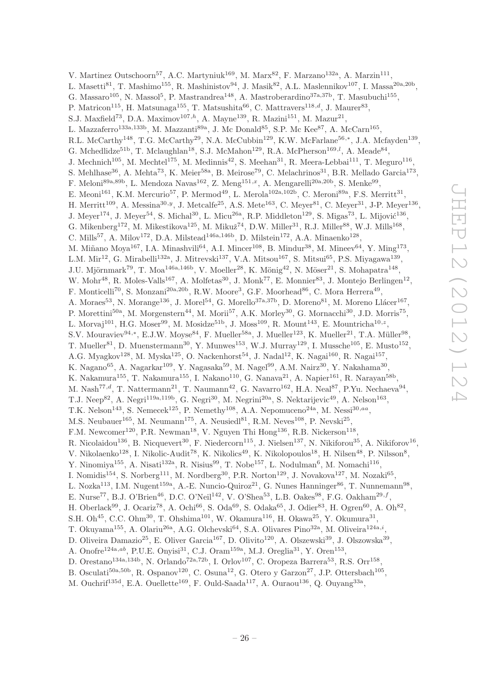V. Martinez Outschoorn<sup>57</sup>, A.C. Martyniuk<sup>169</sup>, M. Marx<sup>82</sup>, F. Marzano<sup>132a</sup>, A. Marzin<sup>111</sup>, L. Masetti<sup>81</sup>, T. Mashimo<sup>155</sup>, R. Mashinistov<sup>94</sup>, J. Masik<sup>82</sup>, A.L. Maslennikov<sup>107</sup>, I. Massa<sup>20a,20b</sup>, G. Massaro<sup>105</sup>, N. Massol<sup>5</sup>, P. Mastrandrea<sup>148</sup>, A. Mastroberardino<sup>37a,37b</sup>, T. Masubuchi<sup>155</sup>, P. Matricon<sup>115</sup>, H. Matsunaga<sup>155</sup>, T. Matsushita<sup>66</sup>, C. Mattravers<sup>118,d</sup>, J. Maurer<sup>83</sup>, S.J. Maxfield<sup>73</sup>, D.A. Maximov<sup>107,h</sup>, A. Mayne<sup>139</sup>, R. Mazini<sup>151</sup>, M. Mazur<sup>21</sup>, L. Mazzaferro<sup>133a,133b</sup>, M. Mazzanti<sup>89a</sup>, J. Mc Donald<sup>85</sup>, S.P. Mc Kee<sup>87</sup>, A. McCarn<sup>165</sup>, R.L. McCarthy<sup>148</sup>, T.G. McCarthy<sup>29</sup>, N.A. McCubbin<sup>129</sup>, K.W. McFarlane<sup>56,\*</sup>, J.A. Mcfayden<sup>139</sup>, G. Mchedlidze<sup>51b</sup>, T. Mclaughlan<sup>18</sup>, S.J. McMahon<sup>129</sup>, R.A. McPherson<sup>169,*l*</sup>, A. Meade<sup>84</sup>, J. Mechnich<sup>105</sup>, M. Mechtel<sup>175</sup>, M. Medinnis<sup>42</sup>, S. Meehan<sup>31</sup>, R. Meera-Lebbai<sup>111</sup>, T. Meguro<sup>116</sup>, S. Mehlhase<sup>36</sup>, A. Mehta<sup>73</sup>, K. Meier<sup>58a</sup>, B. Meirose<sup>79</sup>, C. Melachrinos<sup>31</sup>, B.R. Mellado Garcia<sup>173</sup>, F. Meloni<sup>89a,89b</sup>, L. Mendoza Navas<sup>162</sup>, Z. Meng<sup>151,x</sup>, A. Mengarelli<sup>20a,20b</sup>, S. Menke<sup>99</sup>, E. Meoni<sup>161</sup>, K.M. Mercurio<sup>57</sup>, P. Mermod<sup>49</sup>, L. Merola<sup>102a,102b</sup>, C. Meroni<sup>89a</sup>, F.S. Merritt<sup>31</sup>, H. Merritt<sup>109</sup>, A. Messina<sup>30, y</sup>, J. Metcalfe<sup>25</sup>, A.S. Mete<sup>163</sup>, C. Meyer<sup>81</sup>, C. Meyer<sup>31</sup>, J-P. Meyer<sup>136</sup>, J. Meyer<sup>174</sup>, J. Meyer<sup>54</sup>, S. Michal<sup>30</sup>, L. Micu<sup>26a</sup>, R.P. Middleton<sup>129</sup>, S. Migas<sup>73</sup>, L. Mijović<sup>136</sup>, G. Mikenberg<sup>172</sup>, M. Mikestikova<sup>125</sup>, M. Mikuž<sup>74</sup>, D.W. Miller<sup>31</sup>, R.J. Miller<sup>88</sup>, W.J. Mills<sup>168</sup>, C. Mills<sup>57</sup>, A. Milov<sup>172</sup>, D.A. Milstead<sup>146a,146b</sup>, D. Milstein<sup>172</sup>, A.A. Minaenko<sup>128</sup>, M. Miñano Moya<sup>167</sup>, I.A. Minashvili<sup>64</sup>, A.I. Mincer<sup>108</sup>, B. Mindur<sup>38</sup>, M. Mineev<sup>64</sup>, Y. Ming<sup>173</sup>, L.M. Mir<sup>12</sup>, G. Mirabelli<sup>132a</sup>, J. Mitrevski<sup>137</sup>, V.A. Mitsou<sup>167</sup>, S. Mitsui<sup>65</sup>, P.S. Miyagawa<sup>139</sup>, J.U. Mjörnmark<sup>79</sup>, T. Moa<sup>146a,146b</sup>, V. Moeller<sup>28</sup>, K. Mönig<sup>42</sup>, N. Möser<sup>21</sup>, S. Mohapatra<sup>148</sup>, W. Mohr<sup>48</sup>, R. Moles-Valls<sup>167</sup>, A. Molfetas<sup>30</sup>, J. Monk<sup>77</sup>, E. Monnier<sup>83</sup>, J. Montejo Berlingen<sup>12</sup>, F. Monticelli<sup>70</sup>, S. Monzani<sup>20a, 20b</sup>, R.W. Moore<sup>3</sup>, G.F. Moorhead<sup>86</sup>, C. Mora Herrera<sup>49</sup>, A. Moraes<sup>53</sup>, N. Morange<sup>136</sup>, J. Morel<sup>54</sup>, G. Morello<sup>37a,37b</sup>, D. Moreno<sup>81</sup>, M. Moreno Llácer<sup>167</sup>, P. Morettini<sup>50a</sup>, M. Morgenstern<sup>44</sup>, M. Morii<sup>57</sup>, A.K. Morley<sup>30</sup>, G. Mornacchi<sup>30</sup>, J.D. Morris<sup>75</sup>, L. Morvaj<sup>101</sup>, H.G. Moser<sup>99</sup>, M. Mosidze<sup>51b</sup>, J. Moss<sup>109</sup>, R. Mount<sup>143</sup>, E. Mountricha<sup>10,2</sup>, S.V. Mouraviev<sup>94,\*</sup>, E.J.W. Moyse<sup>84</sup>, F. Mueller<sup>58a</sup>, J. Mueller<sup>123</sup>, K. Mueller<sup>21</sup>, T.A. Müller<sup>98</sup>, T. Mueller<sup>81</sup>, D. Muenstermann<sup>30</sup>, Y. Munwes<sup>153</sup>, W.J. Murray<sup>129</sup>, I. Mussche<sup>105</sup>, E. Musto<sup>152</sup>, A.G. Myagkov<sup>128</sup>, M. Myska<sup>125</sup>, O. Nackenhorst<sup>54</sup>, J. Nadal<sup>12</sup>, K. Nagai<sup>160</sup>, R. Nagai<sup>157</sup>, K. Nagano<sup>65</sup>, A. Nagarkar<sup>109</sup>, Y. Nagasaka<sup>59</sup>, M. Nagel<sup>99</sup>, A.M. Nairz<sup>30</sup>, Y. Nakahama<sup>30</sup>, K. Nakamura<sup>155</sup>, T. Nakamura<sup>155</sup>, I. Nakano<sup>110</sup>, G. Nanava<sup>21</sup>, A. Napier<sup>161</sup>, R. Narayan<sup>58b</sup>, M. Nash<sup>77,d</sup>, T. Nattermann<sup>21</sup>, T. Naumann<sup>42</sup>, G. Navarro<sup>162</sup>, H.A. Neal<sup>87</sup>, P.Yu. Nechaeva<sup>94</sup>, T.J. Neep<sup>82</sup>, A. Negri<sup>119a,119b</sup>, G. Negri<sup>30</sup>, M. Negrini<sup>20a</sup>, S. Nektarijevic<sup>49</sup>, A. Nelson<sup>163</sup>, T.K. Nelson<sup>143</sup>, S. Nemecek<sup>125</sup>, P. Nemethy<sup>108</sup>, A.A. Nepomuceno<sup>24a</sup>, M. Nessi<sup>30,aa</sup>, M.S. Neubauer<sup>165</sup>, M. Neumann<sup>175</sup>, A. Neusiedl<sup>81</sup>, R.M. Neves<sup>108</sup>, P. Nevski<sup>25</sup>, F.M. Newcomer<sup>120</sup>, P.R. Newman<sup>18</sup>, V. Nguyen Thi Hong<sup>136</sup>, R.B. Nickerson<sup>118</sup>, R. Nicolaidou<sup>136</sup>, B. Nicquevert<sup>30</sup>, F. Niedercorn<sup>115</sup>, J. Nielsen<sup>137</sup>, N. Nikiforou<sup>35</sup>, A. Nikiforov<sup>16</sup>, V. Nikolaenko<sup>128</sup>, I. Nikolic-Audit<sup>78</sup>, K. Nikolics<sup>49</sup>, K. Nikolopoulos<sup>18</sup>, H. Nilsen<sup>48</sup>, P. Nilsson<sup>8</sup>, Y. Ninomiya<sup>155</sup>, A. Nisati<sup>132a</sup>, R. Nisius<sup>99</sup>, T. Nobe<sup>157</sup>, L. Nodulman<sup>6</sup>, M. Nomachi<sup>116</sup>, I. Nomidis<sup>154</sup>, S. Norberg<sup>111</sup>, M. Nordberg<sup>30</sup>, P.R. Norton<sup>129</sup>, J. Novakova<sup>127</sup>, M. Nozaki<sup>65</sup>, L. Nozka<sup>113</sup>, I.M. Nugent<sup>159a</sup>, A.-E. Nuncio-Quiroz<sup>21</sup>, G. Nunes Hanninger<sup>86</sup>, T. Nunnemann<sup>98</sup>, E. Nurse<sup>77</sup>, B.J. O'Brien<sup>46</sup>, D.C. O'Neil<sup>142</sup>, V. O'Shea<sup>53</sup>, L.B. Oakes<sup>98</sup>, F.G. Oakham<sup>29,f</sup>, H. Oberlack<sup>99</sup>, J. Ocariz<sup>78</sup>, A. Ochi<sup>66</sup>, S. Oda<sup>69</sup>, S. Odaka<sup>65</sup>, J. Odier<sup>83</sup>, H. Ogren<sup>60</sup>, A. Oh<sup>82</sup>, S.H. Oh<sup>45</sup>, C.C. Ohm<sup>30</sup>, T. Ohshima<sup>101</sup>, W. Okamura<sup>116</sup>, H. Okawa<sup>25</sup>, Y. Okumura<sup>31</sup>, T. Okuyama<sup>155</sup>, A. Olariu<sup>26a</sup>, A.G. Olchevski<sup>64</sup>, S.A. Olivares Pino<sup>32a</sup>, M. Oliveira<sup>124a,*i*</sup>, D. Oliveira Damazio<sup>25</sup>, E. Oliver Garcia<sup>167</sup>, D. Olivito<sup>120</sup>, A. Olszewski<sup>39</sup>, J. Olszowska<sup>39</sup>, A. Onofre<sup>124a,ab</sup>, P.U.E. Onyisi<sup>31</sup>, C.J. Oram<sup>159a</sup>, M.J. Oreglia<sup>31</sup>, Y. Oren<sup>153</sup>, D. Orestano<sup>134a,134b</sup>, N. Orlando<sup>72a,72b</sup>, I. Orlov<sup>107</sup>, C. Oropeza Barrera<sup>53</sup>, R.S. Orr<sup>158</sup>, B. Osculati<sup>50a,50b</sup>, R. Ospanov<sup>120</sup>, C. Osuna<sup>12</sup>, G. Otero y Garzon<sup>27</sup>, J.P. Ottersbach<sup>105</sup>,

M. Ouchrif<sup>135d</sup>, E.A. Ouellette<sup>169</sup>, F. Ould-Saada<sup>117</sup>, A. Ouraou<sup>136</sup>, Q. Ouyang<sup>33a</sup>,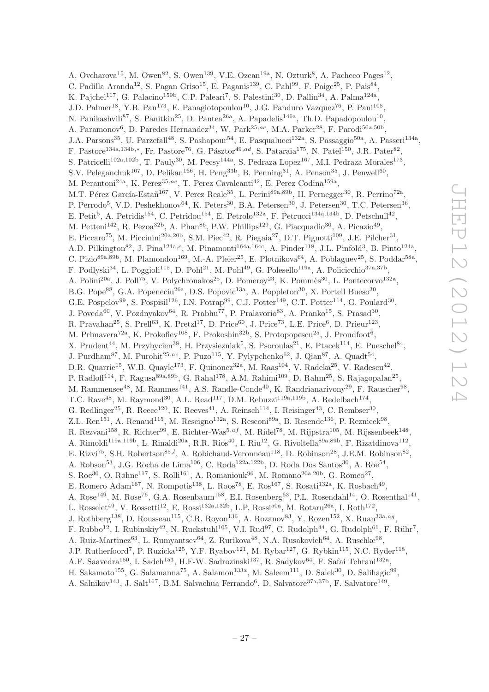A. Ovcharova<sup>15</sup>, M. Owen<sup>82</sup>, S. Owen<sup>139</sup>, V.E. Ozcan<sup>19a</sup>, N. Ozturk<sup>8</sup>, A. Pacheco Pages<sup>12</sup>, C. Padilla Aranda<sup>12</sup>, S. Pagan Griso<sup>15</sup>, E. Paganis<sup>139</sup>, C. Pahl<sup>99</sup>, F. Paige<sup>25</sup>, P. Pais<sup>84</sup>, K. Pajchel<sup>117</sup>, G. Palacino<sup>159b</sup>, C.P. Paleari<sup>7</sup>, S. Palestini<sup>30</sup>, D. Pallin<sup>34</sup>, A. Palma<sup>124a</sup>, J.D. Palmer<sup>18</sup>, Y.B. Pan<sup>173</sup>, E. Panagiotopoulou<sup>10</sup>, J.G. Panduro Vazquez<sup>76</sup>, P. Pani<sup>105</sup>, N. Panikashvili<sup>87</sup>, S. Panitkin<sup>25</sup>, D. Pantea<sup>26a</sup>, A. Papadelis<sup>146a</sup>, Th.D. Papadopoulou<sup>10</sup>, A. Paramonov<sup>6</sup>, D. Paredes Hernandez<sup>34</sup>, W. Park<sup>25,ac</sup>, M.A. Parker<sup>28</sup>, F. Parodi<sup>50a,50b</sup>, J.A. Parsons<sup>35</sup>, U. Parzefall<sup>48</sup>, S. Pashapour<sup>54</sup>, E. Pasqualucci<sup>132a</sup>, S. Passaggio<sup>50a</sup>, A. Passeri<sup>134a</sup>, F. Pastore<sup>134a,134b,∗</sup>, Fr. Pastore<sup>76</sup>, G. Pásztor<sup>49,ad</sup>, S. Pataraia<sup>175</sup>, N. Patel<sup>150</sup>, J.R. Pater<sup>82</sup>, S. Patricelli<sup>102a,102b</sup>, T. Pauly<sup>30</sup>, M. Pecsy<sup>144a</sup>, S. Pedraza Lopez<sup>167</sup>, M.I. Pedraza Morales<sup>173</sup>, S.V. Peleganchuk<sup>107</sup>, D. Pelikan<sup>166</sup>, H. Peng<sup>33b</sup>, B. Penning<sup>31</sup>, A. Penson<sup>35</sup>, J. Penwell<sup>60</sup>, M. Perantoni<sup>24a</sup>, K. Perez<sup>35,ae</sup>, T. Perez Cavalcanti<sup>42</sup>, E. Perez Codina<sup>159a</sup>, M.T. Pérez García-Estañ<sup>167</sup>, V. Perez Reale<sup>35</sup>, L. Perini<sup>89a,89b</sup>, H. Pernegger<sup>30</sup>, R. Perrino<sup>72a</sup>, P. Perrodo<sup>5</sup>, V.D. Peshekhonov<sup>64</sup>, K. Peters<sup>30</sup>, B.A. Petersen<sup>30</sup>, J. Petersen<sup>30</sup>, T.C. Petersen<sup>36</sup>, E. Petit<sup>5</sup>, A. Petridis<sup>154</sup>, C. Petridou<sup>154</sup>, E. Petrolo<sup>132a</sup>, F. Petrucci<sup>134a,134b</sup>, D. Petschull<sup>42</sup>, M. Petteni<sup>142</sup>, R. Pezoa<sup>32b</sup>, A. Phan<sup>86</sup>, P.W. Phillips<sup>129</sup>, G. Piacquadio<sup>30</sup>, A. Picazio<sup>49</sup>, E. Piccaro<sup>75</sup>, M. Piccinini<sup>20a, 20b</sup>, S.M. Piec<sup>42</sup>, R. Piegaia<sup>27</sup>, D.T. Pignotti<sup>109</sup>, J.E. Pilcher<sup>31</sup>, A.D. Pilkington<sup>82</sup>, J. Pina<sup>124a,c</sup>, M. Pinamonti<sup>164a,164c</sup>, A. Pinder<sup>118</sup>, J.L. Pinfold<sup>3</sup>, B. Pinto<sup>124a</sup>, C. Pizio<sup>89a,89b</sup>, M. Plamondon<sup>169</sup>, M.-A. Pleier<sup>25</sup>, E. Plotnikova<sup>64</sup>, A. Poblaguev<sup>25</sup>, S. Poddar<sup>58a</sup>, F. Podlyski<sup>34</sup>, L. Poggioli<sup>115</sup>, D. Pohl<sup>21</sup>, M. Pohl<sup>49</sup>, G. Polesello<sup>119a</sup>, A. Policicchio<sup>37a,37b</sup>, A. Polini<sup>20a</sup>, J. Poll<sup>75</sup>, V. Polychronakos<sup>25</sup>, D. Pomeroy<sup>23</sup>, K. Pommès<sup>30</sup>, L. Pontecorvo<sup>132a</sup>, B.G. Pope<sup>88</sup>, G.A. Popeneciu<sup>26a</sup>, D.S. Popovic<sup>13a</sup>, A. Poppleton<sup>30</sup>, X. Portell Bueso<sup>30</sup>, G.E. Pospelov<sup>99</sup>, S. Pospisil<sup>126</sup>, I.N. Potrap<sup>99</sup>, C.J. Potter<sup>149</sup>, C.T. Potter<sup>114</sup>, G. Poulard<sup>30</sup>, J. Poveda<sup>60</sup>, V. Pozdnyakov<sup>64</sup>, R. Prabhu<sup>77</sup>, P. Pralavorio<sup>83</sup>, A. Pranko<sup>15</sup>, S. Prasad<sup>30</sup>, R. Pravahan<sup>25</sup>, S. Prell<sup>63</sup>, K. Pretzl<sup>17</sup>, D. Price<sup>60</sup>, J. Price<sup>73</sup>, L.E. Price<sup>6</sup>, D. Prieur<sup>123</sup>, M. Primavera<sup>72a</sup>, K. Prokofiev<sup>108</sup>, F. Prokoshin<sup>32b</sup>, S. Protopopescu<sup>25</sup>, J. Proudfoot<sup>6</sup>, X. Prudent<sup>44</sup>, M. Przybycien<sup>38</sup>, H. Przysiezniak<sup>5</sup>, S. Psoroulas<sup>21</sup>, E. Ptacek<sup>114</sup>, E. Pueschel<sup>84</sup>, J. Purdham<sup>87</sup>, M. Purohit<sup>25,ac</sup>, P. Puzo<sup>115</sup>, Y. Pylypchenko<sup>62</sup>, J. Qian<sup>87</sup>, A. Quadt<sup>54</sup>, D.R. Quarrie<sup>15</sup>, W.B. Quayle<sup>173</sup>, F. Quinonez<sup>32a</sup>, M. Raas<sup>104</sup>, V. Radeka<sup>25</sup>, V. Radescu<sup>42</sup>, P. Radloff<sup>114</sup>, F. Ragusa<sup>89a,89b</sup>, G. Rahal<sup>178</sup>, A.M. Rahimi<sup>109</sup>, D. Rahm<sup>25</sup>, S. Rajagopalan<sup>25</sup>, M. Rammensee<sup>48</sup>, M. Rammes<sup>141</sup>, A.S. Randle-Conde<sup>40</sup>, K. Randrianarivony<sup>29</sup>, F. Rauscher<sup>98</sup>, T.C. Rave<sup>48</sup>, M. Raymond<sup>30</sup>, A.L. Read<sup>117</sup>, D.M. Rebuzzi<sup>119a,119b</sup>, A. Redelbach<sup>174</sup>, G. Redlinger<sup>25</sup>, R. Reece<sup>120</sup>, K. Reeves<sup>41</sup>, A. Reinsch<sup>114</sup>, I. Reisinger<sup>43</sup>, C. Rembser<sup>30</sup>, Z.L. Ren<sup>151</sup>, A. Renaud<sup>115</sup>, M. Rescigno<sup>132a</sup>, S. Resconi<sup>89a</sup>, B. Resende<sup>136</sup>, P. Reznicek<sup>98</sup>, R. Rezvani<sup>158</sup>, R. Richter<sup>99</sup>, E. Richter-Was<sup>5,af</sup>, M. Ridel<sup>78</sup>, M. Rijpstra<sup>105</sup>, M. Rijssenbeek<sup>148</sup>, A. Rimoldi<sup>119a,119b</sup>, L. Rinaldi<sup>20a</sup>, R.R. Rios<sup>40</sup>, I. Riu<sup>12</sup>, G. Rivoltella<sup>89a,89b</sup>, F. Rizatdinova<sup>112</sup>, E. Rizvi<sup>75</sup>, S.H. Robertson<sup>85,*l*</sup>, A. Robichaud-Veronneau<sup>118</sup>, D. Robinson<sup>28</sup>, J.E.M. Robinson<sup>82</sup>, A. Robson<sup>53</sup>, J.G. Rocha de Lima<sup>106</sup>, C. Roda<sup>122a,122b</sup>, D. Roda Dos Santos<sup>30</sup>, A. Roe<sup>54</sup>, S. Roe<sup>30</sup>, O. Røhne<sup>117</sup>, S. Rolli<sup>161</sup>, A. Romaniouk<sup>96</sup>, M. Romano<sup>20a, 20b</sup>, G. Romeo<sup>27</sup>, E. Romero Adam<sup>167</sup>, N. Rompotis<sup>138</sup>, L. Roos<sup>78</sup>, E. Ros<sup>167</sup>, S. Rosati<sup>132a</sup>, K. Rosbach<sup>49</sup>, A. Rose<sup>149</sup>, M. Rose<sup>76</sup>, G.A. Rosenbaum<sup>158</sup>, E.I. Rosenberg<sup>63</sup>, P.L. Rosendahl<sup>14</sup>, O. Rosenthal<sup>141</sup>, L. Rosselet<sup>49</sup>, V. Rossetti<sup>12</sup>, E. Rossi<sup>132a,132b</sup>, L.P. Rossi<sup>50a</sup>, M. Rotaru<sup>26a</sup>, I. Roth<sup>172</sup>, J. Rothberg<sup>138</sup>, D. Rousseau<sup>115</sup>, C.R. Royon<sup>136</sup>, A. Rozanov<sup>83</sup>, Y. Rozen<sup>152</sup>, X. Ruan<sup>33a,ag</sup>, F. Rubbo<sup>12</sup>, I. Rubinskiy<sup>42</sup>, N. Ruckstuhl<sup>105</sup>, V.I. Rud<sup>97</sup>, C. Rudolph<sup>44</sup>, G. Rudolph<sup>61</sup>, F. Rühr<sup>7</sup>, A. Ruiz-Martinez<sup>63</sup>, L. Rumyantsev<sup>64</sup>, Z. Rurikova<sup>48</sup>, N.A. Rusakovich<sup>64</sup>, A. Ruschke<sup>98</sup>, J.P. Rutherfoord<sup>7</sup>, P. Ruzicka<sup>125</sup>, Y.F. Ryabov<sup>121</sup>, M. Rybar<sup>127</sup>, G. Rybkin<sup>115</sup>, N.C. Ryder<sup>118</sup>, A.F. Saavedra<sup>150</sup>, I. Sadeh<sup>153</sup>, H.F-W. Sadrozinski<sup>137</sup>, R. Sadykov<sup>64</sup>, F. Safai Tehrani<sup>132a</sup>, H. Sakamoto<sup>155</sup>, G. Salamanna<sup>75</sup>, A. Salamon<sup>133a</sup>, M. Saleem<sup>111</sup>, D. Salek<sup>30</sup>, D. Salihagic<sup>99</sup>,

A. Salnikov<sup>143</sup>, J. Salt<sup>167</sup>, B.M. Salvachua Ferrando<sup>6</sup>, D. Salvatore<sup>37a,37b</sup>, F. Salvatore<sup>149</sup>,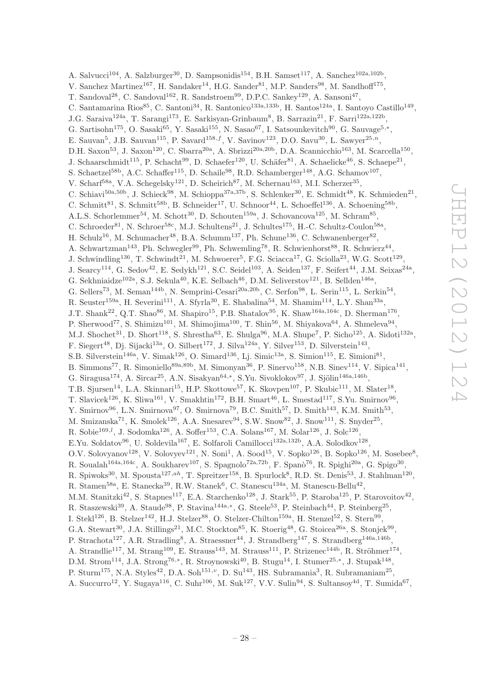A. Salvucci<sup>104</sup>, A. Salzburger<sup>30</sup>, D. Sampsonidis<sup>154</sup>, B.H. Samset<sup>117</sup>, A. Sanchez<sup>102a,102b</sup>, V. Sanchez Martinez<sup>167</sup>, H. Sandaker<sup>14</sup>, H.G. Sander<sup>81</sup>, M.P. Sanders<sup>98</sup>, M. Sandhoff<sup>175</sup>, T. Sandoval<sup>28</sup>, C. Sandoval<sup>162</sup>, R. Sandstroem<sup>99</sup>, D.P.C. Sankey<sup>129</sup>, A. Sansoni<sup>47</sup>, C. Santamarina Rios<sup>85</sup>, C. Santoni<sup>34</sup>, R. Santonico<sup>133a,133b</sup>, H. Santos<sup>124a</sup>, I. Santoyo Castillo<sup>149</sup>, J.G. Saraiva<sup>124a</sup>, T. Sarangi<sup>173</sup>, E. Sarkisyan-Grinbaum<sup>8</sup>, B. Sarrazin<sup>21</sup>, F. Sarri<sup>122a,122b</sup>, G. Sartisohn<sup>175</sup>, O. Sasaki<sup>65</sup>, Y. Sasaki<sup>155</sup>, N. Sasao<sup>67</sup>, I. Satsounkevitch<sup>90</sup>, G. Sauvage<sup>5,\*</sup>, E. Sauvan<sup>5</sup>, J.B. Sauvan<sup>115</sup>, P. Savard<sup>158,f</sup>, V. Savinov<sup>123</sup>, D.O. Savu<sup>30</sup>, L. Sawyer<sup>25,n</sup>, D.H. Saxon<sup>53</sup>, J. Saxon<sup>120</sup>, C. Sbarra<sup>20a</sup>, A. Sbrizzi<sup>20a,20b</sup>, D.A. Scannicchio<sup>163</sup>, M. Scarcella<sup>150</sup>, J. Schaarschmidt<sup>115</sup>, P. Schacht<sup>99</sup>, D. Schaefer<sup>120</sup>, U. Schäfer<sup>81</sup>, A. Schaelicke<sup>46</sup>, S. Schaepe<sup>21</sup>, S. Schaetzel<sup>58b</sup>, A.C. Schaffer<sup>115</sup>, D. Schaile<sup>98</sup>, R.D. Schamberger<sup>148</sup>, A.G. Schamov<sup>107</sup>, V. Scharf<sup>58a</sup>, V.A. Schegelsky<sup>121</sup>, D. Scheirich<sup>87</sup>, M. Schernau<sup>163</sup>, M.I. Scherzer<sup>35</sup>, C. Schiavi<sup>50a,50b</sup>, J. Schieck<sup>98</sup>, M. Schioppa<sup>37a,37b</sup>, S. Schlenker<sup>30</sup>, E. Schmidt<sup>48</sup>, K. Schmieden<sup>21</sup>, C. Schmitt<sup>81</sup>, S. Schmitt<sup>58b</sup>, B. Schneider<sup>17</sup>, U. Schnoor<sup>44</sup>, L. Schoeffel<sup>136</sup>, A. Schoening<sup>58b</sup>, A.L.S. Schorlemmer<sup>54</sup>, M. Schott<sup>30</sup>, D. Schouten<sup>159a</sup>, J. Schovancova<sup>125</sup>, M. Schram<sup>85</sup>, C. Schroeder<sup>81</sup>, N. Schroer<sup>58c</sup>, M.J. Schultens<sup>21</sup>, J. Schultes<sup>175</sup>, H.-C. Schultz-Coulon<sup>58a</sup>, H. Schulz<sup>16</sup>, M. Schumacher<sup>48</sup>, B.A. Schumm<sup>137</sup>, Ph. Schune<sup>136</sup>, C. Schwanenberger<sup>82</sup>, A. Schwartzman<sup>143</sup>, Ph. Schwegler<sup>99</sup>, Ph. Schwemling<sup>78</sup>, R. Schwienhorst<sup>88</sup>, R. Schwierz<sup>44</sup>, J. Schwindling<sup>136</sup>, T. Schwindt<sup>21</sup>, M. Schwoerer<sup>5</sup>, F.G. Sciacca<sup>17</sup>, G. Sciolla<sup>23</sup>, W.G. Scott<sup>129</sup>, J. Searcy<sup>114</sup>, G. Sedov<sup>42</sup>, E. Sedykh<sup>121</sup>, S.C. Seidel<sup>103</sup>, A. Seiden<sup>137</sup>, F. Seifert<sup>44</sup>, J.M. Seixas<sup>24a</sup>, G. Sekhniaidze<sup>102a</sup>, S.J. Sekula<sup>40</sup>, K.E. Selbach<sup>46</sup>, D.M. Seliverstov<sup>121</sup>, B. Sellden<sup>146a</sup>, G. Sellers<sup>73</sup>, M. Seman<sup>144b</sup>, N. Semprini-Cesari<sup>20a,20b</sup>, C. Serfon<sup>98</sup>, L. Serin<sup>115</sup>, L. Serkin<sup>54</sup>, R. Seuster<sup>159a</sup>, H. Severini<sup>111</sup>, A. Sfyrla<sup>30</sup>, E. Shabalina<sup>54</sup>, M. Shamim<sup>114</sup>, L.Y. Shan<sup>33a</sup>, J.T. Shank<sup>22</sup>, Q.T. Shao<sup>86</sup>, M. Shapiro<sup>15</sup>, P.B. Shatalov<sup>95</sup>, K. Shaw<sup>164a,164c</sup>, D. Sherman<sup>176</sup>, P. Sherwood<sup>77</sup>, S. Shimizu<sup>101</sup>, M. Shimojima<sup>100</sup>, T. Shin<sup>56</sup>, M. Shiyakova<sup>64</sup>, A. Shmeleva<sup>94</sup>, M.J. Shochet<sup>31</sup>, D. Short<sup>118</sup>, S. Shrestha<sup>63</sup>, E. Shulga<sup>96</sup>, M.A. Shupe<sup>7</sup>, P. Sicho<sup>125</sup>, A. Sidoti<sup>132a</sup>, F. Siegert<sup>48</sup>, Dj. Sijacki<sup>13a</sup>, O. Silbert<sup>172</sup>, J. Silva<sup>124a</sup>, Y. Silver<sup>153</sup>, D. Silverstein<sup>143</sup>, S.B. Silverstein<sup>146a</sup>, V. Simak<sup>126</sup>, O. Simard<sup>136</sup>, Lj. Simic<sup>13a</sup>, S. Simion<sup>115</sup>, E. Simioni<sup>81</sup>, B. Simmons<sup>77</sup>, R. Simoniello<sup>89a, 89b</sup>, M. Simonyan<sup>36</sup>, P. Sinervo<sup>158</sup>, N.B. Sinev<sup>114</sup>, V. Sipica<sup>141</sup>, G. Siragusa<sup>174</sup>, A. Sircar<sup>25</sup>, A.N. Sisakyan<sup>64,\*</sup>, S.Yu. Sivoklokov<sup>97</sup>, J. Sjölin<sup>146a,146b</sup>, T.B. Sjursen<sup>14</sup>, L.A. Skinnari<sup>15</sup>, H.P. Skottowe<sup>57</sup>, K. Skovpen<sup>107</sup>, P. Skubic<sup>111</sup>, M. Slater<sup>18</sup>, T. Slavicek<sup>126</sup>, K. Sliwa<sup>161</sup>, V. Smakhtin<sup>172</sup>, B.H. Smart<sup>46</sup>, L. Smestad<sup>117</sup>, S.Yu. Smirnov<sup>96</sup>, Y. Smirnov<sup>96</sup>, L.N. Smirnova<sup>97</sup>, O. Smirnova<sup>79</sup>, B.C. Smith<sup>57</sup>, D. Smith<sup>143</sup>, K.M. Smith<sup>53</sup>, M. Smizanska<sup>71</sup>, K. Smolek<sup>126</sup>, A.A. Snesarev<sup>94</sup>, S.W. Snow<sup>82</sup>, J. Snow<sup>111</sup>, S. Snyder<sup>25</sup>, R. Sobie<sup>169,*l*</sup>, J. Sodomka<sup>126</sup>, A. Soffer<sup>153</sup>, C.A. Solans<sup>167</sup>, M. Solar<sup>126</sup>, J. Solc<sup>126</sup>, E.Yu. Soldatov<sup>96</sup>, U. Soldevila<sup>167</sup>, E. Solfaroli Camillocci<sup>132a,132b</sup>, A.A. Solodkov<sup>128</sup>, O.V. Solovyanov<sup>128</sup>, V. Solovyev<sup>121</sup>, N. Soni<sup>1</sup>, A. Sood<sup>15</sup>, V. Sopko<sup>126</sup>, B. Sopko<sup>126</sup>, M. Sosebee<sup>8</sup>, R. Soualah<sup>164a,164c</sup>, A. Soukharev<sup>107</sup>, S. Spagnolo<sup>72a,72b</sup>, F. Spanò<sup>76</sup>, R. Spighi<sup>20a</sup>, G. Spigo<sup>30</sup>, R. Spiwoks<sup>30</sup>, M. Spousta<sup>127,ah</sup>, T. Spreitzer<sup>158</sup>, B. Spurlock<sup>8</sup>, R.D. St. Denis<sup>53</sup>, J. Stahlman<sup>120</sup>, R. Stamen<sup>58a</sup>, E. Stanecka<sup>39</sup>, R.W. Stanek<sup>6</sup>, C. Stanescu<sup>134a</sup>, M. Stanescu-Bellu<sup>42</sup>, M.M. Stanitzki<sup>42</sup>, S. Stapnes<sup>117</sup>, E.A. Starchenko<sup>128</sup>, J. Stark<sup>55</sup>, P. Staroba<sup>125</sup>, P. Starovoitov<sup>42</sup>, R. Staszewski<sup>39</sup>, A. Staude<sup>98</sup>, P. Stavina<sup>144a,\*</sup>, G. Steele<sup>53</sup>, P. Steinbach<sup>44</sup>, P. Steinberg<sup>25</sup>, I. Stekl<sup>126</sup>, B. Stelzer<sup>142</sup>, H.J. Stelzer<sup>88</sup>, O. Stelzer-Chilton<sup>159a</sup>, H. Stenzel<sup>52</sup>, S. Stern<sup>99</sup>, G.A. Stewart<sup>30</sup>, J.A. Stillings<sup>21</sup>, M.C. Stockton<sup>85</sup>, K. Stoerig<sup>48</sup>, G. Stoicea<sup>26a</sup>, S. Stonjek<sup>99</sup>, P. Strachota<sup>127</sup>, A.R. Stradling<sup>8</sup>, A. Straessner<sup>44</sup>, J. Strandberg<sup>147</sup>, S. Strandberg<sup>146a,146b</sup>, A. Strandlie<sup>117</sup>, M. Strang<sup>109</sup>, E. Strauss<sup>143</sup>, M. Strauss<sup>111</sup>, P. Strizenec<sup>144b</sup>, R. Ströhmer<sup>174</sup>, D.M. Strom<sup>114</sup>, J.A. Strong<sup>76,\*</sup>, R. Stroynowski<sup>40</sup>, B. Stugu<sup>14</sup>, I. Stumer<sup>25,\*</sup>, J. Stupak<sup>148</sup>, P. Sturm<sup>175</sup>, N.A. Styles<sup>42</sup>, D.A. Soh<sup>151,</sup><sup>v</sup>, D. Su<sup>143</sup>, HS. Subramania<sup>3</sup>, R. Subramaniam<sup>25</sup>,

A. Succurro<sup>12</sup>, Y. Sugaya<sup>116</sup>, C. Suhr<sup>106</sup>, M. Suk<sup>127</sup>, V.V. Sulin<sup>94</sup>, S. Sultansoy<sup>4d</sup>, T. Sumida<sup>67</sup>,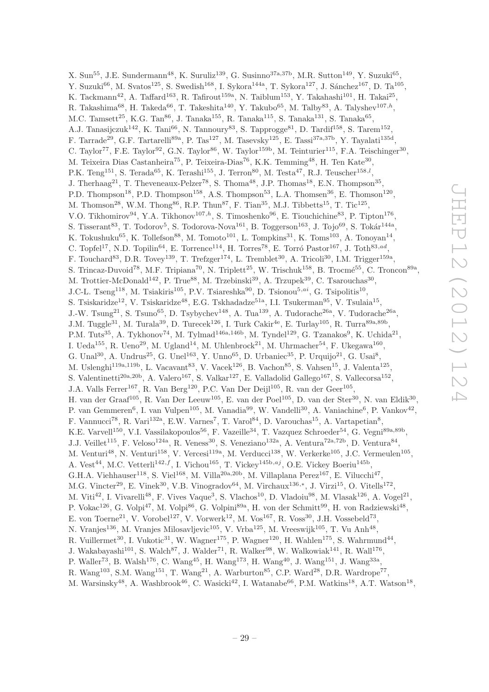X. Sun<sup>55</sup>, J.E. Sundermann<sup>48</sup>, K. Suruliz<sup>139</sup>, G. Susinno<sup>37a,37b</sup>, M.R. Sutton<sup>149</sup>, Y. Suzuki<sup>65</sup>, Y. Suzuki<sup>66</sup>, M. Svatos<sup>125</sup>, S. Swedish<sup>168</sup>, I. Sykora<sup>144a</sup>, T. Sykora<sup>127</sup>, J. Sánchez<sup>167</sup>, D. Ta<sup>105</sup>, K. Tackmann<sup>42</sup>, A. Taffard<sup>163</sup>, R. Tafirout<sup>159a</sup>, N. Taiblum<sup>153</sup>, Y. Takahashi<sup>101</sup>, H. Takai<sup>25</sup>, R. Takashima<sup>68</sup>, H. Takeda<sup>66</sup>, T. Takeshita<sup>140</sup>, Y. Takubo<sup>65</sup>, M. Talby<sup>83</sup>, A. Talyshev<sup>107,h</sup>, M.C. Tamsett<sup>25</sup>, K.G. Tan<sup>86</sup>, J. Tanaka<sup>155</sup>, R. Tanaka<sup>115</sup>, S. Tanaka<sup>131</sup>, S. Tanaka<sup>65</sup>, A.J. Tanasijczuk<sup>142</sup>, K. Tani<sup>66</sup>, N. Tannoury<sup>83</sup>, S. Tapprogge<sup>81</sup>, D. Tardif<sup>158</sup>, S. Tarem<sup>152</sup>, F. Tarrade<sup>29</sup>, G.F. Tartarelli<sup>89a</sup>, P. Tas<sup>127</sup>, M. Tasevsky<sup>125</sup>, E. Tassi<sup>37a,37b</sup>, Y. Tayalati<sup>135d</sup>, C. Taylor<sup>77</sup>, F.E. Taylor<sup>92</sup>, G.N. Taylor<sup>86</sup>, W. Taylor<sup>159b</sup>, M. Teinturier<sup>115</sup>, F.A. Teischinger<sup>30</sup>, M. Teixeira Dias Castanheira<sup>75</sup>, P. Teixeira-Dias<sup>76</sup>, K.K. Temming<sup>48</sup>, H. Ten Kate<sup>30</sup>, P.K. Teng<sup>151</sup>, S. Terada<sup>65</sup>, K. Terashi<sup>155</sup>, J. Terron<sup>80</sup>, M. Testa<sup>47</sup>, R.J. Teuscher<sup>158,*l*</sup>, J. Therhaag<sup>21</sup>, T. Theveneaux-Pelzer<sup>78</sup>, S. Thoma<sup>48</sup>, J.P. Thomas<sup>18</sup>, E.N. Thompson<sup>35</sup>, P.D. Thompson<sup>18</sup>, P.D. Thompson<sup>158</sup>, A.S. Thompson<sup>53</sup>, L.A. Thomsen<sup>36</sup>, E. Thomson<sup>120</sup>, M. Thomson<sup>28</sup>, W.M. Thong<sup>86</sup>, R.P. Thun<sup>87</sup>, F. Tian<sup>35</sup>, M.J. Tibbetts<sup>15</sup>, T. Tic<sup>125</sup>, V.O. Tikhomirov<sup>94</sup>, Y.A. Tikhonov<sup>107, $h$ </sup>, S. Timoshenko<sup>96</sup>, E. Tiouchichine<sup>83</sup>, P. Tipton<sup>176</sup>, S. Tisserant<sup>83</sup>, T. Todorov<sup>5</sup>, S. Todorova-Nova<sup>161</sup>, B. Toggerson<sup>163</sup>, J. Tojo<sup>69</sup>, S. Tokár<sup>144a</sup>, K. Tokushuku<sup>65</sup>, K. Tollefson<sup>88</sup>, M. Tomoto<sup>101</sup>, L. Tompkins<sup>31</sup>, K. Toms<sup>103</sup>, A. Tonoyan<sup>14</sup>, C. Topfel<sup>17</sup>, N.D. Topilin<sup>64</sup>, E. Torrence<sup>114</sup>, H. Torres<sup>78</sup>, E. Torró Pastor<sup>167</sup>, J. Toth<sup>83,ad</sup>, F. Touchard<sup>83</sup>, D.R. Tovey<sup>139</sup>, T. Trefzger<sup>174</sup>, L. Tremblet<sup>30</sup>, A. Tricoli<sup>30</sup>, I.M. Trigger<sup>159a</sup>, S. Trincaz-Duvoid<sup>78</sup>, M.F. Tripiana<sup>70</sup>, N. Triplett<sup>25</sup>, W. Trischuk<sup>158</sup>, B. Trocmé<sup>55</sup>, C. Troncon<sup>89a</sup>, M. Trottier-McDonald<sup>142</sup>, P. True<sup>88</sup>, M. Trzebinski<sup>39</sup>, A. Trzupek<sup>39</sup>, C. Tsarouchas<sup>30</sup>, J.C-L. Tseng<sup>118</sup>, M. Tsiakiris<sup>105</sup>, P.V. Tsiareshka<sup>90</sup>, D. Tsionou<sup>5,ai</sup>, G. Tsipolitis<sup>10</sup>, S. Tsiskaridze<sup>12</sup>, V. Tsiskaridze<sup>48</sup>, E.G. Tskhadadze<sup>51a</sup>, I.I. Tsukerman<sup>95</sup>, V. Tsulaia<sup>15</sup>, J.-W. Tsung<sup>21</sup>, S. Tsuno<sup>65</sup>, D. Tsybychev<sup>148</sup>, A. Tua<sup>139</sup>, A. Tudorache<sup>26a</sup>, V. Tudorache<sup>26a</sup>, J.M. Tuggle<sup>31</sup>, M. Turala<sup>39</sup>, D. Turecek<sup>126</sup>, I. Turk Cakir<sup>4e</sup>, E. Turlay<sup>105</sup>, R. Turra<sup>89a,89b</sup>, P.M. Tuts<sup>35</sup>, A. Tykhonov<sup>74</sup>, M. Tylmad<sup>146a,146b</sup>, M. Tyndel<sup>129</sup>, G. Tzanakos<sup>9</sup>, K. Uchida<sup>21</sup>, I. Ueda<sup>155</sup>, R. Ueno<sup>29</sup>, M. Ugland<sup>14</sup>, M. Uhlenbrock<sup>21</sup>, M. Uhrmacher<sup>54</sup>, F. Ukegawa<sup>160</sup>, G. Unal<sup>30</sup>, A. Undrus<sup>25</sup>, G. Unel<sup>163</sup>, Y. Unno<sup>65</sup>, D. Urbaniec<sup>35</sup>, P. Urquijo<sup>21</sup>, G. Usai<sup>8</sup>, M. Uslenghi<sup>119a,119b</sup>, L. Vacavant<sup>83</sup>, V. Vacek<sup>126</sup>, B. Vachon<sup>85</sup>, S. Vahsen<sup>15</sup>, J. Valenta<sup>125</sup>, S. Valentinetti<sup>20a, 20b</sup>, A. Valero<sup>167</sup>, S. Valkar<sup>127</sup>, E. Valladolid Gallego<sup>167</sup>, S. Vallecorsa<sup>152</sup>, J.A. Valls Ferrer<sup>167</sup>, R. Van Berg<sup>120</sup>, P.C. Van Der Deijl<sup>105</sup>, R. van der Geer<sup>105</sup>, H. van der Graaf<sup>105</sup>, R. Van Der Leeuw<sup>105</sup>, E. van der Poel<sup>105</sup>, D. van der Ster<sup>30</sup>, N. van Eldik<sup>30</sup>, P. van Gemmeren<sup>6</sup>, I. van Vulpen<sup>105</sup>, M. Vanadia<sup>99</sup>, W. Vandelli<sup>30</sup>, A. Vaniachine<sup>6</sup>, P. Vankov<sup>42</sup>, F. Vannucci<sup>78</sup>, R. Vari<sup>132a</sup>, E.W. Varnes<sup>7</sup>, T. Varol<sup>84</sup>, D. Varouchas<sup>15</sup>, A. Vartapetian<sup>8</sup>, K.E. Varvell<sup>150</sup>, V.I. Vassilakopoulos<sup>56</sup>, F. Vazeille<sup>34</sup>, T. Vazquez Schroeder<sup>54</sup>, G. Vegni<sup>89a,89b</sup>, J.J. Veillet<sup>115</sup>, F. Veloso<sup>124a</sup>, R. Veness<sup>30</sup>, S. Veneziano<sup>132a</sup>, A. Ventura<sup>72a,72b</sup>, D. Ventura<sup>84</sup>, M. Venturi<sup>48</sup>, N. Venturi<sup>158</sup>, V. Vercesi<sup>119a</sup>, M. Verducci<sup>138</sup>, W. Verkerke<sup>105</sup>, J.C. Vermeulen<sup>105</sup>, A. Vest<sup>44</sup>, M.C. Vetterli<sup>142,f</sup>, I. Vichou<sup>165</sup>, T. Vickey<sup>145b,aj</sup>, O.E. Vickey Boeriu<sup>145b</sup>, G.H.A. Viehhauser<sup>118</sup>, S. Viel<sup>168</sup>, M. Villa<sup>20a,20b</sup>, M. Villaplana Perez<sup>167</sup>, E. Vilucchi<sup>47</sup>, M.G. Vincter<sup>29</sup>, E. Vinek<sup>30</sup>, V.B. Vinogradov<sup>64</sup>, M. Virchaux<sup>136,\*</sup>, J. Virzi<sup>15</sup>, O. Vitells<sup>172</sup>, M. Viti<sup>42</sup>, I. Vivarelli<sup>48</sup>, F. Vives Vaque<sup>3</sup>, S. Vlachos<sup>10</sup>, D. Vladoiu<sup>98</sup>, M. Vlasak<sup>126</sup>, A. Vogel<sup>21</sup>, P. Vokac<sup>126</sup>, G. Volpi<sup>47</sup>, M. Volpi<sup>86</sup>, G. Volpini<sup>89a</sup>, H. von der Schmitt<sup>99</sup>, H. von Radziewski<sup>48</sup>, E. von Toerne<sup>21</sup>, V. Vorobel<sup>127</sup>, V. Vorwerk<sup>12</sup>, M. Vos<sup>167</sup>, R. Voss<sup>30</sup>, J.H. Vossebeld<sup>73</sup>, N. Vranjes<sup>136</sup>, M. Vranjes Milosavljevic<sup>105</sup>, V. Vrba<sup>125</sup>, M. Vreeswijk<sup>105</sup>, T. Vu Anh<sup>48</sup>, R. Vuillermet<sup>30</sup>, I. Vukotic<sup>31</sup>, W. Wagner<sup>175</sup>, P. Wagner<sup>120</sup>, H. Wahlen<sup>175</sup>, S. Wahrmund<sup>44</sup>, J. Wakabayashi<sup>101</sup>, S. Walch<sup>87</sup>, J. Walder<sup>71</sup>, R. Walker<sup>98</sup>, W. Walkowiak<sup>141</sup>, R. Wall<sup>176</sup>, P. Waller<sup>73</sup>, B. Walsh<sup>176</sup>, C. Wang<sup>45</sup>, H. Wang<sup>173</sup>, H. Wang<sup>40</sup>, J. Wang<sup>151</sup>, J. Wang<sup>33a</sup>, R. Wang<sup>103</sup>, S.M. Wang<sup>151</sup>, T. Wang<sup>21</sup>, A. Warburton<sup>85</sup>, C.P. Ward<sup>28</sup>, D.R. Wardrope<sup>77</sup>,

M. Warsinsky<sup>48</sup>, A. Washbrook<sup>46</sup>, C. Wasicki<sup>42</sup>, I. Watanabe<sup>66</sup>, P.M. Watkins<sup>18</sup>, A.T. Watson<sup>18</sup>,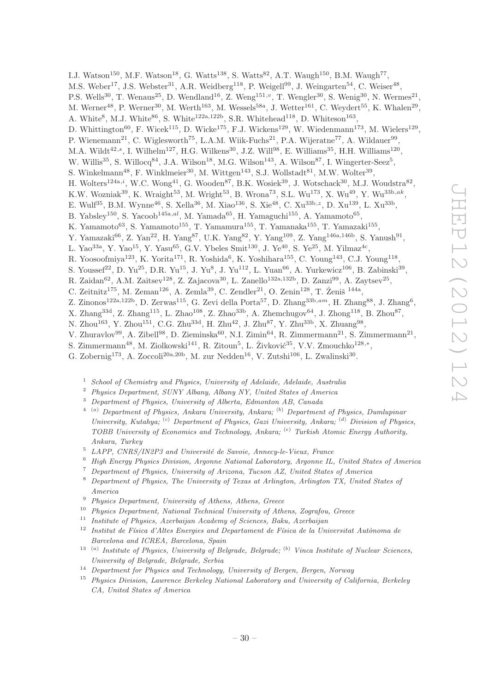I.J. Watson<sup>150</sup>, M.F. Watson<sup>18</sup>, G. Watts<sup>138</sup>, S. Watts<sup>82</sup>, A.T. Waugh<sup>150</sup>, B.M. Waugh<sup>77</sup>,

M.S. Weber<sup>17</sup>, J.S. Webster<sup>31</sup>, A.R. Weidberg<sup>118</sup>, P. Weigell<sup>99</sup>, J. Weingarten<sup>54</sup>, C. Weiser<sup>48</sup>,

P.S. Wells<sup>30</sup>, T. Wenaus<sup>25</sup>, D. Wendland<sup>16</sup>, Z. Weng<sup>151,*v*</sup>, T. Wengler<sup>30</sup>, S. Wenig<sup>30</sup>, N. Wermes<sup>21</sup>,

M. Werner<sup>48</sup>, P. Werner<sup>30</sup>, M. Werth<sup>163</sup>, M. Wessels<sup>58a</sup>, J. Wetter<sup>161</sup>, C. Weydert<sup>55</sup>, K. Whalen<sup>29</sup>,

A. White<sup>8</sup>, M.J. White<sup>86</sup>, S. White<sup>122a,122b</sup>, S.R. Whitehead<sup>118</sup>, D. Whiteson<sup>163</sup>,

D. Whittington<sup>60</sup>, F. Wicek<sup>115</sup>, D. Wicke<sup>175</sup>, F.J. Wickens<sup>129</sup>, W. Wiedenmann<sup>173</sup>, M. Wielers<sup>129</sup>,

P. Wienemann<sup>21</sup>, C. Wiglesworth<sup>75</sup>, L.A.M. Wiik-Fuchs<sup>21</sup>, P.A. Wijeratne<sup>77</sup>, A. Wildauer<sup>99</sup>,

M.A. Wildt<sup>42,s</sup>, I. Wilhelm<sup>127</sup>, H.G. Wilkens<sup>30</sup>, J.Z. Will<sup>98</sup>, E. Williams<sup>35</sup>, H.H. Williams<sup>120</sup>,

- W. Willis<sup>35</sup>, S. Willocq<sup>84</sup>, J.A. Wilson<sup>18</sup>, M.G. Wilson<sup>143</sup>, A. Wilson<sup>87</sup>, I. Wingerter-Seez<sup>5</sup>,
- S. Winkelmann<sup>48</sup>, F. Winklmeier<sup>30</sup>, M. Wittgen<sup>143</sup>, S.J. Wollstadt<sup>81</sup>, M.W. Wolter<sup>39</sup>,
- H. Wolters<sup>124a,i</sup>, W.C. Wong<sup>41</sup>, G. Wooden<sup>87</sup>, B.K. Wosiek<sup>39</sup>, J. Wotschack<sup>30</sup>, M.J. Woudstra<sup>82</sup>,
- K.W. Wozniak<sup>39</sup>, K. Wraight<sup>53</sup>, M. Wright<sup>53</sup>, B. Wrona<sup>73</sup>, S.L. Wu<sup>173</sup>, X. Wu<sup>49</sup>, Y. Wu<sup>33b,ak</sup>,

E. Wulf<sup>35</sup>, B.M. Wynne<sup>46</sup>, S. Xella<sup>36</sup>, M. Xiao<sup>136</sup>, S. Xie<sup>48</sup>, C. Xu<sup>33b, z</sup>, D. Xu<sup>139</sup>, L. Xu<sup>33b</sup>,

B. Yabsley<sup>150</sup>, S. Yacoob<sup>145a,al</sup>, M. Yamada<sup>65</sup>, H. Yamaguchi<sup>155</sup>, A. Yamamoto<sup>65</sup>,

K. Yamamoto<sup>63</sup>, S. Yamamoto<sup>155</sup>, T. Yamamura<sup>155</sup>, T. Yamanaka<sup>155</sup>, T. Yamazaki<sup>155</sup>,

Y. Yamazaki<sup>66</sup>, Z. Yan<sup>22</sup>, H. Yang<sup>87</sup>, U.K. Yang<sup>82</sup>, Y. Yang<sup>109</sup>, Z. Yang<sup>146a,146b</sup>, S. Yanush<sup>91</sup>,

L. Yao<sup>33a</sup>, Y. Yao<sup>15</sup>, Y. Yasu<sup>65</sup>, G.V. Ybeles Smit<sup>130</sup>, J. Ye<sup>40</sup>, S. Ye<sup>25</sup>, M. Yilmaz<sup>4c</sup>,

R. Yoosoofmiya<sup>123</sup>, K. Yorita<sup>171</sup>, R. Yoshida<sup>6</sup>, K. Yoshihara<sup>155</sup>, C. Young<sup>143</sup>, C.J. Young<sup>118</sup>,

S. Youssef<sup>22</sup>, D. Yu<sup>25</sup>, D.R. Yu<sup>15</sup>, J. Yu<sup>8</sup>, J. Yu<sup>112</sup>, L. Yuan<sup>66</sup>, A. Yurkewicz<sup>106</sup>, B. Zabinski<sup>39</sup>,

R. Zaidan<sup>62</sup>, A.M. Zaitsev<sup>128</sup>, Z. Zajacova<sup>30</sup>, L. Zanello<sup>132a,132b</sup>, D. Zanzi<sup>99</sup>, A. Zaytsev<sup>25</sup>,

C. Zeitnitz<sup>175</sup>, M. Zeman<sup>126</sup>, A. Zemla<sup>39</sup>, C. Zendler<sup>21</sup>, O. Zenin<sup>128</sup>, T. Ženiš<sup>144a</sup>,

Z. Zinonos<sup>122a,122b</sup>, D. Zerwas<sup>115</sup>, G. Zevi della Porta<sup>57</sup>, D. Zhang<sup>33b,am</sup>, H. Zhang<sup>88</sup>, J. Zhang<sup>6</sup>,

X. Zhang<sup>33d</sup>, Z. Zhang<sup>115</sup>, L. Zhao<sup>108</sup>, Z. Zhao<sup>33b</sup>, A. Zhemchugov<sup>64</sup>, J. Zhong<sup>118</sup>, B. Zhou<sup>87</sup>,

N. Zhou<sup>163</sup>, Y. Zhou<sup>151</sup>, C.G. Zhu<sup>33d</sup>, H. Zhu<sup>42</sup>, J. Zhu<sup>87</sup>, Y. Zhu<sup>33b</sup>, X. Zhuang<sup>98</sup>,

V. Zhuravlov<sup>99</sup>, A. Zibell<sup>98</sup>, D. Zieminska<sup>60</sup>, N.I. Zimin<sup>64</sup>, R. Zimmermann<sup>21</sup>, S. Zimmermann<sup>21</sup>,

S. Zimmermann<sup>48</sup>, M. Ziolkowski<sup>141</sup>, R. Zitoun<sup>5</sup>, L. Živković<sup>35</sup>, V.V. Zmouchko<sup>128,\*</sup>,

G. Zobernig<sup>173</sup>, A. Zoccoli<sup>20a, 20b</sup>, M. zur Nedden<sup>16</sup>, V. Zutshi<sup>106</sup>, L. Zwalinski<sup>30</sup>.

 $1$  School of Chemistry and Physics, University of Adelaide, Adelaide, Australia

<sup>2</sup> Physics Department, SUNY Albany, Albany NY, United States of America

- <sup>3</sup> Department of Physics, University of Alberta, Edmonton AB, Canada
- $^{4-(a)}$  Department of Physics, Ankara University, Ankara;  $^{(b)}$  Department of Physics, Dumlupinar University, Kutahya; <sup>(c)</sup> Department of Physics, Gazi University, Ankara; <sup>(d)</sup> Division of Physics, TOBB University of Economics and Technology, Ankara; (e) Turkish Atomic Energy Authority, Ankara, Turkey

 $5$  LAPP, CNRS/IN2P3 and Université de Savoie, Annecy-le-Vieux, France

- <sup>6</sup> High Energy Physics Division, Argonne National Laboratory, Argonne IL, United States of America
- <sup>7</sup> Department of Physics, University of Arizona, Tucson AZ, United States of America
- <sup>8</sup> Department of Physics, The University of Texas at Arlington, Arlington TX, United States of America
- <sup>9</sup> Physics Department, University of Athens, Athens, Greece
- <sup>10</sup> Physics Department, National Technical University of Athens, Zografou, Greece
- <sup>11</sup> Institute of Physics, Azerbaijan Academy of Sciences, Baku, Azerbaijan
- $12$  Institut de Física d'Altes Energies and Departament de Física de la Universitat Autònoma de Barcelona and ICREA, Barcelona, Spain
- <sup>13</sup> <sup>(a)</sup> Institute of Physics, University of Belgrade, Belgrade; <sup>(b)</sup> Vinca Institute of Nuclear Sciences, University of Belgrade, Belgrade, Serbia
- <sup>14</sup> Department for Physics and Technology, University of Bergen, Bergen, Norway
- <sup>15</sup> Physics Division, Lawrence Berkeley National Laboratory and University of California, Berkeley CA, United States of America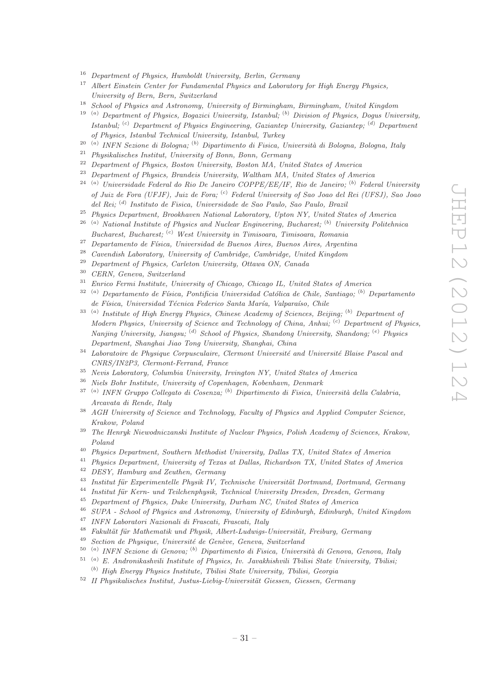- <sup>16</sup> Department of Physics, Humboldt University, Berlin, Germany<br><sup>17</sup> Albert Einstein Center for Europeantal Physics and Lebenter
- <sup>17</sup> Albert Einstein Center for Fundamental Physics and Laboratory for High Energy Physics, University of Bern, Bern, Switzerland
- <sup>18</sup> School of Physics and Astronomy, University of Birmingham, Birmingham, United Kingdom
- 19 (a) Department of Physics, Bogazici University, Istanbul; (b) Division of Physics, Dogus University, Istanbul; <sup>(c)</sup> Department of Physics Engineering, Gaziantep University, Gaziantep; <sup>(d)</sup> Department of Physics, Istanbul Technical University, Istanbul, Turkey
- <sup>20 (a)</sup> INFN Sezione di Bologna; <sup>(b)</sup> Dipartimento di Fisica, Università di Bologna, Bologna, Italy
- $21$  Physikalisches Institut, University of Bonn, Bonn, Germany
- <sup>22</sup> Department of Physics, Boston University, Boston MA, United States of America
- <sup>23</sup> Department of Physics, Brandeis University, Waltham MA, United States of America
- $^{24}$  (a) Universidade Federal do Rio De Janeiro COPPE/EE/IF, Rio de Janeiro; (b) Federal University of Juiz de Fora (UFJF), Juiz de Fora; (c) Federal University of Sao Joao del Rei (UFSJ), Sao Joao del Rei; (d) Instituto de Fisica, Universidade de Sao Paulo, Sao Paulo, Brazil
- <sup>25</sup> Physics Department, Brookhaven National Laboratory, Upton NY, United States of America<br><sup>26</sup> (a) National Institute of Physics and Nuclear Engineering, Puchameti, <sup>(b)</sup> University Politabra
- $(a)$  National Institute of Physics and Nuclear Engineering, Bucharest;  $(b)$  University Politehnica Bucharest, Bucharest; (c) West University in Timisoara, Timisoara, Romania
- <sup>27</sup> Departamento de Física, Universidad de Buenos Aires, Buenos Aires, Argentina
- <sup>28</sup> Cavendish Laboratory, University of Cambridge, Cambridge, United Kingdom
- <sup>29</sup> Department of Physics, Carleton University, Ottawa ON, Canada
- <sup>30</sup> CERN, Geneva, Switzerland
- $31$  Enrico Fermi Institute, University of Chicago, Chicago IL, United States of America
- $32$ <sup>(a)</sup> Departamento de Física, Pontificia Universidad Católica de Chile, Santiago; <sup>(b)</sup> Departamento de Física, Universidad Técnica Federico Santa María, Valparaíso, Chile
- $33$ <sup>(a)</sup> Institute of High Energy Physics, Chinese Academy of Sciences, Beijing; <sup>(b)</sup> Department of Modern Physics, University of Science and Technology of China, Anhui; <sup>(c)</sup> Department of Physics, Nanjing University, Jiangsu; (d) School of Physics, Shandong University, Shandong; (e) Physics Department, Shanghai Jiao Tong University, Shanghai, China
- $34$  Laboratoire de Physique Corpusculaire, Clermont Université and Université Blaise Pascal and CNRS/IN2P3, Clermont-Ferrand, France
- <sup>35</sup> Nevis Laboratory, Columbia University, Irvington NY, United States of America
- <sup>36</sup> Niels Bohr Institute, University of Copenhagen, Kobenhavn, Denmark
- $37$ <sup>(a)</sup> INFN Gruppo Collegato di Cosenza; <sup>(b)</sup> Dipartimento di Fisica, Università della Calabria, Arcavata di Rende, Italy
- <sup>38</sup> AGH University of Science and Technology, Faculty of Physics and Applied Computer Science, Krakow, Poland
- <sup>39</sup> The Henryk Niewodniczanski Institute of Nuclear Physics, Polish Academy of Sciences, Krakow, Poland
- <sup>40</sup> Physics Department, Southern Methodist University, Dallas TX, United States of America
- <sup>41</sup> Physics Department, University of Texas at Dallas, Richardson TX, United States of America<br><sup>42</sup> DESV Hamburg and Zeuthen Germany
- <sup>42</sup> DESY, Hamburg and Zeuthen, Germany<br><sup>43</sup> Institut für Examinantelle Physik IV, T.
- $^{43}$  Institut für Experimentelle Physik IV, Technische Universität Dortmund, Dortmund, Germany
- $$
- <sup>45</sup> Department of Physics, Duke University, Durham NC, United States of America
- <sup>46</sup> SUPA School of Physics and Astronomy, University of Edinburgh, Edinburgh, United Kingdom
- <sup>47</sup> INFN Laboratori Nazionali di Frascati, Frascati, Italy
- $48$  Fakultät für Mathematik und Physik, Albert-Ludwigs-Universität, Freiburg, Germany
- $49$  Section de Physique, Université de Genève, Geneva, Switzerland
- <sup>50 (a)</sup> INFN Sezione di Genova; <sup>(b)</sup> Dipartimento di Fisica, Università di Genova, Genova, Italy
- $51$ <sup>(a)</sup> E. Andronikashvili Institute of Physics, Iv. Javakhishvili Tbilisi State University, Tbilisi; (b) High Energy Physics Institute, Tbilisi State University, Tbilisi, Georgia
- $52$  II Physikalisches Institut, Justus-Liebig-Universität Giessen, Giessen, Germany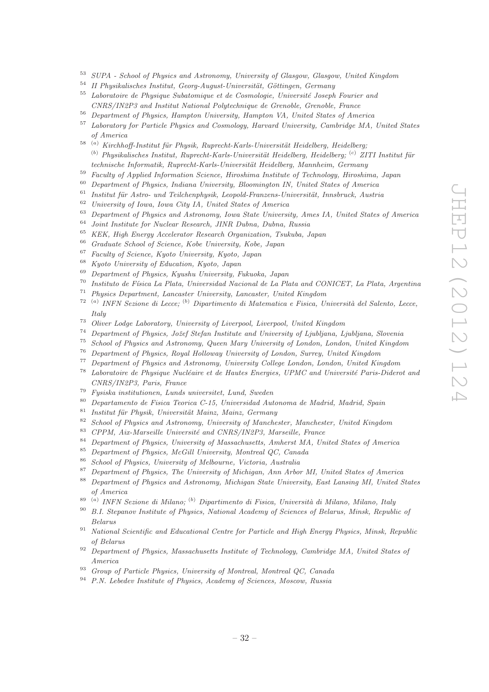- <sup>53</sup> SUPA School of Physics and Astronomy, University of Glasgow, Glasgow, United Kingdom
- $^{54}$  II Physikalisches Institut, Georg-August-Universität, Göttingen, Germany<br> $^{55}$  Laboratoire de Physicus Sybatomique et de Coemologie Université Losenh
- <sup>55</sup> Laboratoire de Physique Subatomique et de Cosmologie, Universit´e Joseph Fourier and CNRS/IN2P3 and Institut National Polytechnique de Grenoble, Grenoble, France
- <sup>56</sup> Department of Physics, Hampton University, Hampton VA, United States of America
- <sup>57</sup> Laboratory for Particle Physics and Cosmology, Harvard University, Cambridge MA, United States of America
- $^{58-(a)}$  Kirchhoff-Institut für Physik, Ruprecht-Karls-Universität Heidelberg, Heidelberg;  $<sup>(b)</sup>$  Physikalisches Institut, Ruprecht-Karls-Universität Heidelberg, Heidelberg;  $<sup>(c)</sup> ZITI$  Institut für</sup></sup> technische Informatik, Ruprecht-Karls-Universität Heidelberg, Mannheim, Germany
- $^{59}$  Faculty of Applied Information Science, Hiroshima Institute of Technology, Hiroshima, Japan<br> $^{60}$  Department of Physics, Indiana University, Plasmington IN United States of America
- <sup>60</sup> Department of Physics, Indiana University, Bloomington IN, United States of America
- $61$  Institut für Astro- und Teilchenphysik, Leopold-Franzens-Universität, Innsbruck, Austria
- <sup>62</sup> University of Iowa, Iowa City IA, United States of America<br><sup>63</sup> Department of Physics and Astronomy, Iowa State University
- $^{63}$  Department of Physics and Astronomy, Iowa State University, Ames IA, United States of America<br> $^{64}$  Jaint Institute for Nuclear Besserek, IND Dukas, Dukas, Puscis
- $^{64}$  Joint Institute for Nuclear Research, JINR Dubna, Dubna, Russia<br> $^{65}$  KEK, High France Assetunting Bernsel Quantities Turbule 1
- <sup>65</sup> KEK, High Energy Accelerator Research Organization, Tsukuba, Japan<br><sup>66</sup> Curricular School of Science Kehr Huisensity Kehr Japan
- <sup>66</sup> Graduate School of Science, Kobe University, Kobe, Japan  $\frac{67}{6}$  Example of Science, Karta University, Kosta, Japan
- <sup>67</sup> Faculty of Science, Kyoto University, Kyoto, Japan
- <sup>68</sup> Kyoto University of Education, Kyoto, Japan
- <sup>69</sup> Department of Physics, Kyushu University, Fukuoka, Japan
- <sup>70</sup> Instituto de F´ısica La Plata, Universidad Nacional de La Plata and CONICET, La Plata, Argentina
- <sup>71</sup> Physics Department, Lancaster University, Lancaster, United Kingdom
- <sup>72 (a)</sup> INFN Sezione di Lecce; <sup>(b)</sup> Dipartimento di Matematica e Fisica, Università del Salento, Lecce, Italy
- <sup>73</sup> Oliver Lodge Laboratory, University of Liverpool, Liverpool, United Kingdom
- <sup>74</sup> Department of Physics, Jožef Stefan Institute and University of Ljubljana, Ljubljana, Slovenia<br><sup>75</sup> Sebeck of Physics and Actronomy, Oyean Many University of Landen, Landen, United Kingdom
- <sup>75</sup> School of Physics and Astronomy, Queen Mary University of London, London, United Kingdom<br><sup>76</sup> Department of Physics, Boyal Helloway University of London, Summy United Kingdom
- <sup>76</sup> Department of Physics, Royal Holloway University of London, Surrey, United Kingdom
- <sup>77</sup> Department of Physics and Astronomy, University College London, London, United Kingdom
- $78$  Laboratoire de Physique Nucléaire et de Hautes Energies, UPMC and Université Paris-Diderot and CNRS/IN2P3, Paris, France
- <sup>79</sup> Fysiska institutionen, Lunds universitet, Lund, Sweden
- <sup>80</sup> Departamento de Fisica Teorica C-15, Universidad Autonoma de Madrid, Madrid, Spain
- $81$  Institut für Physik, Universität Mainz, Mainz, Germany
- $82$  School of Physics and Astronomy, University of Manchester, Manchester, United Kingdom
- $83$  CPPM, Aix-Marseille Université and CNRS/IN2P3, Marseille, France
- <sup>84</sup> Department of Physics, University of Massachusetts, Amherst MA, United States of America
- <sup>85</sup> Department of Physics, McGill University, Montreal QC, Canada
- $86$  School of Physics, University of Melbourne, Victoria, Australia<br> $87$  Department of Physics, The University of Michigan, Ann Arbo
- <sup>87</sup> Department of Physics, The University of Michigan, Ann Arbor MI, United States of America<br><sup>88</sup> Department of Physics and Astronomy, Michigan State University, East Langing MI, United St
- <sup>88</sup> Department of Physics and Astronomy, Michigan State University, East Lansing MI, United States of America
- <sup>89 (a)</sup> INFN Sezione di Milano; <sup>(b)</sup> Dipartimento di Fisica, Università di Milano, Milano, Italy
- <sup>90</sup> B.I. Stepanov Institute of Physics, National Academy of Sciences of Belarus, Minsk, Republic of Belarus
- <sup>91</sup> National Scientific and Educational Centre for Particle and High Energy Physics, Minsk, Republic of Belarus
- $92$  Department of Physics, Massachusetts Institute of Technology, Cambridge MA, United States of America
- 93 Group of Particle Physics, University of Montreal, Montreal QC, Canada
- <sup>94</sup> P.N. Lebedev Institute of Physics, Academy of Sciences, Moscow, Russia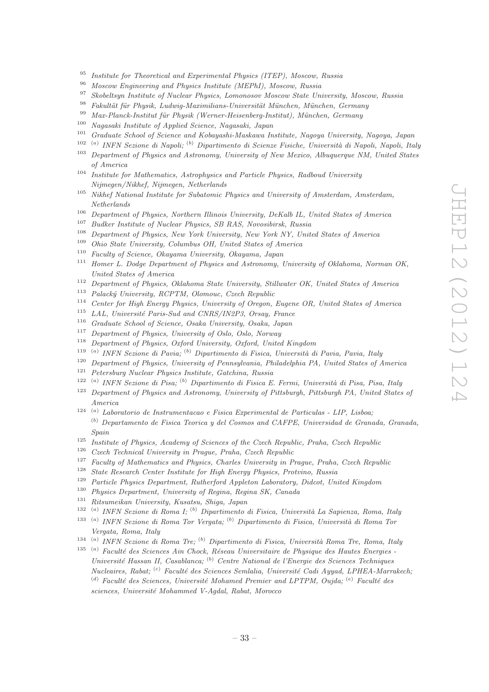- <sup>95</sup> Institute for Theoretical and Experimental Physics (ITEP), Moscow, Russia<br><sup>96</sup> Marshall Fracincescine and Physics Institute (MEPhI), Moscow, Puesia
- <sup>96</sup> Moscow Engineering and Physics Institute (MEPhI), Moscow, Russia<br><sup>97</sup> Shebeltawn Institute of Nuglear Physics, Lamanaeau Massau, State Uni
- <sup>97</sup> Skobeltsyn Institute of Nuclear Physics, Lomonosov Moscow State University, Moscow, Russia<br><sup>98</sup> Echultät für Physik Ludwig Magimilians Universität Münghen, Münghen Cermany
- <sup>98</sup> Fakultät für Physik, Ludwig-Maximilians-Universität München, München, Germany
- <sup>99</sup> Max-Planck-Institut für Physik (Werner-Heisenberg-Institut), München, Germany
- <sup>100</sup> Nagasaki Institute of Applied Science, Nagasaki, Japan<br><sup>101</sup> Craduate School of Science and Kehayashi Mashaya In
- <sup>101</sup> Graduate School of Science and Kobayashi-Maskawa Institute, Nagoya University, Nagoya, Japan
- <sup>102 (a)</sup> INFN Sezione di Napoli; <sup>(b)</sup> Dipartimento di Scienze Fisiche, Università di Napoli, Napoli, Italy
- <sup>103</sup> Department of Physics and Astronomy, University of New Mexico, Albuquerque NM, United States of America
- <sup>104</sup> Institute for Mathematics, Astrophysics and Particle Physics, Radboud University Nijmegen/Nikhef, Nijmegen, Netherlands
- <sup>105</sup> Nikhef National Institute for Subatomic Physics and University of Amsterdam, Amsterdam, Netherlands
- <sup>106</sup> Department of Physics, Northern Illinois University, DeKalb IL, United States of America<br><sup>107</sup> Pueblace Institute of Nuclear Physics, SP PAS, Neugalianh, Puesia
- <sup>107</sup> Budker Institute of Nuclear Physics, SB RAS, Novosibirsk, Russia<br><sup>108</sup> David van La Rhysics, New York History in New York NY Heit
- <sup>108</sup> Department of Physics, New York University, New York NY, United States of America
- <sup>109</sup> Ohio State University, Columbus OH, United States of America<br><sup>110</sup> Earthweat States of Okument University Okument January
- <sup>110</sup> Faculty of Science, Okayama University, Okayama, Japan
- <sup>111</sup> Homer L. Dodge Department of Physics and Astronomy, University of Oklahoma, Norman OK, United States of America
- <sup>112</sup> Department of Physics, Oklahoma State University, Stillwater OK, United States of America
- $113$  Palacký University, RCPTM, Olomouc, Czech Republic
- <sup>114</sup> Center for High Energy Physics, University of Oregon, Eugene OR, United States of America<br><sup>115</sup> LAL University Perio Sud and CNDS (INOP) Oregon, Energy
- LAL, Université Paris-Sud and CNRS/IN2P3, Orsay, France
- <sup>116</sup> Graduate School of Science, Osaka University, Osaka, Japan
- <sup>117</sup> Department of Physics, University of Oslo, Oslo, Norway<br><sup>118</sup> Department of Physics, Orford University, Orford United
- <sup>118</sup> Department of Physics, Oxford University, Oxford, United Kingdom<br><sup>119</sup> (a) IMEN Series di Paris: <sup>(b)</sup> Directiments di Fisice, University de
- <sup>119 (a)</sup> INFN Sezione di Pavia; <sup>(b)</sup> Dipartimento di Fisica, Università di Pavia, Pavia, Italy
- <sup>120</sup> Department of Physics, University of Pennsylvania, Philadelphia PA, United States of America
- <sup>121</sup> Petersburg Nuclear Physics Institute, Gatchina, Russia
- <sup>122 (a)</sup> INFN Sezione di Pisa; <sup>(b)</sup> Dipartimento di Fisica E. Fermi, Università di Pisa, Pisa, Italy
- <sup>123</sup> Department of Physics and Astronomy, University of Pittsburgh, Pittsburgh PA, United States of America
- 124 (a) Laboratorio de Instrumentacao e Fisica Experimental de Particulas LIP, Lisboa;  $<sup>(b)</sup>$  Departamento de Fisica Teorica y del Cosmos and CAFPE, Universidad de Granada, Granada,</sup> Spain
- <sup>125</sup> Institute of Physics, Academy of Sciences of the Czech Republic, Praha, Czech Republic
- <sup>126</sup> Czech Technical University in Prague, Praha, Czech Republic
- <sup>127</sup> Faculty of Mathematics and Physics, Charles University in Prague, Praha, Czech Republic<br><sup>128</sup> State Research Center Institute for High Energy Physics, Protying, Russia
- <sup>128</sup> State Research Center Institute for High Energy Physics, Protvino, Russia<br><sup>129</sup> Pertials Physics Department, Rutherford Appletan Lehanteny, Didact Uni
- <sup>129</sup> Particle Physics Department, Rutherford Appleton Laboratory, Didcot, United Kingdom<br><sup>130</sup> Physics Department, University of Berica, Berica (K. Charola
- <sup>130</sup> Physics Department, University of Regina, Regina SK, Canada<br><sup>131</sup> Pitaumaikan University Kuastay Shias, Japan
- <sup>131</sup> Ritsumeikan University, Kusatsu, Shiga, Japan
- <sup>132 (a)</sup> INFN Sezione di Roma I; <sup>(b)</sup> Dipartimento di Fisica, Università La Sapienza, Roma, Italy
- <sup>133 (a</sup>) INFN Sezione di Roma Tor Vergata; <sup>(b)</sup> Dipartimento di Fisica, Università di Roma Tor Vergata, Roma, Italy
- <sup>134 (a</sup>) INFN Sezione di Roma Tre; <sup>(b</sup>) Dipartimento di Fisica, Università Roma Tre, Roma, Italy
- $135$ <sup>(a)</sup> Faculté des Sciences Ain Chock, Réseau Universitaire de Physique des Hautes Energies -Université Hassan II, Casablanca; <sup>(b)</sup> Centre National de l'Energie des Sciences Techniques  $Nucleaires, Rabat; {c) Faculté des Sciences Semlalia, Université Cadi Ayyad, LPHEA-Marrakech;$ (d) Faculté des Sciences, Université Mohamed Premier and LPTPM, Oujda;  $(e)$  Faculté des sciences, Université Mohammed V-Agdal, Rabat, Morocco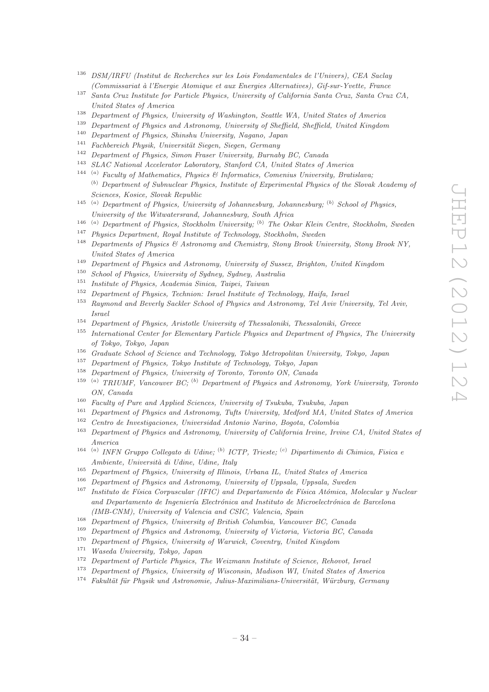- <sup>136</sup> DSM/IRFU (Institut de Recherches sur les Lois Fondamentales de l'Univers), CEA Saclay (Commissariat `a l'Energie Atomique et aux Energies Alternatives), Gif-sur-Yvette, France
- <sup>137</sup> Santa Cruz Institute for Particle Physics, University of California Santa Cruz, Santa Cruz CA, United States of America
- <sup>138</sup> Department of Physics, University of Washington, Seattle WA, United States of America<br><sup>139</sup> Department of Physics and Action and University of Chaffeld State of Haited Kingdom
- <sup>139</sup> Department of Physics and Astronomy, University of Sheffield, Sheffield, United Kingdom<br><sup>140</sup> Department of Physics Shinghy University Nessna, Japan
- <sup>140</sup> Department of Physics, Shinshu University, Nagano, Japan
- $141$  Fachbereich Physik, Universität Siegen, Siegen, Germany
- <sup>142</sup> Department of Physics, Simon Fraser University, Burnaby BC, Canada
- <sup>143</sup> SLAC National Accelerator Laboratory, Stanford CA, United States of America
- <sup>144</sup> <sup>(a)</sup> Faculty of Mathematics, Physics & Informatics, Comenius University, Bratislava;  $<sup>(b)</sup>$  Department of Subnuclear Physics, Institute of Experimental Physics of the Slovak Academy of</sup> Sciences, Kosice, Slovak Republic
- <sup>145</sup> (a) Department of Physics, University of Johannesburg, Johannesburg; <sup>(b)</sup> School of Physics, University of the Witwatersrand, Johannesburg, South Africa
- <sup>146</sup> <sup>(a)</sup> Department of Physics, Stockholm University; <sup>(b)</sup> The Oskar Klein Centre, Stockholm, Sweden<br><sup>147</sup> Physics Department, Based Institute of Technology Stockholm, Sweden
- <sup>147</sup> Physics Department, Royal Institute of Technology, Stockholm, Sweden<br><sup>148</sup> Department of Physics & Astronomy and Chamistan Strang Paraly Uni
- <sup>148</sup> Departments of Physics & Astronomy and Chemistry, Stony Brook University, Stony Brook NY, United States of America
- <sup>149</sup> Department of Physics and Astronomy, University of Sussex, Brighton, United Kingdom
- <sup>150</sup> School of Physics, University of Sydney, Sydney, Australia
- <sup>151</sup> Institute of Physics, Academia Sinica, Taipei, Taiwan
- <sup>152</sup> Department of Physics, Technion: Israel Institute of Technology, Haifa, Israel
- <sup>153</sup> Raymond and Beverly Sackler School of Physics and Astronomy, Tel Aviv University, Tel Aviv, Israel
- <sup>154</sup> Department of Physics, Aristotle University of Thessaloniki, Thessaloniki, Greece
- <sup>155</sup> International Center for Elementary Particle Physics and Department of Physics, The University of Tokyo, Tokyo, Japan
- <sup>156</sup> Graduate School of Science and Technology, Tokyo Metropolitan University, Tokyo, Japan
- <sup>157</sup> Department of Physics, Tokyo Institute of Technology, Tokyo, Japan<br><sup>158</sup> Department of Physics, University of Tenente Tenents ON Canada
- Department of Physics, University of Toronto, Toronto ON, Canada
- 159 (a) TRIUMF, Vancouver BC; (b) Department of Physics and Astronomy, York University, Toronto ON, Canada
- <sup>160</sup> Faculty of Pure and Applied Sciences, University of Tsukuba, Tsukuba, Japan
- <sup>161</sup> Department of Physics and Astronomy, Tufts University, Medford MA, United States of America
- <sup>162</sup> Centro de Investigaciones, Universidad Antonio Narino, Bogota, Colombia
- <sup>163</sup> Department of Physics and Astronomy, University of California Irvine, Irvine CA, United States of America
- <sup>164 (a)</sup> INFN Gruppo Collegato di Udine; <sup>(b)</sup> ICTP, Trieste; <sup>(c)</sup> Dipartimento di Chimica, Fisica e Ambiente, Università di Udine, Udine, Italy
- <sup>165</sup> Department of Physics, University of Illinois, Urbana IL, United States of America<br><sup>166</sup> Department of Physics and Astronomy, University of Unpeals, Unpeals, Syndem
- <sup>166</sup> Department of Physics and Astronomy, University of Uppsala, Uppsala, Sweden<br><sup>167</sup> Lutter de E<sup>t</sup>ine Commercian (UEC) and Department de Etine Attinises M
- Instituto de Física Corpuscular (IFIC) and Departamento de Física Atómica, Molecular y Nuclear and Departamento de Ingeniería Electrónica and Instituto de Microelectrónica de Barcelona (IMB-CNM), University of Valencia and CSIC, Valencia, Spain
- <sup>168</sup> Department of Physics, University of British Columbia, Vancouver BC, Canada
- <sup>169</sup> Department of Physics and Astronomy, University of Victoria, Victoria BC, Canada
- <sup>170</sup> Department of Physics, University of Warwick, Coventry, United Kingdom
- <sup>171</sup> Waseda University, Tokyo, Japan
- <sup>172</sup> Department of Particle Physics, The Weizmann Institute of Science, Rehovot, Israel
- <sup>173</sup> Department of Physics, University of Wisconsin, Madison WI, United States of America
- $174$  Fakultät für Physik und Astronomie, Julius-Maximilians-Universität, Würzburg, Germany